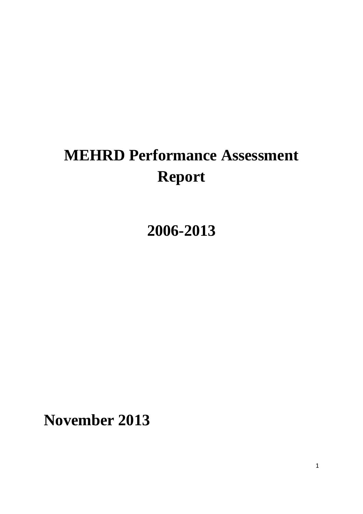# **MEHRD Performance Assessment Report**

**2006-2013**

**November 2013**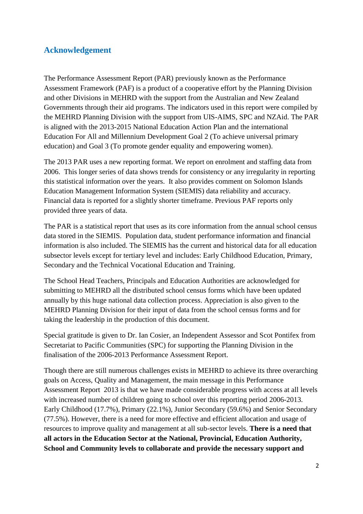# <span id="page-1-0"></span>**Acknowledgement**

The Performance Assessment Report (PAR) previously known as the Performance Assessment Framework (PAF) is a product of a cooperative effort by the Planning Division and other Divisions in MEHRD with the support from the Australian and New Zealand Governments through their aid programs. The indicators used in this report were compiled by the MEHRD Planning Division with the support from UIS-AIMS, SPC and NZAid. The PAR is aligned with the 2013-2015 National Education Action Plan and the international Education For All and Millennium Development Goal 2 (To achieve universal primary education) and Goal 3 (To promote gender equality and empowering women).

The 2013 PAR uses a new reporting format. We report on enrolment and staffing data from 2006. This longer series of data shows trends for consistency or any irregularity in reporting this statistical information over the years. It also provides comment on Solomon Islands Education Management Information System (SIEMIS) data reliability and accuracy. Financial data is reported for a slightly shorter timeframe. Previous PAF reports only provided three years of data.

The PAR is a statistical report that uses as its core information from the annual school census data stored in the SIEMIS. Population data, student performance information and financial information is also included. The SIEMIS has the current and historical data for all education subsector levels except for tertiary level and includes: Early Childhood Education, Primary, Secondary and the Technical Vocational Education and Training.

The School Head Teachers, Principals and Education Authorities are acknowledged for submitting to MEHRD all the distributed school census forms which have been updated annually by this huge national data collection process. Appreciation is also given to the MEHRD Planning Division for their input of data from the school census forms and for taking the leadership in the production of this document.

Special gratitude is given to Dr. Ian Cosier, an Independent Assessor and Scot Pontifex from Secretariat to Pacific Communities (SPC) for supporting the Planning Division in the finalisation of the 2006-2013 Performance Assessment Report.

Though there are still numerous challenges exists in MEHRD to achieve its three overarching goals on Access, Quality and Management, the main message in this Performance Assessment Report 2013 is that we have made considerable progress with access at all levels with increased number of children going to school over this reporting period 2006-2013. Early Childhood (17.7%), Primary (22.1%), Junior Secondary (59.6%) and Senior Secondary (77.5%). However, there is a need for more effective and efficient allocation and usage of resources to improve quality and management at all sub-sector levels. **There is a need that all actors in the Education Sector at the National, Provincial, Education Authority, School and Community levels to collaborate and provide the necessary support and**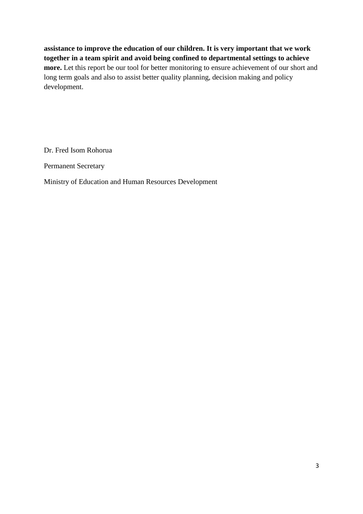**assistance to improve the education of our children. It is very important that we work together in a team spirit and avoid being confined to departmental settings to achieve more.** Let this report be our tool for better monitoring to ensure achievement of our short and long term goals and also to assist better quality planning, decision making and policy development.

Dr. Fred Isom Rohorua

Permanent Secretary

Ministry of Education and Human Resources Development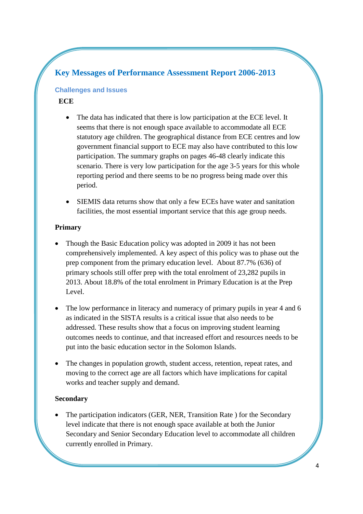# **Key Messages of Performance Assessment Report 2006-2013**

### **Challenges and Issues**

# **ECE**

- The data has indicated that there is low participation at the ECE level. It seems that there is not enough space available to accommodate all ECE statutory age children. The geographical distance from ECE centres and low government financial support to ECE may also have contributed to this low participation. The summary graphs on pages 46-48 clearly indicate this scenario. There is very low participation for the age 3-5 years for this whole reporting period and there seems to be no progress being made over this period.
- SIEMIS data returns show that only a few ECEs have water and sanitation facilities, the most essential important service that this age group needs.

# **Primary**

- Though the Basic Education policy was adopted in 2009 it has not been comprehensively implemented. A key aspect of this policy was to phase out the prep component from the primary education level. About 87.7% (636) of primary schools still offer prep with the total enrolment of 23,282 pupils in 2013. About 18.8% of the total enrolment in Primary Education is at the Prep Level.
- The low performance in literacy and numeracy of primary pupils in year 4 and 6 as indicated in the SISTA results is a critical issue that also needs to be addressed. These results show that a focus on improving student learning outcomes needs to continue, and that increased effort and resources needs to be put into the basic education sector in the Solomon Islands.
- The changes in population growth, student access, retention, repeat rates, and moving to the correct age are all factors which have implications for capital works and teacher supply and demand.

# **Secondary**

 The participation indicators (GER, NER, Transition Rate ) for the Secondary level indicate that there is not enough space available at both the Junior Secondary and Senior Secondary Education level to accommodate all children currently enrolled in Primary.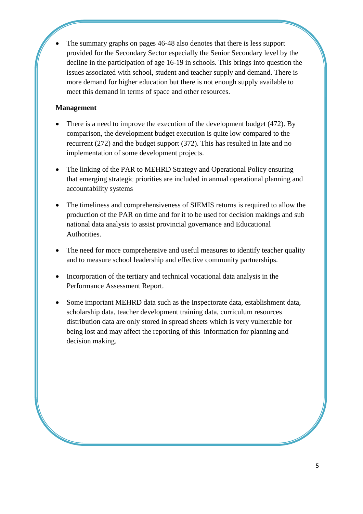The summary graphs on pages 46-48 also denotes that there is less support provided for the Secondary Sector especially the Senior Secondary level by the decline in the participation of age 16-19 in schools. This brings into question the issues associated with school, student and teacher supply and demand. There is more demand for higher education but there is not enough supply available to meet this demand in terms of space and other resources.

### **Management**

- There is a need to improve the execution of the development budget (472). By comparison, the development budget execution is quite low compared to the recurrent (272) and the budget support (372). This has resulted in late and no implementation of some development projects.
- The linking of the PAR to MEHRD Strategy and Operational Policy ensuring that emerging strategic priorities are included in annual operational planning and accountability systems
- The timeliness and comprehensiveness of SIEMIS returns is required to allow the production of the PAR on time and for it to be used for decision makings and sub national data analysis to assist provincial governance and Educational Authorities.
- The need for more comprehensive and useful measures to identify teacher quality and to measure school leadership and effective community partnerships.
- Incorporation of the tertiary and technical vocational data analysis in the Performance Assessment Report.
- Some important MEHRD data such as the Inspectorate data, establishment data, scholarship data, teacher development training data, curriculum resources distribution data are only stored in spread sheets which is very vulnerable for being lost and may affect the reporting of this information for planning and decision making.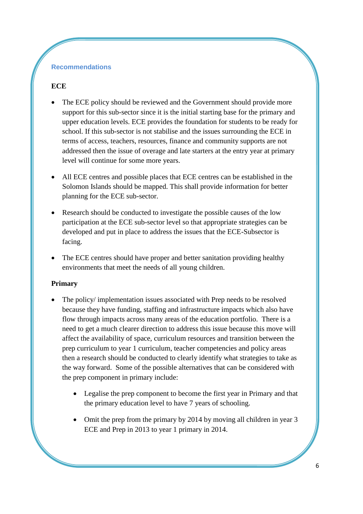### **Recommendations**

# **ECE**

- The ECE policy should be reviewed and the Government should provide more support for this sub-sector since it is the initial starting base for the primary and upper education levels. ECE provides the foundation for students to be ready for school. If this sub-sector is not stabilise and the issues surrounding the ECE in terms of access, teachers, resources, finance and community supports are not addressed then the issue of overage and late starters at the entry year at primary level will continue for some more years.
- All ECE centres and possible places that ECE centres can be established in the Solomon Islands should be mapped. This shall provide information for better planning for the ECE sub-sector.
- Research should be conducted to investigate the possible causes of the low participation at the ECE sub-sector level so that appropriate strategies can be developed and put in place to address the issues that the ECE-Subsector is facing.
- The ECE centres should have proper and better sanitation providing healthy environments that meet the needs of all young children.

### **Primary**

- The policy/ implementation issues associated with Prep needs to be resolved because they have funding, staffing and infrastructure impacts which also have flow through impacts across many areas of the education portfolio. There is a need to get a much clearer direction to address this issue because this move will affect the availability of space, curriculum resources and transition between the prep curriculum to year 1 curriculum, teacher competencies and policy areas then a research should be conducted to clearly identify what strategies to take as the way forward. Some of the possible alternatives that can be considered with the prep component in primary include:
	- Legalise the prep component to become the first year in Primary and that the primary education level to have 7 years of schooling.
	- Omit the prep from the primary by 2014 by moving all children in year 3 ECE and Prep in 2013 to year 1 primary in 2014.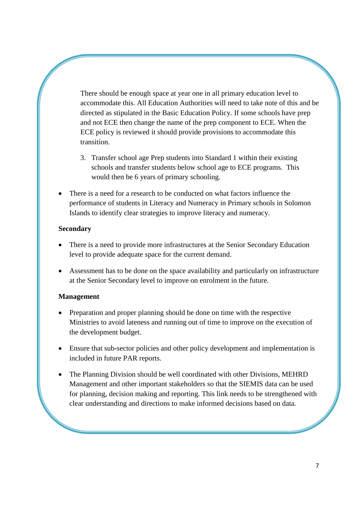There should be enough space at year one in all primary education level to accommodate this. All Education Authorities will need to take note of this and be directed as stipulated in the Basic Education Policy. If some schools have prep and not ECE then change the name of the prep component to ECE. When the ECE policy is reviewed it should provide provisions to accommodate this transition.

- 3. Transfer school age Prep students into Standard 1 within their existing schools and transfer students below school age to ECE programs. This would then be 6 years of primary schooling.
- There is a need for a research to be conducted on what factors influence the performance of students in Literacy and Numeracy in Primary schools in Solomon Islands to identify clear strategies to improve literacy and numeracy.

### **Secondary**

- There is a need to provide more infrastructures at the Senior Secondary Education level to provide adequate space for the current demand.
- Assessment has to be done on the space availability and particularly on infrastructure at the Senior Secondary level to improve on enrolment in the future.

# **Management**

- Preparation and proper planning should be done on time with the respective Ministries to avoid lateness and running out of time to improve on the execution of the development budget.
- Ensure that sub**-**sector policies and other policy development and implementation is included in future PAR reports.
- The Planning Division should be well coordinated with other Divisions, MEHRD Management and other important stakeholders so that the SIEMIS data can be used for planning, decision making and reporting. This link needs to be strengthened with clear understanding and directions to make informed decisions based on data.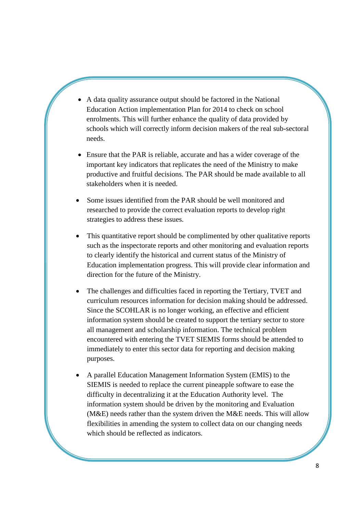- A data quality assurance output should be factored in the National Education Action implementation Plan for 2014 to check on school enrolments. This will further enhance the quality of data provided by schools which will correctly inform decision makers of the real sub-sectoral needs.
- Ensure that the PAR is reliable, accurate and has a wider coverage of the important key indicators that replicates the need of the Ministry to make productive and fruitful decisions. The PAR should be made available to all stakeholders when it is needed.
- Some issues identified from the PAR should be well monitored and researched to provide the correct evaluation reports to develop right strategies to address these issues.
- This quantitative report should be complimented by other qualitative reports such as the inspectorate reports and other monitoring and evaluation reports to clearly identify the historical and current status of the Ministry of Education implementation progress. This will provide clear information and direction for the future of the Ministry.
- The challenges and difficulties faced in reporting the Tertiary, TVET and curriculum resources information for decision making should be addressed. Since the SCOHLAR is no longer working, an effective and efficient information system should be created to support the tertiary sector to store all management and scholarship information. The technical problem encountered with entering the TVET SIEMIS forms should be attended to immediately to enter this sector data for reporting and decision making purposes.
- A parallel Education Management Information System (EMIS) to the SIEMIS is needed to replace the current pineapple software to ease the difficulty in decentralizing it at the Education Authority level. The information system should be driven by the monitoring and Evaluation (M&E) needs rather than the system driven the M&E needs. This will allow flexibilities in amending the system to collect data on our changing needs which should be reflected as indicators.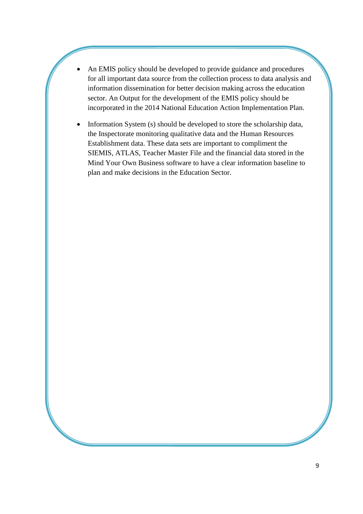- An EMIS policy should be developed to provide guidance and procedures for all important data source from the collection process to data analysis and information dissemination for better decision making across the education sector. An Output for the development of the EMIS policy should be incorporated in the 2014 National Education Action Implementation Plan.
- Information System (s) should be developed to store the scholarship data, the Inspectorate monitoring qualitative data and the Human Resources Establishment data. These data sets are important to compliment the SIEMIS, ATLAS, Teacher Master File and the financial data stored in the Mind Your Own Business software to have a clear information baseline to plan and make decisions in the Education Sector.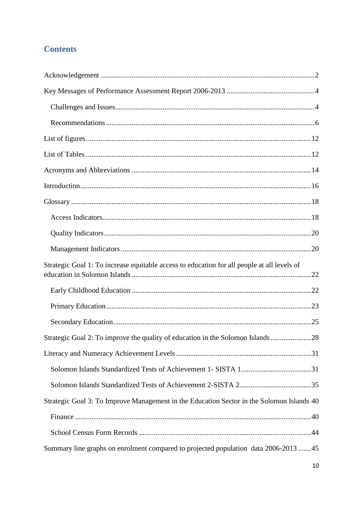# **Contents**

| Strategic Goal 1: To increase equitable access to education for all people at all levels of |
|---------------------------------------------------------------------------------------------|
|                                                                                             |
|                                                                                             |
|                                                                                             |
| Strategic Goal 2: To improve the quality of education in the Solomon Islands28              |
|                                                                                             |
|                                                                                             |
|                                                                                             |
| Strategic Goal 3: To Improve Management in the Education Sector in the Solomon Islands 40   |
|                                                                                             |
|                                                                                             |
| Summary line graphs on enrolment compared to projected population data 2006-2013 45         |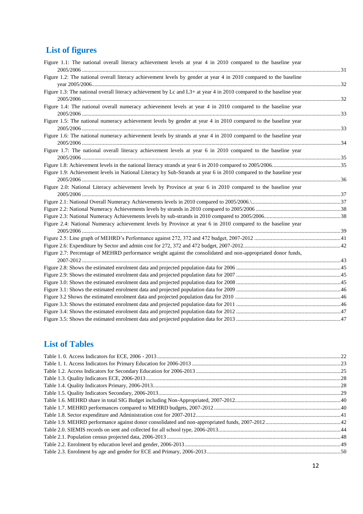# <span id="page-11-0"></span>**List of figures**

| Figure 1.1: The national overall literacy achievement levels at year 4 in 2010 compared to the baseline year        |  |
|---------------------------------------------------------------------------------------------------------------------|--|
|                                                                                                                     |  |
| Figure 1.2: The national overall literacy achievement levels by gender at year 4 in 2010 compared to the baseline   |  |
| Figure 1.3: The national overall literacy achievement by Lc and L3+ at year 4 in 2010 compared to the baseline year |  |
|                                                                                                                     |  |
| Figure 1.4: The national overall numeracy achievement levels at year 4 in 2010 compared to the baseline year        |  |
|                                                                                                                     |  |
| Figure 1.5: The national numeracy achievement levels by gender at year 4 in 2010 compared to the baseline year      |  |
|                                                                                                                     |  |
| Figure 1.6: The national numeracy achievement levels by strands at year 4 in 2010 compared to the baseline year     |  |
|                                                                                                                     |  |
| Figure 1.7: The national overall literacy achievement levels at year 6 in 2010 compared to the baseline year        |  |
|                                                                                                                     |  |
|                                                                                                                     |  |
| Figure 1.9: Achievement levels in National Literacy by Sub-Strands at year 6 in 2010 compared to the baseline year  |  |
|                                                                                                                     |  |
| Figure 2.0: National Literacy achievement levels by Province at year 6 in 2010 compared to the baseline year        |  |
|                                                                                                                     |  |
|                                                                                                                     |  |
|                                                                                                                     |  |
|                                                                                                                     |  |
| Figure 2.4: National Numeracy achievement levels by Province at year 6 in 2010 compared to the baseline year        |  |
|                                                                                                                     |  |
|                                                                                                                     |  |
|                                                                                                                     |  |
| Figure 2.7: Percentage of MEHRD performance weight against the consolidated and non-appropriated donor funds,       |  |
|                                                                                                                     |  |
|                                                                                                                     |  |
|                                                                                                                     |  |
|                                                                                                                     |  |
|                                                                                                                     |  |
|                                                                                                                     |  |
|                                                                                                                     |  |
|                                                                                                                     |  |
|                                                                                                                     |  |

# <span id="page-11-1"></span>**List of Tables**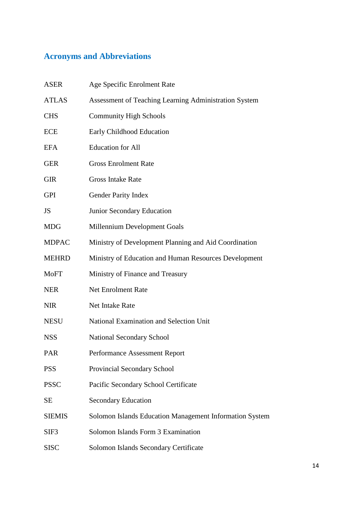# <span id="page-13-0"></span>**Acronyms and Abbreviations**

| <b>ASER</b>   | Age Specific Enrolment Rate                             |
|---------------|---------------------------------------------------------|
| <b>ATLAS</b>  | Assessment of Teaching Learning Administration System   |
| <b>CHS</b>    | <b>Community High Schools</b>                           |
| <b>ECE</b>    | Early Childhood Education                               |
| <b>EFA</b>    | <b>Education</b> for All                                |
| <b>GER</b>    | <b>Gross Enrolment Rate</b>                             |
| <b>GIR</b>    | <b>Gross Intake Rate</b>                                |
| <b>GPI</b>    | <b>Gender Parity Index</b>                              |
| <b>JS</b>     | Junior Secondary Education                              |
| <b>MDG</b>    | Millennium Development Goals                            |
| <b>MDPAC</b>  | Ministry of Development Planning and Aid Coordination   |
| <b>MEHRD</b>  | Ministry of Education and Human Resources Development   |
| <b>MoFT</b>   | Ministry of Finance and Treasury                        |
| <b>NER</b>    | <b>Net Enrolment Rate</b>                               |
| <b>NIR</b>    | Net Intake Rate                                         |
| <b>NESU</b>   | National Examination and Selection Unit                 |
| <b>NSS</b>    | <b>National Secondary School</b>                        |
| PAR           | Performance Assessment Report                           |
| <b>PSS</b>    | Provincial Secondary School                             |
| <b>PSSC</b>   | Pacific Secondary School Certificate                    |
| SЕ            | <b>Secondary Education</b>                              |
| <b>SIEMIS</b> | Solomon Islands Education Management Information System |
| SIF3          | Solomon Islands Form 3 Examination                      |
| <b>SISC</b>   | Solomon Islands Secondary Certificate                   |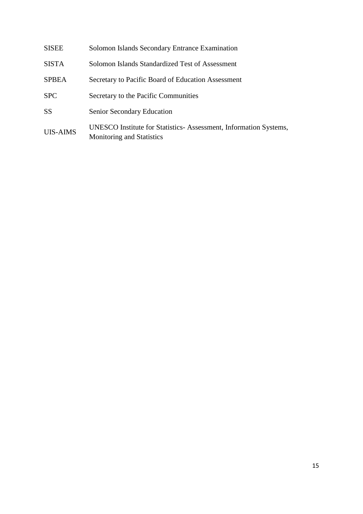| <b>SISEE</b>    | Solomon Islands Secondary Entrance Examination                                                       |
|-----------------|------------------------------------------------------------------------------------------------------|
| <b>SISTA</b>    | Solomon Islands Standardized Test of Assessment                                                      |
| <b>SPBEA</b>    | Secretary to Pacific Board of Education Assessment                                                   |
| <b>SPC</b>      | Secretary to the Pacific Communities                                                                 |
| <b>SS</b>       | Senior Secondary Education                                                                           |
| <b>UIS-AIMS</b> | UNESCO Institute for Statistics-Assessment, Information Systems,<br><b>Monitoring and Statistics</b> |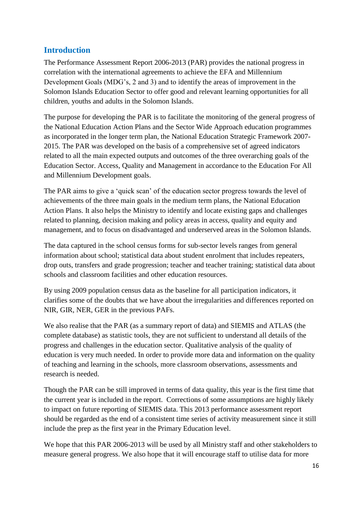# <span id="page-15-0"></span>**Introduction**

The Performance Assessment Report 2006-2013 (PAR) provides the national progress in correlation with the international agreements to achieve the EFA and Millennium Development Goals (MDG's, 2 and 3) and to identify the areas of improvement in the Solomon Islands Education Sector to offer good and relevant learning opportunities for all children, youths and adults in the Solomon Islands.

The purpose for developing the PAR is to facilitate the monitoring of the general progress of the National Education Action Plans and the Sector Wide Approach education programmes as incorporated in the longer term plan, the National Education Strategic Framework 2007- 2015. The PAR was developed on the basis of a comprehensive set of agreed indicators related to all the main expected outputs and outcomes of the three overarching goals of the Education Sector. Access, Quality and Management in accordance to the Education For All and Millennium Development goals.

The PAR aims to give a 'quick scan' of the education sector progress towards the level of achievements of the three main goals in the medium term plans, the National Education Action Plans. It also helps the Ministry to identify and locate existing gaps and challenges related to planning, decision making and policy areas in access, quality and equity and management, and to focus on disadvantaged and underserved areas in the Solomon Islands.

The data captured in the school census forms for sub-sector levels ranges from general information about school; statistical data about student enrolment that includes repeaters, drop outs, transfers and grade progression; teacher and teacher training; statistical data about schools and classroom facilities and other education resources.

By using 2009 population census data as the baseline for all participation indicators, it clarifies some of the doubts that we have about the irregularities and differences reported on NIR, GIR, NER, GER in the previous PAFs.

We also realise that the PAR (as a summary report of data) and SIEMIS and ATLAS (the complete database) as statistic tools, they are not sufficient to understand all details of the progress and challenges in the education sector. Qualitative analysis of the quality of education is very much needed. In order to provide more data and information on the quality of teaching and learning in the schools, more classroom observations, assessments and research is needed.

Though the PAR can be still improved in terms of data quality, this year is the first time that the current year is included in the report. Corrections of some assumptions are highly likely to impact on future reporting of SIEMIS data. This 2013 performance assessment report should be regarded as the end of a consistent time series of activity measurement since it still include the prep as the first year in the Primary Education level.

We hope that this PAR 2006-2013 will be used by all Ministry staff and other stakeholders to measure general progress. We also hope that it will encourage staff to utilise data for more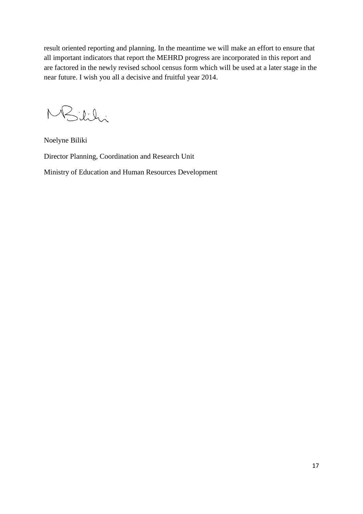result oriented reporting and planning. In the meantime we will make an effort to ensure that all important indicators that report the MEHRD progress are incorporated in this report and are factored in the newly revised school census form which will be used at a later stage in the near future. I wish you all a decisive and fruitful year 2014.

MBilihi

Noelyne Biliki

Director Planning, Coordination and Research Unit

Ministry of Education and Human Resources Development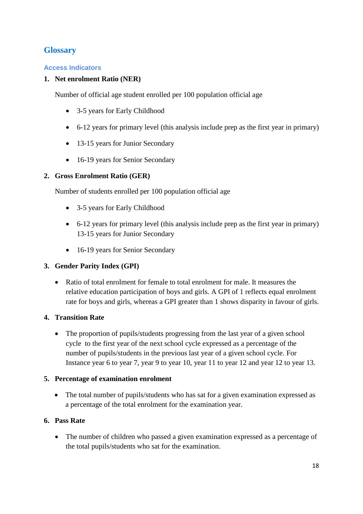# <span id="page-17-0"></span>**Glossary**

# <span id="page-17-1"></span>**Access Indicators**

# **1. Net enrolment Ratio (NER)**

Number of official age student enrolled per 100 population official age

- 3-5 years for Early Childhood
- 6-12 years for primary level (this analysis include prep as the first year in primary)
- 13-15 years for Junior Secondary
- 16-19 years for Senior Secondary

# **2. Gross Enrolment Ratio (GER)**

Number of students enrolled per 100 population official age

- 3-5 years for Early Childhood
- 6-12 years for primary level (this analysis include prep as the first year in primary) 13-15 years for Junior Secondary
- 16-19 years for Senior Secondary

# **3. Gender Parity Index (GPI)**

 Ratio of total enrolment for female to total enrolment for male. It measures the relative education participation of boys and girls. A GPI of 1 reflects equal enrolment rate for boys and girls, whereas a GPI greater than 1 shows disparity in favour of girls.

# **4. Transition Rate**

• The proportion of pupils/students progressing from the last year of a given school cycle to the first year of the next school cycle expressed as a percentage of the number of pupils/students in the previous last year of a given school cycle. For Instance year 6 to year 7, year 9 to year 10, year 11 to year 12 and year 12 to year 13.

# **5. Percentage of examination enrolment**

• The total number of pupils/students who has sat for a given examination expressed as a percentage of the total enrolment for the examination year.

# **6. Pass Rate**

• The number of children who passed a given examination expressed as a percentage of the total pupils/students who sat for the examination.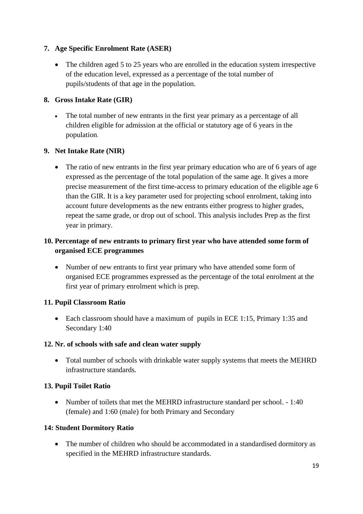# **7. Age Specific Enrolment Rate (ASER)**

• The children aged 5 to 25 years who are enrolled in the education system irrespective of the education level, expressed as a percentage of the total number of pupils/students of that age in the population.

# **8. Gross Intake Rate (GIR)**

 The total number of new entrants in the first year primary as a percentage of all children eligible for admission at the official or statutory age of 6 years in the population.

# **9. Net Intake Rate (NIR)**

• The ratio of new entrants in the first year primary education who are of 6 years of age expressed as the percentage of the total population of the same age. It gives a more precise measurement of the first time-access to primary education of the eligible age 6 than the GIR. It is a key parameter used for projecting school enrolment, taking into account future developments as the new entrants either progress to higher grades, repeat the same grade, or drop out of school. This analysis includes Prep as the first year in primary.

# **10. Percentage of new entrants to primary first year who have attended some form of organised ECE programmes**

• Number of new entrants to first year primary who have attended some form of organised ECE programmes expressed as the percentage of the total enrolment at the first year of primary enrolment which is prep.

# **11. Pupil Classroom Ratio**

 Each classroom should have a maximum of pupils in ECE 1:15, Primary 1:35 and Secondary 1:40

# **12. Nr. of schools with safe and clean water supply**

 Total number of schools with drinkable water supply systems that meets the MEHRD infrastructure standards**.**

# **13. Pupil Toilet Ratio**

• Number of toilets that met the MEHRD infrastructure standard per school. - 1:40 (female) and 1:60 (male) for both Primary and Secondary

# **14: Student Dormitory Ratio**

 The number of children who should be accommodated in a standardised dormitory as specified in the MEHRD infrastructure standards.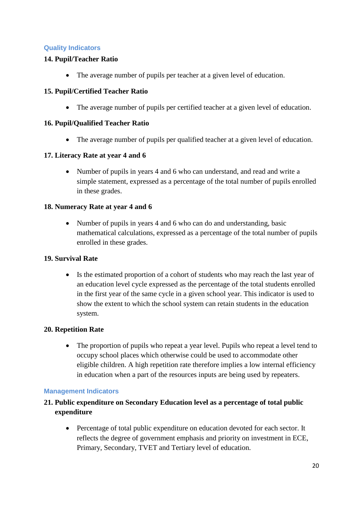# <span id="page-19-0"></span>**Quality Indicators**

# **14. Pupil/Teacher Ratio**

The average number of pupils per teacher at a given level of education.

# **15. Pupil/Certified Teacher Ratio**

The average number of pupils per certified teacher at a given level of education.

# **16. Pupil/Qualified Teacher Ratio**

• The average number of pupils per qualified teacher at a given level of education.

# **17. Literacy Rate at year 4 and 6**

 Number of pupils in years 4 and 6 who can understand, and read and write a simple statement, expressed as a percentage of the total number of pupils enrolled in these grades.

# **18. Numeracy Rate at year 4 and 6**

• Number of pupils in years 4 and 6 who can do and understanding, basic mathematical calculations, expressed as a percentage of the total number of pupils enrolled in these grades.

# **19. Survival Rate**

 Is the estimated proportion of a cohort of students who may reach the last year of an education level cycle expressed as the percentage of the total students enrolled in the first year of the same cycle in a given school year. This indicator is used to show the extent to which the school system can retain students in the education system.

# **20. Repetition Rate**

• The proportion of pupils who repeat a year level. Pupils who repeat a level tend to occupy school places which otherwise could be used to accommodate other eligible children. A high repetition rate therefore implies a low internal efficiency in education when a part of the resources inputs are being used by repeaters.

# <span id="page-19-1"></span>**Management Indicators**

# **21. Public expenditure on Secondary Education level as a percentage of total public expenditure**

 Percentage of total public expenditure on education devoted for each sector. It reflects the degree of government emphasis and priority on investment in ECE, Primary, Secondary, TVET and Tertiary level of education.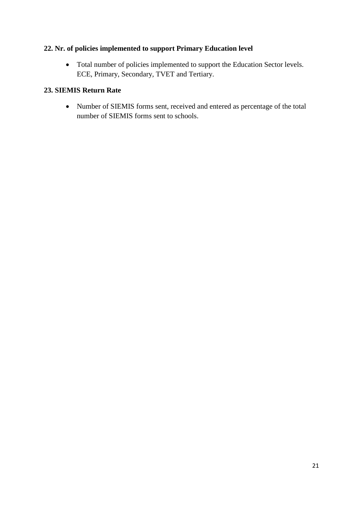# **22. Nr. of policies implemented to support Primary Education level**

 Total number of policies implemented to support the Education Sector levels. ECE, Primary, Secondary, TVET and Tertiary.

# **23. SIEMIS Return Rate**

 Number of SIEMIS forms sent, received and entered as percentage of the total number of SIEMIS forms sent to schools.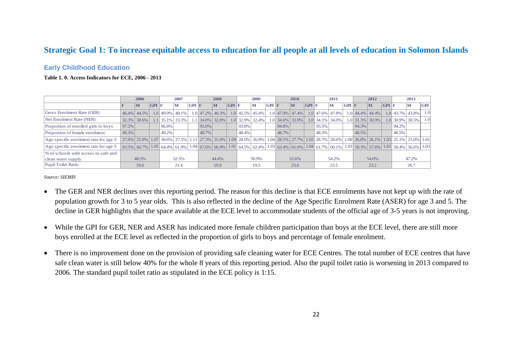# **Strategic Goal 1: To increase equitable access to education for all people at all levels of education in Solomon Islands**

#### **Early Childhood Education**

#### **Table 1. 0. Access Indicators for ECE, 2006 - 2013**

|                                       |       | 2006           |       |       | 2007                  |         |       | 2008              |       |       | 2009                                                                                                                 |         |       | 2010               |       |           | 2011               |               |                       | 2012               |       |             | 2013                    |            |
|---------------------------------------|-------|----------------|-------|-------|-----------------------|---------|-------|-------------------|-------|-------|----------------------------------------------------------------------------------------------------------------------|---------|-------|--------------------|-------|-----------|--------------------|---------------|-----------------------|--------------------|-------|-------------|-------------------------|------------|
|                                       |       | M              | GPI F |       | ıМ                    | $GPI$ F |       | M                 | GPI F |       | M                                                                                                                    | $GPI$ F |       | M                  | GPI F |           | м                  | $ $ GPI $ $ F |                       | M                  | GPI F |             | м                       | <b>GPI</b> |
| Gross Enrolment Rate (GER)            |       | 46.4% 44.5%    |       |       | $1.0$   49.9%   48.1% |         |       | $1.0$ 47.2% 46.3% |       |       | $1.0$ 45.5% 45.4%                                                                                                    |         |       | 1.0 47.9% 47.4%    |       | 1.0 47.6% | $ 47.8\% $         |               | $1.0$ 44.4% 44.4%     |                    |       | $1.0$ 43.7% | 43.8%                   | 1.0        |
| Net Enrolment Rate (NER)              |       | $32.3\%$ 30.6% |       |       | $1.1$   35.1%   33.3% |         |       | $1.1$ 34.0% 32.8% |       |       | $1.0$ 32.9% 32.4%                                                                                                    |         |       | 1.0 34.6% 33.9%    |       |           | 1.0 34.1% 34.0%    |               | $1.0$   31.3%   30.9% |                    |       | $1.0$ 30.9% | 30.5%                   | 1.0        |
| Proportion of enrolled girls to boys  | 97.2% |                |       | 96.8% |                       |         | 95.0% |                   |       | 93.8% |                                                                                                                      |         | 94.8% |                    |       | 93.5%     |                    |               | 94.3%                 |                    |       | 94.2%       |                         |            |
| Proportion of female enrolment        | 49.3% |                |       | 49.2% |                       |         | 48.7% |                   |       | 48.4% |                                                                                                                      |         | 48.7% |                    |       | 48.3%     |                    |               | 48.5%                 |                    |       | 48.5%       |                         |            |
| Age specific enrolment rate for age 3 |       |                |       |       |                       |         |       |                   |       |       | 27.6% 25.9% 1.07 30.6% 27.5% 1.11 27.3% 25.0% 1.09 28.0% 26.9% 1                                                     |         |       | $1.04$ 28.5% 27.7% |       |           | $1.03$ 28.7% 28.6% |               |                       | $1.00$ 26.8% 26.1% |       |             | $1.03$ 25.1% 25.0% 1.01 |            |
| Age specific enrolment rate for age 5 |       |                |       |       |                       |         |       |                   |       |       | $63.5\%$ 60.7% 1.05 64.4% 61.9% 1.04 67.6% 66.9% 1.01 64.5% 62.4% 1.03 63.4% 61.0% 1.04 61.7% 60.1% 1.03 58.3% 57.6% |         |       |                    |       |           |                    |               |                       |                    |       |             | $1.01$ 58.4% 56.6% 1.03 |            |
| % of schools with access to safe and  |       |                |       |       |                       |         |       |                   |       |       |                                                                                                                      |         |       |                    |       |           |                    |               |                       |                    |       |             |                         |            |
| clean water supply                    |       | 48.5%          |       |       | 52.5%                 |         |       | 44.4%             |       |       | 50.9%                                                                                                                |         |       | 52.6%              |       |           | 54.2%              |               |                       | 54.0%              |       |             | 47.2%                   |            |
| Pupil Toilet Ratio                    |       | 19.6           |       |       | 21.4                  |         |       | 19.9              |       |       | 19.5                                                                                                                 |         |       | 23.6               |       |           | 23.2               |               |                       | 23.2               |       |             | 26.7                    |            |

- <span id="page-21-0"></span>• The GER and NER declines over this reporting period. The reason for this decline is that ECE enrolments have not kept up with the rate of population growth for 3 to 5 year olds. This is also reflected in the decline of the Age Specific Enrolment Rate (ASER) for age 3 and 5. The decline in GER highlights that the space available at the ECE level to accommodate students of the official age of 3-5 years is not improving.
- <span id="page-21-2"></span><span id="page-21-1"></span>• While the GPI for GER, NER and ASER has indicated more female children participation than boys at the ECE level, there are still more boys enrolled at the ECE level as reflected in the proportion of girls to boys and percentage of female enrolment.
- There is no improvement done on the provision of providing safe cleaning water for ECE Centres. The total number of ECE centres that have safe clean water is still below 40% for the whole 8 years of this reporting period. Also the pupil toilet ratio is worsening in 2013 compared to 2006. The standard pupil toilet ratio as stipulated in the ECE policy is 1:15.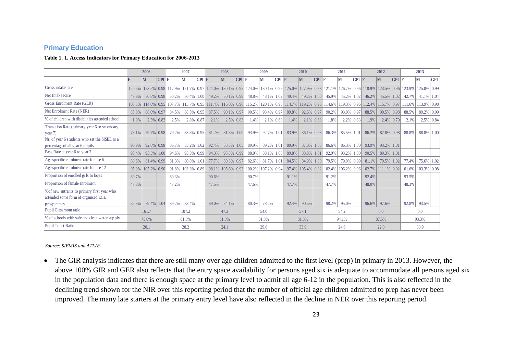### **Primary Education**

#### **Table 1. 1. Access Indicators for Primary Education for 2006-2013**

|                                                                                                  |          | 2006            |           |                                                                                      | 2007                     |       |                    | 2008            |              |                    | 2009            |              |                       | 2010            |       |                    | 2011         |         |       | 2012                                              |       | 2013   |             |              |
|--------------------------------------------------------------------------------------------------|----------|-----------------|-----------|--------------------------------------------------------------------------------------|--------------------------|-------|--------------------|-----------------|--------------|--------------------|-----------------|--------------|-----------------------|-----------------|-------|--------------------|--------------|---------|-------|---------------------------------------------------|-------|--------|-------------|--------------|
|                                                                                                  |          | lМ              | $GPI$ $F$ |                                                                                      | M                        | GPI F |                    | M               | GPI F        |                    | М               | GPI F        |                       | M               | GPI F |                    | М            | $GPI$ F |       | M                                                 | GPI F |        | M           | <b>GPI</b>   |
| Gross intake rate                                                                                | 120.6%   | 123.5%          |           | $\vert 0.98 \vert 117.9\% \vert$                                                     |                          |       | 121.7% 0.97 124.0% |                 |              | 130.1% 0.95 124.0% |                 |              | $130.1\%$ 0.95 125.0% |                 |       | 127.9% 0.98 121.1% |              |         |       | 126.7% 0.96 118.9% 123.5% 0.96                    |       | 123.9% | 125.0% 0.99 |              |
| <b>Net Intake Rate</b>                                                                           | 49.8%    | $50.8\%$   0.98 |           | 50.2%                                                                                | $50.4\%$   1.00          |       | 49.2%              | $50.1\%$ 0.98   |              | 48.8%              | $48.1\%$   1.02 |              | 49.4%                 | $49.2\%$   1.00 |       | 45.9%              | 45.2%        | 1.02    | 46.2% | 45.5%   1.02                                      |       | 42.7%  | 41.1% 1.04  |              |
| Gross Enrolment Rate (GER)                                                                       |          |                 |           | 108.5% 114.0% 0.95 107.7% 113.7% 0.95 111.4% 116.0% 0.96 115.2% 120.1% 0.96 114.7% 1 |                          |       |                    |                 |              |                    |                 |              |                       |                 |       | 119.2% 0.96 114.6% |              |         |       | 119.3% 0.96 112.4% 115.7% 0.97 111.6%             |       |        | 113.9% 0.98 |              |
| Net Enrolment Rate (NER)                                                                         | 85.0%    | 88.0%           | 0.97      | 84.5%                                                                                | 88.5% 0.95               |       | 87.5%              | $90.1\%$ 0.97   |              | 90.5%              | 93.4% 0.97      |              | 89.8%                 | $92.6\%$ 0.97   |       | 90.2%              | 93.0%        | 0.97    | 88.5% | $90.5\%$ 0.98                                     |       | 88.5%  | 89.2% 0.99  |              |
| % of children with disabilities attended school                                                  | 1.9%     | $2.3\%$ 0.82    |           | 2.5%                                                                                 | $2.8\%$ 0.87             |       | 2.1%               |                 | $2.5\%$ 0.83 | 1.4%               |                 | $2.1\%$ 0.68 | 1.4%                  | $2.1\%$ 0.68    |       | 1.8%               | $2.2\%$ 0.83 |         | 1.9%  | $2.4\%$ 0.79                                      |       | 2.1%   |             | $2.5\%$ 0.84 |
| Transition Rate (primary year 6 to secondary<br>year 7)                                          | 78.1%    | 79.7% 0.98      |           | 79.2%                                                                                | 83.8% 0.95               |       | 81.2%              | $81.3\%$   1.00 |              | 93.9%              | $92.7\%$   1.01 |              | 83.9%                 | $86.1\%$ 0.98   |       | 86.3%              | 85.5%        | 1.01    | 86.2% | 87.8% 0.98                                        |       | 88.8%  | 88.8% 1.00  |              |
| Nr. of year 6 students who sat the SISEE as a<br>percentage of all year 6 pupils                 | 90.9%    | $92.8\%$ 0.98   |           | 86.7%                                                                                | 85.2%                    | 1.02  | 92.4%              | 88.3% 1.05      |              | 89.9%              | 89.2% 1.01      |              | 89.9%                 | 87.0% 1.03      |       | 86.6%              | 86.3%        | 1.00    | 93.9% | 93.2% 1.01                                        |       |        |             |              |
| Pass Rate at year 6 to year 7                                                                    | 95.4%    | 95.3%           | 1.00      | 94.6%                                                                                | 95.5% 0.99               |       | 94.3%              | $95.3\%$ 0.99   |              | 88.0%              | 88.1% 1.00      |              | 89.8%                 | $88.8\%$   1.01 |       | 92.9%              | 93.2%        | 1001    | 90.5% | 89.3% 1.01                                        |       |        |             |              |
| Age specific enrolment rate for age 6                                                            | 80.6%    | $81.4\%$ 0.99   |           | 81.3%                                                                                | $80.8\%$ 1.01            |       | 77.7%              | $80.3\%$ 0.97   |              | 82.6%              | $81.7\%$   1.01 |              | 84.5%                 | $84.9\%$   1.00 |       | 79.5%              | 79.9%        | 0.99    | 81.1% | 79.5% 1.02                                        |       | 77.4%  | 75.6% 1.02  |              |
| Age specific enrolment rate for age 12                                                           | $95.0\%$ | $105.2\%$ 0.90  |           |                                                                                      | $91.8\%$   103.3%   0.89 |       | 98.1%              |                 |              | 105.6% 0.93 100.2% | $107.2\%$ 0.94  |              | $97.4\%$              |                 |       |                    |              |         |       | 105.4% 0.92 102.4% 106.2% 0.96 102.7% 111.1% 0.92 |       | 101.6% | 103.3% 0.98 |              |
| Proportion of enrolled girls to boys                                                             | 89.7%    |                 |           | 89.3%                                                                                |                          |       | 90.6%              |                 |              | 90.7%              |                 |              | 91.1%                 |                 |       | 91.2%              |              |         | 92.4% |                                                   |       | 93.5%  |             |              |
| Proportion of female enrolment                                                                   | 47.3%    |                 |           | 47.2%                                                                                |                          |       | 47.5%              |                 |              | 47.6%              |                 |              | 47.7%                 |                 |       | 47.7%              |              |         | 48.0% |                                                   |       | 48.3%  |             |              |
| % of new entrants to primary first year who<br>attended some form of organised ECE<br>programmes | 82.3%    | 79.4%           | 1.04      | 89.2%                                                                                | 83.4%                    |       | 89.0%              | 84.1%           |              | 80.3%              | 78.2%           |              | 92.4%                 | 90.5%           |       | 98.2%              | 95.0%        |         | 96.6% | 97.6%                                             |       | 92.8%  | 93.5%       |              |
| Pupil Classroom ratio                                                                            |          | 161.7           |           |                                                                                      | 107.2                    |       |                    | 47.3            |              |                    | 54.0            |              |                       | 57.1            |       |                    | 54.2         |         |       | 0.0                                               |       |        | 0.0         |              |
| % of schools with safe and clean water supply                                                    |          | 75.0%           |           |                                                                                      | 81.3%                    |       |                    | 81.3%           |              |                    | 81.3%           |              |                       | 81.3%           |       |                    | 94.1%        |         |       | 87.5%                                             |       |        | 93.3%       |              |
| Pupil Toilet Ratio                                                                               |          | 20.1            |           |                                                                                      | 28.2                     |       |                    | 24.1            |              |                    | 29.6            |              |                       | 33.9            |       |                    | 24.6         |         |       | 22.0                                              |       |        | 33.9        |              |

<span id="page-22-1"></span><span id="page-22-0"></span>*Source: SIEMIS and ATLAS*

• The GIR analysis indicates that there are still many over age children admitted to the first level (prep) in primary in 2013. However, the above 100% GIR and GER also reflects that the entry space availability for persons aged six is adequate to accommodate all persons aged six in the population data and there is enough space at the primary level to admit all age 6-12 in the population. This is also reflected in the declining trend shown for the NIR over this reporting period that the number of official age children admitted to prep has never been improved. The many late starters at the primary entry level have also reflected in the decline in NER over this reporting period.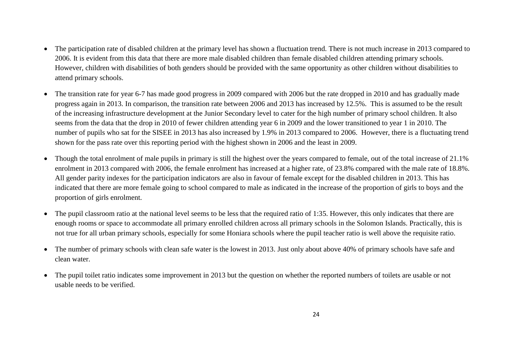- The participation rate of disabled children at the primary level has shown a fluctuation trend. There is not much increase in 2013 compared to 2006. It is evident from this data that there are more male disabled children than female disabled children attending primary schools. However, children with disabilities of both genders should be provided with the same opportunity as other children without disabilities to attend primary schools.
- The transition rate for year 6-7 has made good progress in 2009 compared with 2006 but the rate dropped in 2010 and has gradually made progress again in 2013. In comparison, the transition rate between 2006 and 2013 has increased by 12.5%. This is assumed to be the result of the increasing infrastructure development at the Junior Secondary level to cater for the high number of primary school children. It also seems from the data that the drop in 2010 of fewer children attending year 6 in 2009 and the lower transitioned to year 1 in 2010. The number of pupils who sat for the SISEE in 2013 has also increased by 1.9% in 2013 compared to 2006. However, there is a fluctuating trend shown for the pass rate over this reporting period with the highest shown in 2006 and the least in 2009.
- Though the total enrolment of male pupils in primary is still the highest over the years compared to female, out of the total increase of 21.1% enrolment in 2013 compared with 2006, the female enrolment has increased at a higher rate, of 23.8% compared with the male rate of 18.8%. All gender parity indexes for the participation indicators are also in favour of female except for the disabled children in 2013. This has indicated that there are more female going to school compared to male as indicated in the increase of the proportion of girls to boys and the proportion of girls enrolment.
- The pupil classroom ratio at the national level seems to be less that the required ratio of 1:35. However, this only indicates that there are enough rooms or space to accommodate all primary enrolled children across all primary schools in the Solomon Islands. Practically, this is not true for all urban primary schools, especially for some Honiara schools where the pupil teacher ratio is well above the requisite ratio.
- The number of primary schools with clean safe water is the lowest in 2013. Just only about above 40% of primary schools have safe and clean water.
- The pupil toilet ratio indicates some improvement in 2013 but the question on whether the reported numbers of toilets are usable or not usable needs to be verified.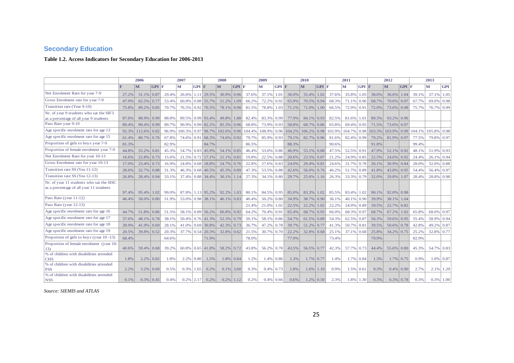# **Secondary Education**

#### **Table 1.2. Access Indicators for Secondary Education for 2006-2013**

|                                                                                     |       | 2006           |                   |       | 2007    |       |                    | 2008<br>2009       |       |       |               |                   | 2010   |                | 2011              |        |        |                | 2012   | 2013           |               |        |               |                |
|-------------------------------------------------------------------------------------|-------|----------------|-------------------|-------|---------|-------|--------------------|--------------------|-------|-------|---------------|-------------------|--------|----------------|-------------------|--------|--------|----------------|--------|----------------|---------------|--------|---------------|----------------|
|                                                                                     |       | M              | $GPI$ F           |       | M       | GPI F |                    | M                  | GPI F |       | M             | GPI F             |        | M              | $GPI$ F           |        | M      | $GPI$ $F$      |        | lм             | GPI F         |        | lм            | <b>GPI</b>     |
| Net Enrolment Rate for year 7-9                                                     | 27.2% | 31.1%          | $\overline{0.87}$ | 29.4% | 26.6%   |       | $1.11$ 29.5%       | 30.9%              | 0.96  | 37.6% | 37.1%         | 1.01              | 36.0%  | 35.4%          | 1.02              | 37.6%  | 35.8%  | 1.05           | 38.0%  | 36.6%          | 1.04          | 39.1%  | $37.1\%$      | 1.05           |
| Gross Enrolment rate for year 7-9                                                   | 47.9% | 62.5%          | 0.77              | 53.4% | 60.8%   |       | 0.88 55.7%         | 51.2%              | 1.09  | 66.2% | 72.2%         | 0.92              | 65.9%  | 70.5% 0.94     |                   | 68.3%  | 71.1%  | 0.96           | 68.7%  | 70.6%          | $\sqrt{0.97}$ | 67.7%  | $69.0\%$ 0.98 |                |
| Transition rate (Year 9-10)                                                         | 75.8% | $89.2\%$ 0.85  |                   | 70.7% | 76.5%   |       | $0.92$ 76.5%       | 78.1% 0.98         |       | 81.5% | 78.8%         | 1.03              | 71.1%  | 71.0%          | 1.00              | 66.5%  | 72.9%  | 0.91           | 72.0%  | 73.6% 0.98     |               | 75.7%  | 76.7% 0.99    |                |
| Nr. of year 9 students who sat the SIF3<br>as a percentage of all year 9 students   | 87.6% | 88.9%          | $\vert$ 0.99      | 88.8% | 89.5%   |       | 0.99 93.4%         | 49.8%              | 1.88  | 82.4% | 83.3% 0.99    |                   | 77.9%  | $84.1\%$ 0.93  |                   | 82.5%  | 81.6%  | 1.01           | 89.3%  | $93.2\%$ 0.96  |               |        |               |                |
| Pass Rate year 9-10                                                                 | 89.4% | 90.4%          | $\vert$ 0.99      | 89.7% | 90.9%   |       | 0.99 82.2%         | $85.3\%$ 0.96      |       | 68.8% | 73.9%         | 0.93              | 58.8%  | 68.7%          | 0.86              | 65.8%  | 69.4%  | 0.95           | 71.5%  | 73.6% 0.97     |               |        |               |                |
| Age specific enrolment rate for age 13                                              | 92.3% | $112.6\%$ 0.82 |                   | 96.9% | 100.3%  |       | 0.97 98.7%         | 102.6% 0.96 104.4% |       |       | 108.9%        | 0.96              | 104.2% | $106.2\%$ 0.98 |                   | 102.9% | 104.7% | 0.98           | 103.3% | $103.9\%$ 0.99 |               | 104.1% | 105.8% 0.98   |                |
| Age specific enrolment rate for age 15                                              | 61.4% | 80.7%          | 10.76             | 67.8% | 74.6%   | 0.91  | 68.3%              | 74.6% 0.92         |       | 79.7% | 85.9% 0.93    |                   | 79.1%  | 82.7% 0.96     |                   | 81.6%  | 82.4%  | 0.99           | 79.2%  | 81.9% 0.97     |               | 77.5%  | 79.8% 0.97    |                |
| Proportion of girls to boys year 7-9                                                | 81.3% |                |                   | 82.9% |         |       | 84.7%              |                    |       | 86.5% |               |                   | 88.3%  |                |                   | 90.6%  |        |                | 91.8%  |                |               | 99.4%  |               |                |
| Proportion of female enrolment year 7-9                                             | 44.8% | 55.2%          | $\overline{0.81}$ | 45.3% | 54.7%   |       | $0.83 \mid 45.9\%$ | 54.1% 0.85         |       | 46.4% | 53.6% 0.86    |                   | 46.9%  | $53.1\%$ 0.88  |                   | 47.5%  | 52.5%  | $\sqrt{0.91}$  | 47.9%  | $52.1\%$ 0.92  |               | 48.1%  | 51.9% 0.93    |                |
| Net Enrolment Rate for year 10-13                                                   | 16.6% | 22.8%          | 0.73              | 15.6% | 21.5%   |       | $0.72$ 17.1%       | $21.1\%$ 0.81      |       | 19.8% | 22.5% 0.88    |                   | 20.6%  | 23.5% 0.87     |                   | 21.2%  | 24.9%  | 0.85           | 22.5%  | $24.6\%$ 0.92  |               | 24.4%  | $26.1\%$ 0.94 |                |
| Gross Enrolment rate for year 10-13                                                 | 17.0% | 23.4%          | 0.73              | 16.9% | 24.8%   |       | $0.68$ 18.8%       | 24.7%              | 0.76  | 22.8% | 27.6%         | 0.83              | 24.0%  | $29.4\%$ 0.81  |                   | 24.6%  | 31.7%  | 0.78           | 26.1%  | 30.9%          | $\sqrt{0.84}$ | 28.0%  | $32.0\%$ 0.88 |                |
| Transition rate SS (Yea 11-12)                                                      | 28.6% | 32.7%          | $\vert 0.88$      | 31.3% | 46.3%   |       | $0.68$ 40.5%       | $45.3\%$ 0.89      |       | 47.3% | 53.5% 0.88    |                   | 42.6%  | $56.0\%$ 0.76  |                   | 46.2%  | 51.7%  | 0.89           | 41.8%  | 43.8%          | 0.95          | 54.4%  | 56.4% 0.97    |                |
| Transition rate SS (Yea 12-13)                                                      | 26.8% | 28.4%          | $\sqrt{0.94}$     | 33.1% | 37.4%   |       | 0.88 34.4%         | $30.1\%$ 1.14      |       | 27.3% | 34.1%         | $\overline{0.80}$ | 29.7%  | 25.6%          | 1.16              | 26.3%  | 33.3%  | 0.79           | 32.0%  | 29.8%          | 1.07          | 28.4%  | 28.8% 0.98    |                |
| Nr. of year 11 students who sat the SISC<br>as a percentage of all year 11 students | 97.4% | 95.4%          | $\pm 1.02$        | 99.0% | 87.8%   |       | 1.13 95.2%         | 92.2%              | 1.03  | 80.1% | 84.5% 0.95    |                   | 85.0%  | 83.3%          | 1.02              | 85.5%  | 83.4%  | 1.02           | 90.1%  | $92.0\%$ 0.98  |               |        |               |                |
| Pass Rate (year 11-12)                                                              | 46.4% | 58.0%          | $\sqrt{0.80}$     | 51.9% | 53.0%   |       | 0.98 38.1%         | $46.1\%$ 0.83      |       | 40.4% | 50.2%         | $\overline{0.80}$ | 34.9%  | 38.7%          | $\overline{0.90}$ | 36.1%  | 40.1%  | 0.90           | 39.9%  | 38.1%          | 1.04          |        |               |                |
| Pass Rate (year 12-13)                                                              |       |                |                   |       |         |       |                    |                    |       | 21.4% | 21.0%         | 1.02              | 22.5%  | 22.2%          | 1.02              | 22.2%  | 24.9%  | $\sqrt{0.89}$  | 18.5%  | 22.7% 0.82     |               |        |               |                |
| Age specific enrolment rate for age 16                                              | 44.7% | 51.8%          | 0.86              | 51.5% | 58.1%   |       | 0.89 56.2%         | $60.8\%$ 0.92      |       | 64.2% | 70.4%         | 0.91              | 65.4%  | 68.7% 0.95     |                   | 66.0%  | 68.3%  | 0.97           | 68.7%  | 67.2%          | 1.02          | 65.8%  | 68.0% 0.97    |                |
| Age specific enrolment rate for age 17                                              | 37.6% | 48.1%          | $\sqrt{0.78}$     | 38.1% | 50.4%   |       | $0.76$ 41.3%       | 52.3% 0.79         |       | 50.1% | 58.1%         | 0.86              | 54.7%  | 61.5%          | 0.89              | 54.3%  | 62.5%  | 0.87           | 56.3%  | 59.6%          | 0.95          | 55.4%  | 58.9%         | 0.94           |
| Age specific enrolment rate for age 18                                              | 28.9% | 41.9%          | 0.69              | 28.1% | 41.0%   |       | $0.69$ 30.8%       | 42.3% 0.73         |       | 36.7% | 47.2%         | 0.78              | 39.7%  | $51.2\%$       | 0.77              | 41.3%  | 50.7%  | 0.81           | 39.5%  | 50.6%          | $\sqrt{0.78}$ | 42.8%  | 49.2% 0.87    |                |
| Age specific enrolment rate for age 19                                              | 20.5% | 39.8% 0.52     |                   | 20.3% | 37.7%   | 0.54  | 20.3%              | $32.8\%$ 0.62      |       | 21.5% | 30.7% 0.70    |                   | 22.2%  | $32.8\%$ 0.68  |                   | 25.1%  | 37.1%  | 0.68           | 25.8%  | $34.2\%$ 0.75  |               | 25.2%  | 32.8% 0.77    |                |
| Proportion of girls to boys (year 10-13)                                            | 68.4% |                |                   | 64.6% |         |       | 71.9%              |                    |       | 78.0% |               |                   | 77.0%  |                |                   | 73.4%  |        |                | 79.9%  |                |               | 82.9%  |               |                |
| Proportion of female enrolment (year 10-<br>13)                                     | 40.6% | 59.4% 0.68     |                   | 39.2% | 60.8%   |       | $0.65$ 41.8%       | 58.2% 0.72         |       | 43.8% | $56.2\%$ 0.78 |                   | 43.5%  | 56.5% 0.77     |                   | 42.3%  | 57.7%  | 0.73           | 44.4%  | $55.6\%$ 0.80  |               | 45.3%  | 54.7% 0.83    |                |
| % of children with disabilities attended<br><b>CHS</b>                              | 1.8%  |                | $2.2\%$ 0.82      | 1.8%  | 2.2%    | 0.80  | 1.5%               | 1.8%               | 0.84  | 1.2%  | $1.4\%$ 0.86  |                   | 1.3%   | $1.7\%$        | $\overline{0.77}$ | 1.4%   | 1.7%   | 0.84           | 1.3%   | $1.7\%$ 0.75   |               | 0.9%   |               | $1.0\%$ 0.87   |
| % of children with disabilities attended<br><b>PSS</b>                              | 2.2%  | 3.2%           | 10.69             | 0.5%  | 0.3%    | 1.65  | 0.2%               | $0.1\%$            | 3.60  | 0.3%  | $0.4\%$ 0.73  |                   | 1.8%   | 1.6%           | 1.10              | 0.9%   | 1.5%   | 0.61           | 0.3%   | $0.4\%$ 0.90   |               | 2.7%   |               | $2.1\%$ 1.29   |
| % of children with disabilities attended<br><b>NSS</b>                              | 0.1%  |                | $0.3\%$ 0.45      | 0.4%  | $0.2\%$ | 2.17  | 0.2%               | 0.2%               | 1.12  | 0.2%  |               | $0.4\%$ 0.66      | 0.6%   | $1.2\%$ 0.50   |                   | 2.3%   |        | $1.8\%$   1.30 | 0.3%   | $0.3\%$ 0.78   |               | 0.3%   |               | $0.3\%$   1.00 |

<span id="page-24-1"></span><span id="page-24-0"></span>*Source: SIEMIS and ATLAS*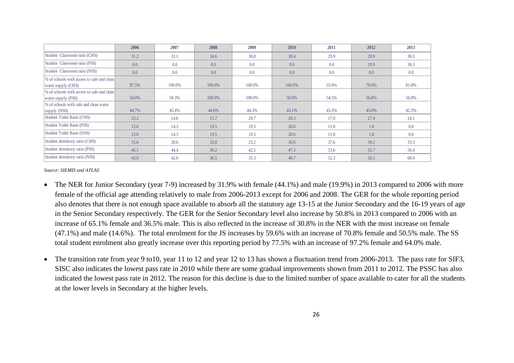|                                                                  | 2006  | 2007   | 2008   | 2009   | 2010   | 2011  | 2012  | 2013  |
|------------------------------------------------------------------|-------|--------|--------|--------|--------|-------|-------|-------|
| Student Classroom ratio (CHS)                                    | 31.2  | 31.1   | 34.6   | 30.8   | 30.4   | 29.9  | 29.9  | 30.3  |
| Student Classroom ratio (PSS)                                    | 0.0   | 0.0    | 0.0    | 0.0    | 0.0    | 0.0   | 29.9  | 30.3  |
| Student Classroom ratio (NSS)                                    | 0.0   | 0.0    | 0.0    | 0.0    | 0.0    | 0.0   | 0.0   | 0.0   |
| % of schools with access to safe and clean                       |       |        |        |        |        |       |       |       |
| water supply (CHS)                                               | 87.5% | 100.0% | 100.0% | 100.0% | 100.0% | 55.6% | 70.0% | 81.8% |
| % of schools with access to safe and clean<br>water supply (PSS) | 50.0% | 58.3%  | 100.0% | 100.0% | 50.0%  | 54.5% | 56.8% | 56.8% |
| % of schools with safe and clean water                           |       |        |        |        |        |       |       |       |
| supply (NSS)                                                     | 44.7% | 45.4%  | 44.6%  | 44.3%  | 43.1%  | 43.3% | 43.0% | 42.3% |
| Student Toilet Ratio (CHS)                                       | 23.2  | 14.6   | 15.7   | 29.7   | 20.3   | 17.8  | 27.4  | 24.1  |
| Student Toilet Ratio (PSS)                                       | 13.6  | 14.3   | 19.5   | 19.5   | 20.6   | 11.8  | 1.8   | 0.0   |
| Student Toilet Ratio (NSS)                                       | 13.6  | 14.3   | 19.5   | 19.5   | 20.6   | 11.8  | 1.8   | 0.0   |
| Student dormitory ratio (CHS)                                    | 15.6  | 28.6   | 33.8   | 23.2   | 36.6   | 37.6  | 39.2  | 33.3  |
| Student dormitory ratio (PSS)                                    | 45.1  | 44.4   | 39.2   | 42.5   | 47.3   | 53.6  | 55.7  | 50.4  |
| Student dormitory ratio (NSS)                                    | 43.0  | 42.6   | 36.5   | 35.3   | 48.7   | 52.3  | 56.5  | 68.9  |

*Source: SIEMIS and ATLAS*

- The NER for Junior Secondary (year 7-9) increased by 31.9% with female (44.1%) and male (19.9%) in 2013 compared to 2006 with more female of the official age attending relatively to male from 2006-2013 except for 2006 and 2008. The GER for the whole reporting period also denotes that there is not enough space available to absorb all the statutory age 13-15 at the Junior Secondary and the 16-19 years of age in the Senior Secondary respectively. The GER for the Senior Secondary level also increase by 50.8% in 2013 compared to 2006 with an increase of 65.1% female and 36.5% male. This is also reflected in the increase of 30.8% in the NER with the most increase on female (47.1%) and male (14.6%). The total enrolment for the JS increases by 59.6% with an increase of 70.8% female and 50.5% male. The SS total student enrolment also greatly increase over this reporting period by 77.5% with an increase of 97.2% female and 64.0% male.
- The transition rate from year 9 to10, year 11 to 12 and year 12 to 13 has shown a fluctuation trend from 2006-2013. The pass rate for SIF3, SISC also indicates the lowest pass rate in 2010 while there are some gradual improvements shown from 2011 to 2012. The PSSC has also indicated the lowest pass rate in 2012. The reason for this decline is due to the limited number of space available to cater for all the students at the lower levels in Secondary at the higher levels.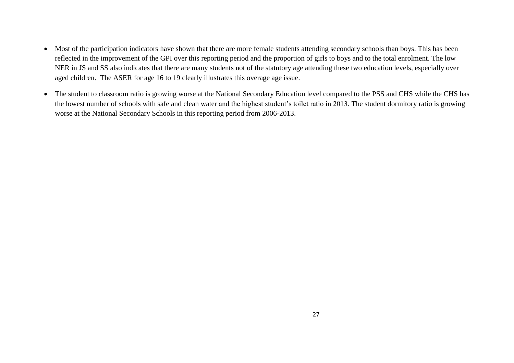- Most of the participation indicators have shown that there are more female students attending secondary schools than boys. This has been reflected in the improvement of the GPI over this reporting period and the proportion of girls to boys and to the total enrolment. The low NER in JS and SS also indicates that there are many students not of the statutory age attending these two education levels, especially over aged children. The ASER for age 16 to 19 clearly illustrates this overage age issue.
- The student to classroom ratio is growing worse at the National Secondary Education level compared to the PSS and CHS while the CHS has the lowest number of schools with safe and clean water and the highest student's toilet ratio in 2013. The student dormitory ratio is growing worse at the National Secondary Schools in this reporting period from 2006-2013.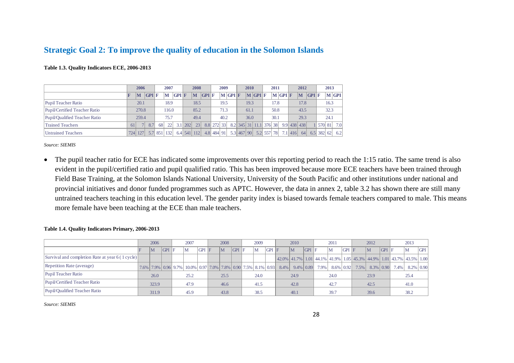# **Strategic Goal 2: To improve the quality of education in the Solomon Islands**

| Table 1.3. Quality Indicators ECE, 2006-2013 |  |  |  |  |  |
|----------------------------------------------|--|--|--|--|--|
|----------------------------------------------|--|--|--|--|--|

|                               |     | 2006               |       |  | 2007  |       |             | 2008        |       |            | 2009 |                               | 2010 |                                     | 2011 |                       |         | 2012        |       | 2013 |                      |
|-------------------------------|-----|--------------------|-------|--|-------|-------|-------------|-------------|-------|------------|------|-------------------------------|------|-------------------------------------|------|-----------------------|---------|-------------|-------|------|----------------------|
|                               |     | lM                 | GPI F |  | M     | GPI F |             | M           | GPI F |            |      | $\mathbf{M}$ GPI $\mathbf{F}$ |      | $\vert M \vert$ GPI $\vert F \vert$ |      | $\bf{M}$ GPI $\bf{F}$ |         | M           | GPI F |      | $\bf{M}$ GPI         |
| Pupil Teacher Ratio           |     | 20.1               |       |  | 18.9  |       |             | 18.5        |       |            | 19.5 |                               | 19.3 |                                     | 17.8 |                       |         | 17.8        |       | 16.3 |                      |
| Pupil/Certified Teacher Ratio |     | 270.8              |       |  | 116.0 |       |             | 85.2        |       |            | 71.3 |                               | 61.1 |                                     | 50.8 |                       |         | 43.5        |       | 32.3 |                      |
| Pupil/Qualified Teacher Ratio |     | 259.4              |       |  | 75.7  |       |             | 49.4        |       |            | 40.2 |                               | 36.0 |                                     | 30.1 |                       |         | 29.3        |       | 24.1 |                      |
| <b>Trained Teachers</b>       | 61  | 8.7<br>68          |       |  | 22    |       | $3.1$   202 | 23          |       | 8.8 272 33 |      |                               |      | 8.2 345 31 11.1 376 38              |      |                       |         | 9.9 438 438 |       |      | 570 81 7.0           |
| <b>Untrained Teachers</b>     | 724 | 5.7 851 132<br>127 |       |  |       |       |             | 6.4 541 112 |       | 4.8 484 91 |      |                               |      | 5.3 467 90 5.2 557 78               |      |                       | 7.1 416 | 64          |       |      | $6.5$   382  62  6.2 |

*Source: SIEMIS*

• The pupil teacher ratio for ECE has indicated some improvements over this reporting period to reach the 1:15 ratio. The same trend is also evident in the pupil/certified ratio and pupil qualified ratio. This has been improved because more ECE teachers have been trained through Field Base Training, at the Solomon Islands National University, University of the South Pacific and other institutions under national and provincial initiatives and donor funded programmes such as APTC. However, the data in annex 2, table 3.2 has shown there are still many untrained teachers teaching in this education level. The gender parity index is biased towards female teachers compared to male. This means more female have been teaching at the ECE than male teachers.

<span id="page-27-2"></span>

|                                                  | 2006                                                         |       |  | 2007 |       | 2008         |     | 2009 |         |         | 2010         |       |                   | 2011 |       |                                                                                           | 2012 |       |                   | 2013      |            |
|--------------------------------------------------|--------------------------------------------------------------|-------|--|------|-------|--------------|-----|------|---------|---------|--------------|-------|-------------------|------|-------|-------------------------------------------------------------------------------------------|------|-------|-------------------|-----------|------------|
|                                                  | $\overline{\mathsf{M}}$                                      | GPI F |  | ΙM   | GPI F | $\mathbf{M}$ | GPI | IM   | $GPI$ F |         | $\mathbf{M}$ | GPI F |                   | M    | GPI F |                                                                                           | M    | GPI F |                   | ١M        | <b>GPI</b> |
| Survival and completion Rate at year 6 (1 cycle) |                                                              |       |  |      |       |              |     |      |         |         |              |       |                   |      |       | 42.0%   41.7%   1.01   44.1%   41.9%   1.05   45.3%   44.9%   1.01   43.7%   43.5%   1.00 |      |       |                   |           |            |
| Repetition Rate (average)                        | 7.6% 7.9% 0.96 9.7% 10.0% 0.97 7.0% 7.8% 0.90 7.5% 8.1% 0.93 |       |  |      |       |              |     |      |         | $8.4\%$ |              |       | $9.4\%$ 0.89 7.9% |      |       | $8.6\%$ 0.92 7.5%                                                                         |      |       | $8.3\%$ 0.90 7.4% | 8.2% 0.90 |            |
| Pupil Teacher Ratio                              | 26.0                                                         |       |  | 25.2 |       | 25.5         |     | 24.0 |         |         | 24.9         |       |                   | 24.0 |       |                                                                                           | 23.9 |       |                   | 25.4      |            |
| Pupil/Certified Teacher Ratio                    | 323.9                                                        |       |  | 47.9 |       | 46.6         |     | 41.5 |         |         | 42.8         |       |                   | 42.7 |       |                                                                                           | 42.5 |       |                   | 41.0      |            |
| Pupil/Qualified Teacher Ratio                    | 311.9                                                        |       |  | 45.9 |       | 43.8         |     | 38.5 |         |         | 40.1         |       |                   | 39.7 |       |                                                                                           | 39.6 |       |                   | 38.2      |            |

#### <span id="page-27-1"></span><span id="page-27-0"></span>**Table 1.4. Quality Indicators Primary, 2006-2013**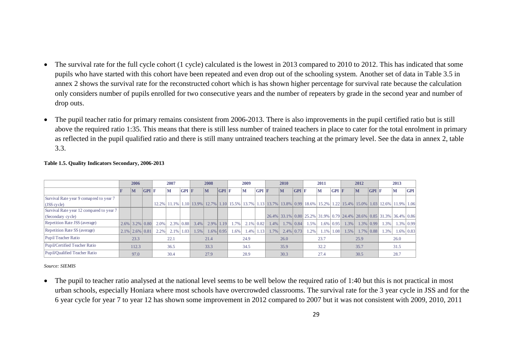- The survival rate for the full cycle cohort (1 cycle) calculated is the lowest in 2013 compared to 2010 to 2012. This has indicated that some pupils who have started with this cohort have been repeated and even drop out of the schooling system. Another set of data in Table 3.5 in annex 2 shows the survival rate for the reconstructed cohort which is has shown higher percentage for survival rate because the calculation only considers number of pupils enrolled for two consecutive years and the number of repeaters by grade in the second year and number of drop outs.
- The pupil teacher ratio for primary remains consistent from 2006-2013. There is also improvements in the pupil certified ratio but is still above the required ratio 1:35. This means that there is still less number of trained teachers in place to cater for the total enrolment in primary as reflected in the pupil qualified ratio and there is still many untrained teachers teaching at the primary level. See the data in annex 2, table 3.3.

|                                          | 2006                      |       |         | 2007         |       |      | 2008           |              |      | 2009         |                |      | <b>2010</b>  |              |         | 2011           |       |      | 2012         |              |      | 2013                                                                                                                      |     |
|------------------------------------------|---------------------------|-------|---------|--------------|-------|------|----------------|--------------|------|--------------|----------------|------|--------------|--------------|---------|----------------|-------|------|--------------|--------------|------|---------------------------------------------------------------------------------------------------------------------------|-----|
|                                          | $\mathbf{M}$              | GPI F |         | M            | GPI F |      | lм             | GPI F        |      | M            | GPI F          |      | $\mathbf{M}$ | GPI F        |         | $\mathbf{M}$   | GPI F |      | lм           | GPI F        |      | M                                                                                                                         | GPI |
| Survival Rate year 9 comapred to year 7  |                           |       |         |              |       |      |                |              |      |              |                |      |              |              |         |                |       |      |              |              |      |                                                                                                                           |     |
| (JSS cycle)                              |                           |       |         |              |       |      |                |              |      |              |                |      |              |              |         |                |       |      |              |              |      | 12.2% 11.1% 11.0 13.9% 12.7% 11.10 15.5% 13.7% 11.13 13.7% 13.8% 0.99 18.6% 15.2% 1.22 15.4% 15.0% 1.03 12.6% 11.9% 10.06 |     |
| Survival Rate year 12 compared to year 7 |                           |       |         |              |       |      |                |              |      |              |                |      |              |              |         |                |       |      |              |              |      |                                                                                                                           |     |
| (Secondary cycle)                        |                           |       |         |              |       |      |                |              |      |              |                |      |              |              |         |                |       |      |              |              |      | 26.4% 33.1% 0.80 25.2% 31.9% 0.79 24.4% 28.6% 0.85 31.3% 36.4% 0.86                                                       |     |
| Repetition Rate JSS (average)            | $2.6\%$ 3.2% 0.80         |       | $2.0\%$ | $2.3\%$ 0.88 |       | 3.4% | $2.9\%$   1.19 |              | 1.7% | $2.1\%$ 0.82 |                | 1.4% |              | $1.7\%$ 0.84 | 1.5%    | $1.6\%$ 0.95   |       | 1.3% | $1.3\%$ 0.99 |              | 1.3% | $1.3\%$ 0.99                                                                                                              |     |
| Repetition Rate SS (average)             |                           |       | 2.2%    | $2.1\%$      | 1.03  | 1.5% |                | $1.6\%$ 0.95 | 1.6% |              | $1.4\%$   1.13 | 1.7% | $2.4\%$ 0.73 |              | $1.2\%$ | $1.1\%$   1.08 |       | 1.5% |              | $1.7\%$ 0.88 | 1.3% | $1.6\%$ 0.83                                                                                                              |     |
| Pupil Teacher Ratio                      | $2.1\%$ 2.6% 0.81<br>23.3 |       |         | 22.1         |       |      | 21.4           |              |      | 24.9         |                |      | 26.0         |              |         | 23.7           |       |      | 25.9         |              |      | 26.0                                                                                                                      |     |
| Pupil/Certified Teacher Ratio            | 112.3                     |       |         | 36.5         |       |      | 33.3           |              |      | 34.5         |                |      | 35.9         |              |         | 32.2           |       |      | 35.7         |              |      | 31.5                                                                                                                      |     |
| Pupil/Qualified Teacher Ratio            | 97.0                      |       |         | 30.4         |       |      | 27.9           |              |      | 28.9         |                |      | 30.3         |              |         | 27.4           |       |      | 30.5         |              |      | 28.7                                                                                                                      |     |

#### **Table 1.5. Quality Indicators Secondary, 2006-2013**

*Source: SIEMIS*

<span id="page-28-0"></span>• The pupil to teacher ratio analysed at the national level seems to be well below the required ratio of 1:40 but this is not practical in most urban schools, especially Honiara where most schools have overcrowded classrooms. The survival rate for the 3 year cycle in JSS and for the 6 year cycle for year 7 to year 12 has shown some improvement in 2012 compared to 2007 but it was not consistent with 2009, 2010, 2011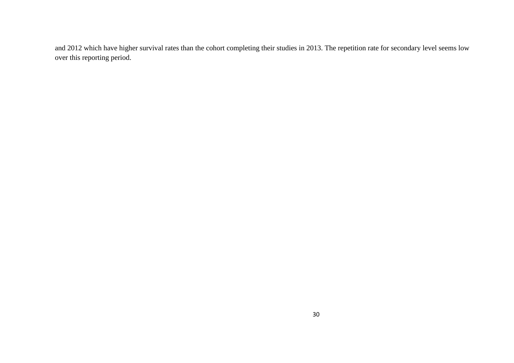and 2012 which have higher survival rates than the cohort completing their studies in 2013. The repetition rate for secondary level seems low over this reporting period.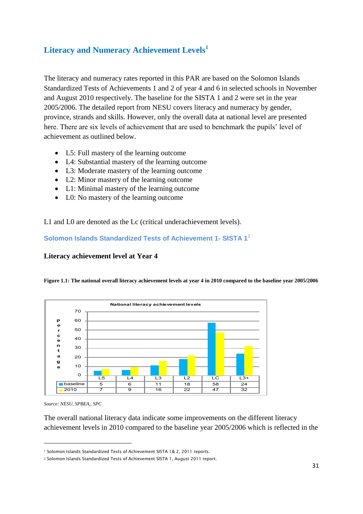# <span id="page-30-0"></span>**Literacy and Numeracy Achievement Levels<sup>1</sup>**

The literacy and numeracy rates reported in this PAR are based on the Solomon Islands Standardized Tests of Achievements 1 and 2 of year 4 and 6 in selected schools in November and August 2010 respectively. The baseline for the SISTA 1 and 2 were set in the year 2005/2006. The detailed report from NESU covers literacy and numeracy by gender, province, strands and skills. However, only the overall data at national level are presented here. There are six levels of achievement that are used to benchmark the pupils' level of achievement as outlined below.

- L5: Full mastery of the learning outcome
- L4: Substantial mastery of the learning outcome
- L3: Moderate mastery of the learning outcome
- L2: Minor mastery of the learning outcome
- L1: Minimal mastery of the learning outcome
- L0: No mastery of the learning outcome

L1 and L0 are denoted as the Lc (critical underachievement levels).

<span id="page-30-1"></span>**Solomon Islands Standardized Tests of Achievement 1- SISTA 1**<sup>2</sup>

### **Literacy achievement level at Year 4**

<span id="page-30-2"></span>**Figure 1.1: The national overall literacy achievement levels at year 4 in 2010 compared to the baseline year 2005/2006**



*Source: NESU, SPBEA,, SPC*

1

The overall national literacy data indicate some improvements on the different literacy achievement levels in 2010 compared to the baseline year 2005/2006 which is reflected in the

<sup>1</sup> Solomon Islands Standardized Tests of Achievement SISTA 1& 2, 2011 reports.

<sup>2</sup> Solomon Islands Standardized Tests of Achievement SISTA 1, August 2011 report.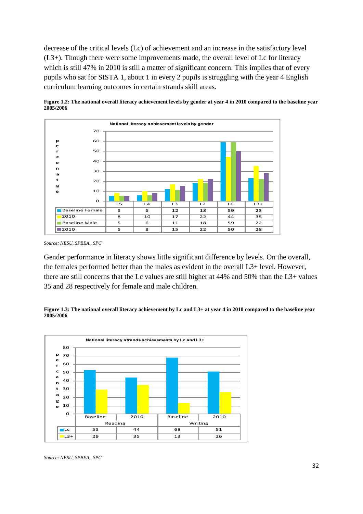decrease of the critical levels (Lc) of achievement and an increase in the satisfactory level (L3+). Though there were some improvements made, the overall level of Lc for literacy which is still 47% in 2010 is still a matter of significant concern. This implies that of every pupils who sat for SISTA 1, about 1 in every 2 pupils is struggling with the year 4 English curriculum learning outcomes in certain strands skill areas.



<span id="page-31-0"></span>

Gender performance in literacy shows little significant difference by levels. On the overall, the females performed better than the males as evident in the overall L3+ level. However, there are still concerns that the Lc values are still higher at 44% and 50% than the L3+ values 35 and 28 respectively for female and male children.

<span id="page-31-1"></span>



*Source: NESU, SPBEA,, SPC*

*Source: NESU, SPBEA,, SPC*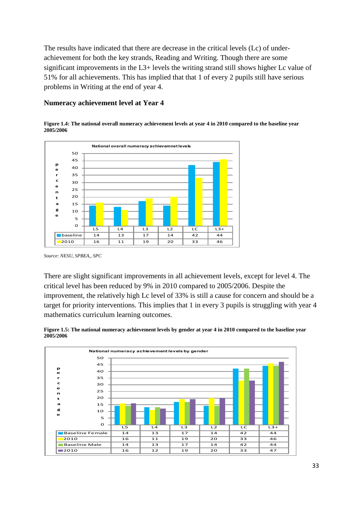The results have indicated that there are decrease in the critical levels (Lc) of underachievement for both the key strands, Reading and Writing. Though there are some significant improvements in the L3+ levels the writing strand still shows higher Lc value of 51% for all achievements. This has implied that that 1 of every 2 pupils still have serious problems in Writing at the end of year 4.

### **Numeracy achievement level at Year 4**

<span id="page-32-0"></span>



*Source: NESU, SPBEA,, SPC*

There are slight significant improvements in all achievement levels, except for level 4. The critical level has been reduced by 9% in 2010 compared to 2005/2006. Despite the improvement, the relatively high Lc level of 33% is still a cause for concern and should be a target for priority interventions. This implies that 1 in every 3 pupils is struggling with year 4 mathematics curriculum learning outcomes.

<span id="page-32-1"></span>

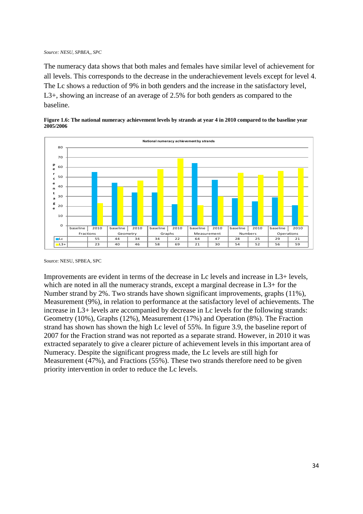#### *Source: NESU, SPBEA,, SPC*

The numeracy data shows that both males and females have similar level of achievement for all levels. This corresponds to the decrease in the underachievement levels except for level 4. The Lc shows a reduction of 9% in both genders and the increase in the satisfactory level, L3+, showing an increase of an average of 2.5% for both genders as compared to the baseline.



<span id="page-33-0"></span>

Source: NESU, SPBEA, SPC

Improvements are evident in terms of the decrease in Lc levels and increase in L3+ levels, which are noted in all the numeracy strands, except a marginal decrease in L3+ for the Number strand by 2%. Two strands have shown significant improvements, graphs (11%), Measurement (9%), in relation to performance at the satisfactory level of achievements. The increase in L3+ levels are accompanied by decrease in Lc levels for the following strands: Geometry (10%), Graphs (12%), Measurement (17%) and Operation (8%). The Fraction strand has shown has shown the high Lc level of 55%. In figure 3.9, the baseline report of 2007 for the Fraction strand was not reported as a separate strand. However, in 2010 it was extracted separately to give a clearer picture of achievement levels in this important area of Numeracy. Despite the significant progress made, the Lc levels are still high for Measurement (47%), and Fractions (55%). These two strands therefore need to be given priority intervention in order to reduce the Lc levels.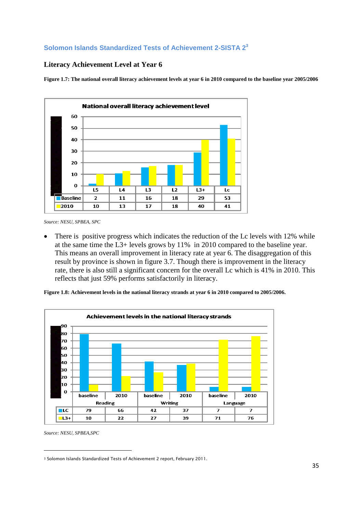# <span id="page-34-0"></span>**Solomon Islands Standardized Tests of Achievement 2-SISTA 2<sup>3</sup>**

### **Literacy Achievement Level at Year 6**

<span id="page-34-1"></span>**Figure 1.7: The national overall literacy achievement levels at year 6 in 2010 compared to the baseline year 2005/2006**



*Source: NESU, SPBEA, SPC*

 There is positive progress which indicates the reduction of the Lc levels with 12% while at the same time the L3+ levels grows by 11% in 2010 compared to the baseline year. This means an overall improvement in literacy rate at year 6. The disaggregation of this result by province is shown in figure 3.7. Though there is improvement in the literacy rate, there is also still a significant concern for the overall Lc which is 41% in 2010. This reflects that just 59% performs satisfactorily in literacy.

<span id="page-34-2"></span>**Figure 1.8: Achievement levels in the national literacy strands at year 6 in 2010 compared to 2005/2006.**



*Source: NESU, SPBEA,SPC*

1

<sup>3</sup> Solomon Islands Standardized Tests of Achievement 2 report, February 2011.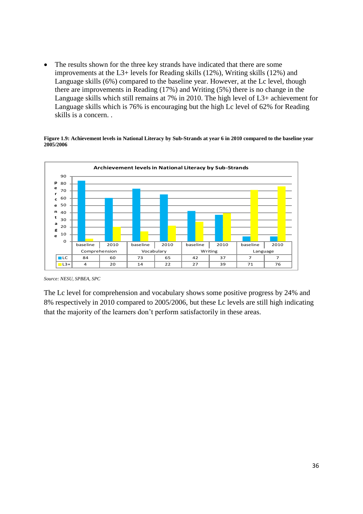• The results shown for the three key strands have indicated that there are some improvements at the L3+ levels for Reading skills (12%), Writing skills (12%) and Language skills (6%) compared to the baseline year. However, at the Lc level, though there are improvements in Reading (17%) and Writing (5%) there is no change in the Language skills which still remains at 7% in 2010. The high level of L3+ achievement for Language skills which is 76% is encouraging but the high Lc level of 62% for Reading skills is a concern. .

<span id="page-35-0"></span>**Figure 1.9: Achievement levels in National Literacy by Sub-Strands at year 6 in 2010 compared to the baseline year 2005/2006**



*Source: NESU, SPBEA, SPC*

The Lc level for comprehension and vocabulary shows some positive progress by 24% and 8% respectively in 2010 compared to 2005/2006, but these Lc levels are still high indicating that the majority of the learners don't perform satisfactorily in these areas.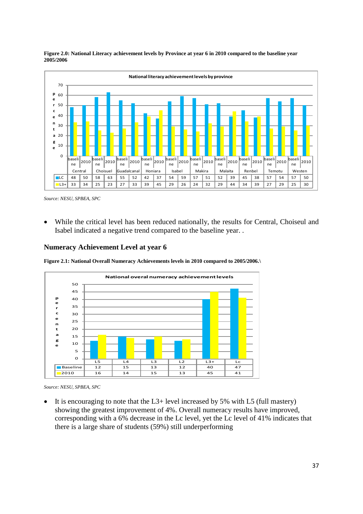

<span id="page-36-0"></span>**Figure 2.0: National Literacy achievement levels by Province at year 6 in 2010 compared to the baseline year 2005/2006**

 While the critical level has been reduced nationally, the results for Central, Choiseul and Isabel indicated a negative trend compared to the baseline year. .

#### **Numeracy Achievement Level at year 6**

<span id="page-36-1"></span>**Figure 2.1: National Overall Numeracy Achievements levels in 2010 compared to 2005/2006.\**



*Source: NESU, SPBEA, SPC*

It is encouraging to note that the  $L3$ + level increased by 5% with L5 (full mastery) showing the greatest improvement of 4%. Overall numeracy results have improved, corresponding with a 6% decrease in the Lc level, yet the Lc level of 41% indicates that there is a large share of students (59%) still underperforming

*Source: NESU, SPBEA, SPC*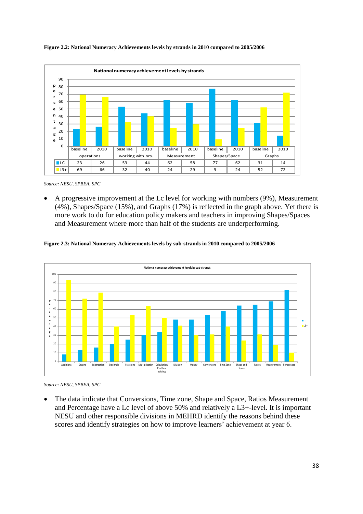

#### <span id="page-37-0"></span>**Figure 2.2: National Numeracy Achievements levels by strands in 2010 compared to 2005/2006**

*Source: NESU, SPBEA, SPC*

 A progressive improvement at the Lc level for working with numbers (9%), Measurement (4%), Shapes/Space (15%), and Graphs (17%) is reflected in the graph above. Yet there is more work to do for education policy makers and teachers in improving Shapes/Spaces and Measurement where more than half of the students are underperforming.

#### <span id="page-37-1"></span>**Figure 2.3: National Numeracy Achievements levels by sub-strands in 2010 compared to 2005/2006**



*Source: NESU, SPBEA, SPC*

 The data indicate that Conversions, Time zone, Shape and Space, Ratios Measurement and Percentage have a Lc level of above 50% and relatively a L3+-level. It is important NESU and other responsible divisions in MEHRD identify the reasons behind these scores and identify strategies on how to improve learners' achievement at year 6.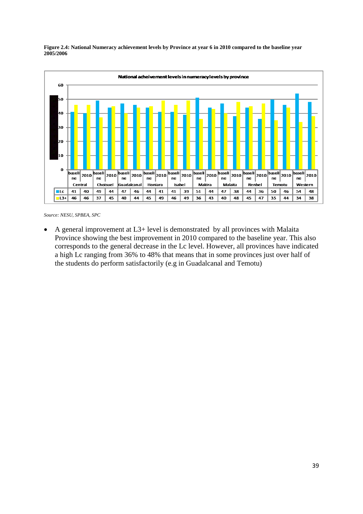<span id="page-38-0"></span>



*Source: NESU, SPBEA, SPC*

 A general improvement at L3+ level is demonstrated by all provinces with Malaita Province showing the best improvement in 2010 compared to the baseline year. This also corresponds to the general decrease in the Lc level. However, all provinces have indicated a high Lc ranging from 36% to 48% that means that in some provinces just over half of the students do perform satisfactorily (e.g in Guadalcanal and Temotu)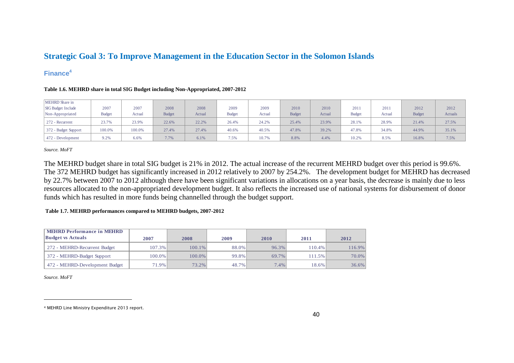# **Strategic Goal 3: To Improve Management in the Education Sector in the Solomon Islands**

### **Finance<sup>4</sup>**

| <b>MEHRD</b> Share in     |               |        |               |        |               |        |               |        |               |        |               |         |
|---------------------------|---------------|--------|---------------|--------|---------------|--------|---------------|--------|---------------|--------|---------------|---------|
| <b>SIG Budget Include</b> | 2007          | 2007   | 2008          | 2008   | 2009          | 2009   | 2010          | 2010   | 2011          | 201    | 2012          | 2012    |
| Non-Appropriated          | <b>Budget</b> | Actual | <b>Budget</b> | Actual | <b>Budget</b> | Actual | <b>Budget</b> | Actual | <b>Budget</b> | Actual | <b>Budget</b> | Actuals |
| 272 - Recurrent           | 23.7%         | 23.9%  | 22.6%         | 22.2%  | 26.4%         | 24.2%  | 25.4%         | 23.9%  | 28.1%         | 28.9%  | 21.4%         | 27.5%   |
| 372 - Budget Support      | 100.0%        | 100.0% | 27.4%         | 27.4%  | 40.6%         | 40.5%  | 47.8%         | 39.2%  | 47.8%         | 34.8%  | 44.9%         | 35.1%   |
| 472 - Development         | 9.2%          | 6.6%   | 7.7%          | 6.1%   | 7.5%          | 10.7%  | 8.8%          | 4.4%   | 10.2%         | 8.5%   | 16.8%         | 7.5%    |

#### **Table 1.6. MEHRD share in total SIG Budget including Non-Appropriated, 2007-2012**

*Source. MoFT*

The MEHRD budget share in total SIG budget is 21% in 2012. The actual increase of the recurrent MEHRD budget over this period is 99.6%. The 372 MEHRD budget has significantly increased in 2012 relatively to 2007 by 254.2%. The development budget for MEHRD has decreased by 22.7% between 2007 to 2012 although there have been significant variations in allocations on a year basis, the decrease is mainly due to less resources allocated to the non-appropriated development budget. It also reflects the increased use of national systems for disbursement of donor funds which has resulted in more funds being channelled through the budget support.

#### <span id="page-39-1"></span><span id="page-39-0"></span>**Table 1.7. MEHRD performances compared to MEHRD budgets, 2007-2012**

<span id="page-39-2"></span>

| <b>MEHRD Performance in MEHRD</b><br><b>Budget vs Actuals</b> | 2007     | 2008      | 2009  | 2010     | 2011   | 2012      |
|---------------------------------------------------------------|----------|-----------|-------|----------|--------|-----------|
| 272 - MEHRD-Recurrent Budget                                  | 107.3%   | $100.1\%$ | 88.0% | $96.3\%$ | 110.4% | $116.9\%$ |
| 372 - MEHRD-Budget Support                                    | 100.0%   | 100.0%    | 99.8% | 69.7%    | 111.5% | 70.0%     |
| 472 - MEHRD-Development Budget                                | $71.9\%$ | 73.2%     | 48.7% | 7.4%     | 18.6%  | $36.6\%$  |

*Source. MoFT*

 $\overline{a}$ 

<span id="page-39-3"></span><sup>4</sup> MEHRD Line Ministry Expenditure 2013 report.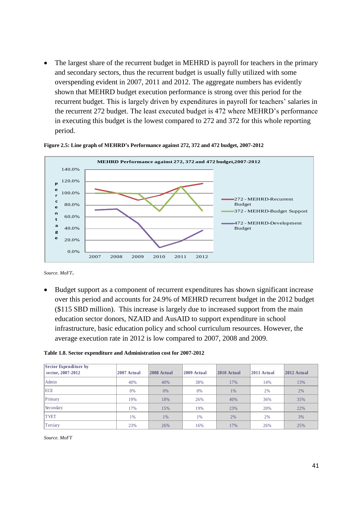The largest share of the recurrent budget in MEHRD is payroll for teachers in the primary and secondary sectors, thus the recurrent budget is usually fully utilized with some overspending evident in 2007, 2011 and 2012. The aggregate numbers has evidently shown that MEHRD budget execution performance is strong over this period for the recurrent budget. This is largely driven by expenditures in payroll for teachers' salaries in the recurrent 272 budget. The least executed budget is 472 where MEHRD's performance in executing this budget is the lowest compared to 272 and 372 for this whole reporting period.



#### <span id="page-40-0"></span>**Figure 2.5: Line graph of MEHRD's Performance against 272, 372 and 472 budget, 2007-2012**

*Source. MoFT*.

 Budget support as a component of recurrent expenditures has shown significant increase over this period and accounts for 24.9% of MEHRD recurrent budget in the 2012 budget (\$115 SBD million). This increase is largely due to increased support from the main education sector donors, NZAID and AusAID to support expenditure in school infrastructure, basic education policy and school curriculum resources. However, the average execution rate in 2012 is low compared to 2007, 2008 and 2009.

#### <span id="page-40-1"></span>**Table 1.8. Sector expenditure and Administration cost for 2007-2012**

| Sector Expenditure by<br>sector, 2007-2012 | 2007 Actual | 2008 Actual | 2009 Actual | 2010 Actual | 2011 Actual | $ 2012$ Actual |
|--------------------------------------------|-------------|-------------|-------------|-------------|-------------|----------------|
| Admin                                      | 40%         | 40%         | 38%         | 17%         | 14%         | 13%            |
| ECE                                        | $0\%$       | 0%          | 0%          | 1%          | 2%          | 2%             |
| Primary                                    | 19%         | 18%         | 26%         | 40%         | 36%         | 35%            |
| Secondary                                  | 17%         | 15%         | 19%         | 23%         | 20%         | 22%            |
| <b>TVET</b>                                | 1%          | 1%          | 1%          | 2%          | 2%          | 3%             |
| Tertiary                                   | 23%         | 26%         | 16%         | 17%         | 26%         | 25%            |

*Source. MoFT*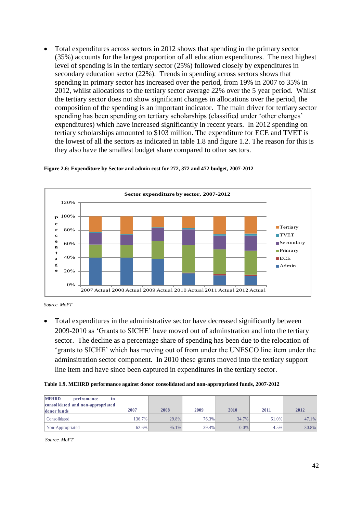Total expenditures across sectors in 2012 shows that spending in the primary sector (35%) accounts for the largest proportion of all education expenditures. The next highest level of spending is in the tertiary sector (25%) followed closely by expenditures in secondary education sector (22%). Trends in spending across sectors shows that spending in primary sector has increased over the period, from 19% in 2007 to 35% in 2012, whilst allocations to the tertiary sector average 22% over the 5 year period. Whilst the tertiary sector does not show significant changes in allocations over the period, the composition of the spending is an important indicator. The main driver for tertiary sector spending has been spending on tertiary scholarships (classified under 'other charges' expenditures) which have increased significantly in recent years. In 2012 spending on tertiary scholarships amounted to \$103 million. The expenditure for ECE and TVET is the lowest of all the sectors as indicated in table 1.8 and figure 1.2. The reason for this is they also have the smallest budget share compared to other sectors.



#### <span id="page-41-0"></span>**Figure 2.6: Expenditure by Sector and admin cost for 272, 372 and 472 budget, 2007-2012**

 Total expenditures in the administrative sector have decreased significantly between 2009-2010 as 'Grants to SICHE' have moved out of adminstration and into the tertiary sector. The decline as a percentage share of spending has been due to the relocation of 'grants to SICHE' which has moving out of from under the UNESCO line item under the adminsitration sector component. In 2010 these grants moved into the tertiary support line item and have since been captured in expenditures in the tertiary sector.

<span id="page-41-1"></span>

|  |  | Table 1.9. MEHRD performance against donor consolidated and non-appropriated funds, 2007-2012 |  |
|--|--|-----------------------------------------------------------------------------------------------|--|
|--|--|-----------------------------------------------------------------------------------------------|--|

| Table 1.9. MEHRD performance against donor consolidated and non-appropriated funds, 2007-2012 |        |          |       |       |       |          |
|-----------------------------------------------------------------------------------------------|--------|----------|-------|-------|-------|----------|
| <b>MEHRD</b><br>perfromance<br>in<br>consolidated and non-appropriated<br>donor funds         | 2007   | 2008     | 2009  | 2010  | 2011  | 2012     |
| Consolidated                                                                                  | 136.7% | 29.8%    | 76.3% | 34.7% | 61.0% | 47.1%    |
| Non-Appropriated                                                                              | 62.6%  | $95.1\%$ | 39.4% | 0.0%  | 4.5%  | $30.8\%$ |

*Source. MoFT*

*Source. MoFT*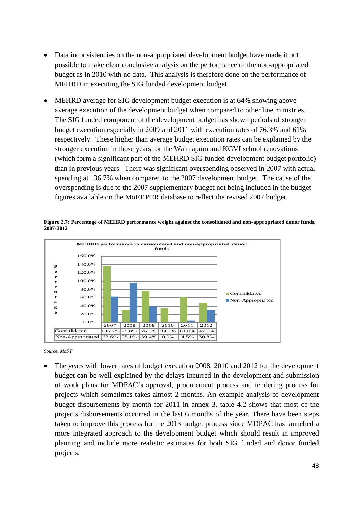- Data inconsistencies on the non-appropriated development budget have made it not possible to make clear conclusive analysis on the performance of the non-appropriated budget as in 2010 with no data. This analysis is therefore done on the performance of MEHRD in executing the SIG funded development budget.
- MEHRD average for SIG development budget execution is at 64% showing above average execution of the development budget when compared to other line ministries. The SIG funded component of the development budget has shown periods of stronger budget execution especially in 2009 and 2011 with execution rates of 76.3% and 61% respectively. These higher than average budget execution rates can be explained by the stronger execution in those years for the Waimapuru and KGVI school renovations (which form a significant part of the MEHRD SIG funded development budget portfolio) than in previous years. There was significant overspending observed in 2007 with actual spending at 136.7% when compared to the 2007 development budget. The cause of the overspending is due to the 2007 supplementary budget not being included in the budget figures available on the MoFT PER database to reflect the revised 2007 budget.

<span id="page-42-0"></span>



*Source. MoFT*

 The years with lower rates of budget execution 2008, 2010 and 2012 for the development budget can be well explained by the delays incurred in the development and submission of work plans for MDPAC's approval, procurement process and tendering process for projects which sometimes takes almost 2 months. An example analysis of development budget disbursements by month for 2011 in annex 3, table 4.2 shows that most of the projects disbursements occurred in the last 6 months of the year. There have been steps taken to improve this process for the 2013 budget process since MDPAC has launched a more integrated approach to the development budget which should result in improved planning and include more realistic estimates for both SIG funded and donor funded projects.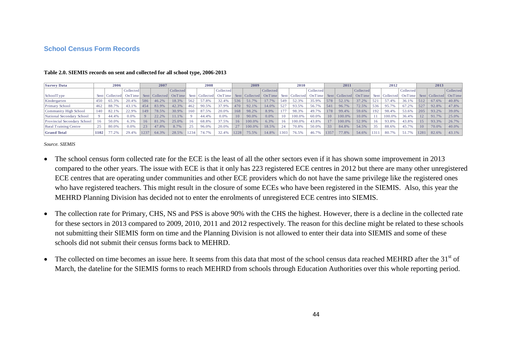#### **School Census Form Records**

| <b>Survey Data</b>           |        | 2006      |           |          | 2007             |           |      | 2008             |           |      | 2009      |           |      | 2010             |           |      | 2011             |           |      | 2012             |           |      | 2013  |                           |
|------------------------------|--------|-----------|-----------|----------|------------------|-----------|------|------------------|-----------|------|-----------|-----------|------|------------------|-----------|------|------------------|-----------|------|------------------|-----------|------|-------|---------------------------|
|                              |        |           | Collected |          |                  | Collected |      |                  | Collected |      |           | Collected |      |                  | Collected |      |                  | Collected |      |                  | Collected |      |       | Collected                 |
| SchoolType                   | Sent l | Collected | OnTime    |          | Sent   Collected | OnTime    |      | Sent   Collected | OnTime    | Sent | Collected | OnTime    |      | Sent   Collected | OnTime    |      | Sent   Collected | OnTime    |      | Sent   Collected | OnTime    |      |       | Sent   Collected   OnTime |
| Kindergarten                 | 450    | 65.3%     | 20.4%     | 586      | 46.2%            | 18.3%     | 562  | 57.8%            | 32.4%     | 536  | 51.7%     | 17.7%     | 549  | 52.3%            | 35.9%     | 578  | 52.1%            | 37.2%     | 521  | 57.4%            | 36.1%     | 512  | 67.6% | 40.8%                     |
| Primary School               | 462    | 88.7%     | 43.1%     | 454      | 83.9%            | 42.3%     | 462  | 90.5%            | 37.9%     | 470  | 92.1%     | 14.0%     | 527  | 93.5%            | 56.7%     |      | 96.7%            | 72.5%     | 536  | 95.7%            | 67.2%     | 527  | 92.8% | 47.8%                     |
| Community High School        | .40    | 82.1%     | 22.9%     | 149      | 78.5%            | 30.9%     | 160  | 87.5%            | 20.0%     | 168  | 98.2%     | 8.9%      | 177  | 98.3%            | 49.7%     | 178  | 99.4%            | 59.6%     | 192  | 98.4%            | 53.6%     | 205  | 93.2% | 39.0%                     |
| National Secondary School    |        | 44.4%     | 0.0%      | $\Omega$ | 22.2%            | 11.1%     |      | 44.4%            | 0.0%      | 10   | 90.0%     | 0.0%      |      | 100.0%           | 60.0%     |      | 100.0%           | 10.0%     |      | 100.0%           | 36.4%     | 12   | 91.7% | 25.0%                     |
| Provincial Secondary School  | 16     | 50.0%     | 6.3%      | 16       | 81.3%            | 25.0%     | 16   | 68.8%            | 37.5%     | 16   | 100.0%    | 6.3%      |      | 100.0%           | 43.8%     |      | 100.0%           | 52.9%     | 16   | 93.8%            | 43.8%     | 15   | 93.3% | 26.7%                     |
| <b>Rural Training Centre</b> | 25     | 80.0%     | 0.0%      | 23       | 47.8%            | 8.7%      | 25   | 96.0%            | 20.0%     | 27   | 100.0%    | 18.5%     |      | 70.8%            | 50.0%     | 33   | 84.8%            | 54.5%     | 35   | 88.6%            | 45.7%     | 10   | 70.0% | 40.0%                     |
| <b>Grand Total</b>           | 1102   | 77.2%     | 29.4%     | 1237     | 64.3%            | 28.5%     | 1234 | 74.7%            | 32.4%     | 1228 | 75.5%     | 14.8%     | 1303 | 76.5%            | 46.7%     | 1357 | 77.8%            | 54.6%     | 1311 | 80.7%            |           | 1281 | 82.6% | 43.1%                     |

#### **Table 2.0. SIEMIS records on sent and collected for all school type, 2006-2013**

- The school census form collected rate for the ECE is the least of all the other sectors even if it has shown some improvement in 2013 compared to the other years. The issue with ECE is that it only has 223 registered ECE centres in 2012 but there are many other unregistered ECE centres that are operating under communities and other ECE providers which do not have the same privilege like the registered ones who have registered teachers. This might result in the closure of some ECEs who have been registered in the SIEMIS. Also, this year the MEHRD Planning Division has decided not to enter the enrolments of unregistered ECE centres into SIEMIS.
- <span id="page-43-1"></span><span id="page-43-0"></span>• The collection rate for Primary, CHS, NS and PSS is above 90% with the CHS the highest. However, there is a decline in the collected rate for these sectors in 2013 compared to 2009, 2010, 2011 and 2012 respectively. The reason for this decline might be related to these schools not submitting their SIEMIS form on time and the Planning Division is not allowed to enter their data into SIEMIS and some of these schools did not submit their census forms back to MEHRD.
- $\bullet$  The collected on time becomes an issue here. It seems from this data that most of the school census data reached MEHRD after the 31<sup>st</sup> of March, the dateline for the SIEMIS forms to reach MEHRD from schools through Education Authorities over this whole reporting period.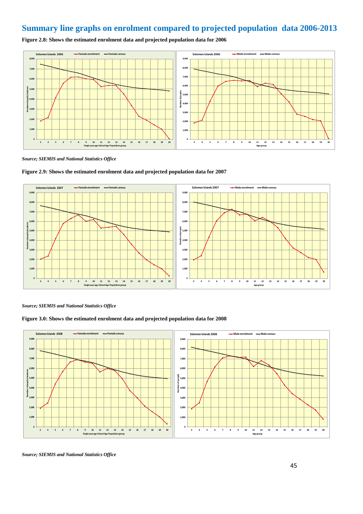# <span id="page-44-0"></span>**Summary line graphs on enrolment compared to projected population data 2006-2013**

<span id="page-44-1"></span>**Figure 2.8: Shows the estimated enrolment data and projected population data for 2006**



*Source; SIEMIS and National Statistics Office*



<span id="page-44-2"></span>

*Source; SIEMIS and National Statistics Office*



<span id="page-44-3"></span>**Figure 3.0: Shows the estimated enrolment data and projected population data for 2008**

*Source; SIEMIS and National Statistics Office*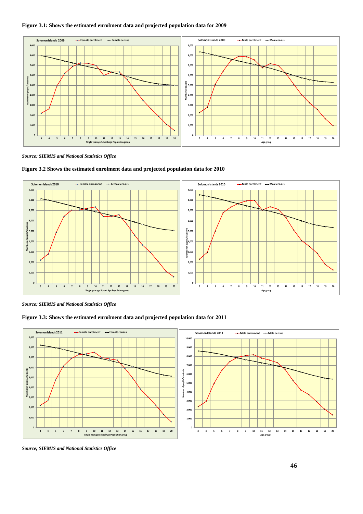#### <span id="page-45-0"></span>**Figure 3.1: Shows the estimated enrolment data and projected population data for 2009**



*Source; SIEMIS and National Statistics Office*



<span id="page-45-1"></span>**Figure 3.2 Shows the estimated enrolment data and projected population data for 2010**

*Source; SIEMIS and National Statistics Office*

<span id="page-45-2"></span>



*Source; SIEMIS and National Statistics Office*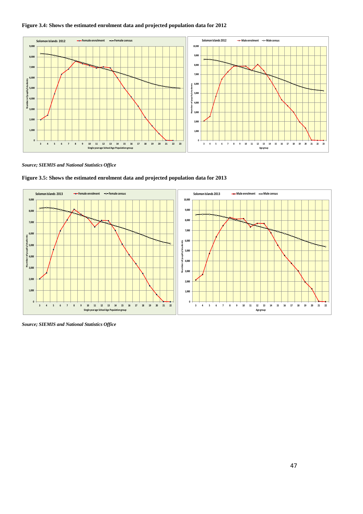#### <span id="page-46-0"></span>**Figure 3.4: Shows the estimated enrolment data and projected population data for 2012**



*Source; SIEMIS and National Statistics Office*



<span id="page-46-1"></span>**Figure 3.5: Shows the estimated enrolment data and projected population data for 2013**

*Source; SIEMIS and National Statistics Office*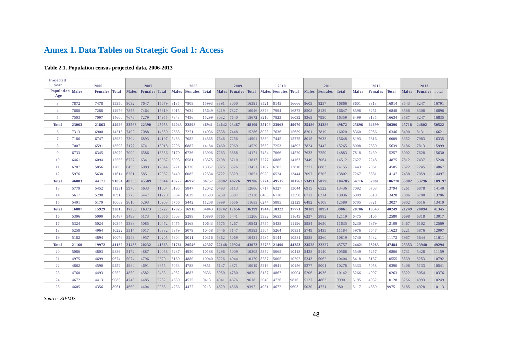# **Annex 1. Data Tables on Strategic Goal 1: Access**

#### **Table 2.1. Population census projected data, 2006-2013**

<span id="page-47-1"></span><span id="page-47-0"></span>

| Projected          |              |                |       |              |                      |       |       |               |       |             |                     |             |             |                     |              |              |                |              |              |                |              |              |                      |        |
|--------------------|--------------|----------------|-------|--------------|----------------------|-------|-------|---------------|-------|-------------|---------------------|-------------|-------------|---------------------|--------------|--------------|----------------|--------------|--------------|----------------|--------------|--------------|----------------------|--------|
| year<br>Population |              | 2006           |       |              | 2007                 |       |       | 2008          |       |             | 2009                |             |             | 2010                |              |              | 2011           |              |              | 2012           |              |              | 2013                 |        |
| Age                | <b>Males</b> | <b>Females</b> | Total | <b>Males</b> | <b>Females</b> Total |       |       | Males Females | Total |             | Males Females Total |             |             | Males Females Total |              | <b>Males</b> | <b>Females</b> | <b>Total</b> | <b>Males</b> | <b>Females</b> | <b>Total</b> | <b>Males</b> | <b>Females</b> Total |        |
| 3                  | 7872         | 7478           | 15350 | 8032         | 7647                 | 15679 | 8185  | 7808          | 15993 | 8391        | 8000                | 16391 8521  |             | 8145                | 16666        | 8609         | 8257           | 16866        | 8601         | 8313           | 16914        | 8543         | 8247                 | 16791  |
| $\overline{4}$     | 7688         | 7288           | 14976 | 7855         | 7464                 | 15319 | 8015  | 7634          | 15649 | 8219        | 7827                | 16046 8378  |             | 7994                | 16372        | 8508         | 8139           | 16647        | 8596         | 8251           | 16848        | 8588         | 8308                 | 16896  |
| 5                  | 7503         | 7097           | 14600 | 7676         | 7279                 | 14955 | 7843  | 7456          | 15299 | 8032        | 7640                | 15672 8210  |             | 7823                | 16032        | 8369         | 7990           | 16359        | 8499         | 8135           | 16634        | 8587         | 8247                 | 16835  |
| <b>Total</b>       | 23063        | 21863          | 44926 | 23563        | 22390                | 45953 | 24043 | 22898         | 46941 | 24642       | 23467               | 48109       | 25109       | 23962               | 49070        | 25486        | 24386          | 49872        | 25696        | 24699          | 50396        | 25718        | 24802                | 50522  |
| 6                  | 7313         | 6900           | 14213 | 7492         | 7088                 | 14580 | 7665  | 7271          | 14936 | 7838        | 7448                | 15286 8023  |             | 7636                | 15659        | 8201         | 7819           | 16020        | 8360         | 7986           | 16346        | 8490         | 8131                 | 16621  |
| $7\phantom{.0}$    | 7186         | 6747           | 13932 | 7304         | 6893                 | 14197 | 7483  | 7082          | 14565 | 7646        | 7256                | 14901 7830  |             | 7445                | 15275        | 8015         | 7633           | 15648        | 8193         | 7816           | 16009        | 8352         | 7983                 | 16335  |
| 8                  | 7007         | 6591           | 13598 | 7177         | 6741                 | 13918 | 7296  | 6887          | 14184 | 7460        | 7069                | 14529 7639  |             | 7253                | 14892        | 7824         | 7442           | 15265        | 8008         | 7630           | 15639        | 8186         | 7813                 | 15999  |
| 9                  | 6733         | 6345           | 13079 | 7000         | 6586                 | 13586 | 7170  | 6736          | 13906 | 7283        | 6888                | 14171 7454  |             | 7066                | 14520        | 7633         | 7250           | 14883        | 7818         | 7439           | 15257        | 8002         | 7628                 | 15630  |
| 10                 | 6461         | 6094           | 12555 | 6727         | 6341                 | 13067 | 6993  | 6581          | 13575 | 7108        | 6710                | 13817  7277 |             | 6886                | 14163        | 7449         | 7064           | 14512        | 7627         | 7248           | 14875        | 7812         | 7437                 | 15248  |
| 11                 | 6207         | 5856           | 12063 | 6455         | 6089                 | 12544 | 6721  | 6336          | 13057 | 6925        | 6526                | 13451       | 7102        | 6707                | 13810        | 7272         | 6883           | 14155        | 7443         | 7061           | 14505        | 7622         | 7245                 | 14867  |
| 12                 | 5976         | 5638           | 11614 | 6201         | 5851                 | 12052 | 6449  | 6085          | 12534 | 6722        | 6329                | 13051 6920  |             | 6524                | 13444        | 7097         | 6705           | 13802        | 7267         | 6881           | 14147        | 7438         | 7059                 | 14497  |
| <b>Total</b>       | 46883        | 44171          | 91054 | 48356        | 45589                | 93944 | 49777 | 46978         | 96757 | 50982 48226 |                     |             | 99206 52245 | 49517               | 101763 53491 |              | 50796          | 104285       | 54716        | 52061          | 106778 55902 |              | 53296                | 109197 |
| 13                 | 5779         | 5452           | 11231 | 5970         | 5633                 | 11604 | 6195  | 5847          | 12042 | 6493        | 6113                | 12606 6717  |             | 6327                | 13044        | 6915         | 6522           | 13436        | 7092         | 6703           | 13794        | 7261         | 6878                 | 14140  |
| 14                 | 5617         | 5298           | 10915 | 5773         | 5447                 | 11220 | 5964  | 5629          | 11593 | 6250        | 5887                | 12138 6488  |             | 6110                | 12598        | 6712         | 6324           | 13036        | 6909         | 6519           | 13428        | 7086         | 6700                 | 13786  |
| 15                 | 5491         | 5179           | 10669 | 5610         | 5293                 | 10903 | 5766  | 5442          | 11208 | 5999        | 5656                | 11655 6244  |             | 5885                | 12129        | 6482         | 6108           | 12589        | 6705         | 6321           | 13027        | 6902         | 6516                 | 13419  |
| <b>Total</b>       | 16887        | 15929          | 32815 | 17353        | 16373                | 33727 | 17925 | 16918         | 34843 | 18742 17656 |                     |             | 36399 19449 | 18322               | 37771        | 20109        | 18954          | 39061        | 20706        | 19543          | 40249        | 21249        | 20094                | 41345  |
| 16                 | 5396         | 5090           | 10487 | 5483         | 5173                 | 10656 | 5603  | 5288          | 10890 | 5765        | 5441                | 11206 5992  |             | 5653                | 11645        | 6237         | 5882           | 12119        | 6475         | 6105           | 12580        | 6698         | 6318                 | 13017  |
| 17                 | 5324         | 5024           | 10347 | 5388         | 5085                 | 10472 | 5475  | 5168          | 10643 | 5575        | 5267                | 10842 5757  |             | 5438                | 11196        | 5984         | 5650           | 11635        | 6230         | 5879           | 12109        | 6467         | 6102                 | 12569  |
| 18                 | 5258         | 4964           | 10222 | 5314         | 5017                 | 10332 | 5379  | 5079          | 10458 | 5446        | 5147                | 10593 5567  |             | 5264                | 10831        | 5749         | 5435           | 11184        | 5976         | 5647           | 11623        | 6221         | 5876                 | 12097  |
| 19                 | 5182         | 4894           | 10076 | 5248         | 4957                 | 10205 | 5304  | 5011          | 10316 | 5362        | 5069                | 10431 5437  |             | 5144                | 10581        | 5558         | 5260           | 10819        | 5740         | 5432           | 11172        | 5967         | 5644                 | 11611  |
| <b>Total</b>       | 21160        | 19972          | 41132 | 21433        | 20232                | 41665 | 21761 | 20546         | 42307 | 22148       | 20924               |             | 43072 22753 | 21499               | 44253        | 23528        | 22227          | 45757        | 24421        | 23063          | 47484        | 25353        | 23940                | 49294  |
| 20                 | 5086         | 4803           | 9889  | 5172         | 4887                 | 10058 | 5237  | 4950          | 10188 | 5296        | 5009                | 10305 5352  |             | 5065                | 10418        | 5428         | 5140           | 10568        | 5549         | 5257           | 10806        | 5731         | 5428                 | 11159  |
| 21                 | 4975         | 4699           | 9674  | 5074         | 4796                 | 9870  | 5160  | 4880          | 10040 | 5226        | 4944                | 10170 5287  |             | 5005                | 10292        | 5343         | 5062           | 10404        | 5418         | 5137           | 10555        | 5539         | 5253                 | 10792  |
| 22                 | 4862         | 4590           | 9452  | 4964         | 4691                 | 9655  | 5063  | 4788          | 9851  | 5147        | 4871                | 10019 5216  |             | 4941                | 10156        | 5277         | 5001           | 10278        | 5333         | 5058           | 10390        | 5408         | 5133                 | 10541  |
| 23                 | 4760         | 4493           | 9252  | 4850         | 4582                 | 9433  | 4952  | 4683          | 9636  | 5050        | 4780                | 9830        | 5137        | 4867                | 10004        | 5206         | 4936           | 10142        | 5266         | 4997           | 10263        | 5322         | 5054                 | 10376  |
| 24                 | 4672         | 4413           | 9085  | 4748         | 4485                 | 9232  | 4839  | 4575          | 9413  | 4941        | 4676                | 9618        | 5040        | 4776                | 9816         | 5127         | 4863           | 9990         | 5195         | 4932           | 10128        | 5256         | 4993                 | 10249  |
| 25                 | 4605         | 4356           | 8961  | 4660         | 4404                 | 9065  | 4736  | 4477          | 9213  | 4829        | 4568                | 9397        | 4931        | 4672                | 9603         | 5030         | 4771           | 9801         | 5117         | 4859           | 9975         | 5185         | 4928                 | 10113  |
|                    |              |                |       |              |                      |       |       |               |       |             |                     |             |             |                     |              |              |                |              |              |                |              |              |                      |        |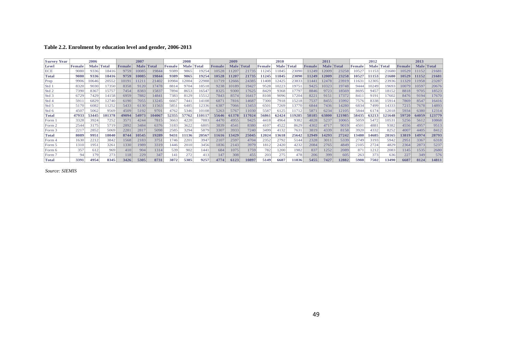#### **Table 2.2. Enrolment by education level and gender, 2006-2013**

<span id="page-48-0"></span>

| <b>Survey Year</b> |              | 2006  |        |               | 2007  |            |       | 2008        |              |        | 2009        |              |        | 2010  |       |        | 2011        |        |                | 2012        |              |        | 2013  |            |
|--------------------|--------------|-------|--------|---------------|-------|------------|-------|-------------|--------------|--------|-------------|--------------|--------|-------|-------|--------|-------------|--------|----------------|-------------|--------------|--------|-------|------------|
| Level              | <b>Femal</b> | Male  | Total  | <b>Female</b> |       | Male Total | Femal | <b>Male</b> | <b>Total</b> | Female | <b>Male</b> | <b>Total</b> | Female | Male  | Total | Female | <b>Male</b> | Total  | <b> Female</b> | <b>Male</b> | <b>Total</b> | Female |       | Male Total |
| <b>ECE</b>         | 9080         | 9336  | 18416  | 9759          | 10085 | 19844      | 9389  | 9865        | 19254        | 10528  | 11207       | 21735        | 11245  | 1845  | 23090 | 1249   | 12009       | 23258  | 1052           | 11153       | 21680        | 10529  | 11152 | 21681      |
| <b>Total</b>       | 9080         | 9336  | 18416  | 9759          | 10085 | 19844      | 9389  | 9865        | 19254        | 10528  | 11207       | 21735        | 11245  | 11845 | 23090 | 11249  | 12009       | 23258  | 10527          | 11153       | 21680        | 10529  | 11152 | 21681      |
| Prep               | 990          | 10646 | 20552  | 0191          | 1121  | 21402      | 10984 | 2004        | 22988        | 11719  | 12666       | 24385        | 11408  | 12425 | 23833 | 144    | 12478       | 23919  | 163            | 12305       | 23936        | 11329  | 11958 | 23287      |
| Std                | 8320         | 9030  | 17350  | 8358          | 9120  | 17478      | 8814  | 9704        | 18518        | 9238   | 10189       | 19427        | 9528   | 10223 | 19751 | 9425   | 10323       | 19748  | 9444           | 10249       | 19693        | 10079  | 10597 | 20676      |
| Std 2              | 7390         | 8367  | 15757  | 7454          | 8383  | 15837      | 7894  | 8653        | 16547        | 8325   | 9300        | 17625        | 8429   | 9368  | 17797 | 8846   | 9723        | 18569  | 8695           | 9457        | 18152        | 8818   | 9705  | 18523      |
| Std 3              | 6729         | 7429  | 14158  | 6959          | 7882  | 14841      | 7383  | 8129        | 15512        | 7843   | 8574        | 16417        | 8108   | 9096  | 17204 | 8221   | 9151        | 17372  | 841            | 9191        | 17602        | 8476   | 9194  | 17670      |
| Std 4              | 591          | 6829  | 12740  | 6190          | 7055  | 3245       | 6667  | 7441        | 14108        | 6871   | 7816        | 14687        | 7300   | 7918  | 15218 | 7537   | 8455        | 15992  | 7576           | 8338        | 15914        | 7869   | 8547  | 16416      |
| Std 5              | 5170         | 6082  | 1252   | 5433          | 6130  | 1563       | 5851  | 6485        | 12336        | 6387   | 7066        | 13453        | 6501   | 7269  | 13770 | 6844   | 7436        | 14280  | 6834           | 7499        | 14333        | 7215   | 7678  | 14893      |
| Std 6              | 4507         | 5062  | 9569   | 4509          | 5192  | 9701       | 4762  | 5346        | 10108        | 5263   | 5767        | 11030        | 558    | 6125  | 11712 | 5871   | 6234        | 12105  | 5844           | 6174        | 12018        | 5934   | 6380  | 12314      |
| <b>Total</b>       | 47933        | 53445 | 101378 | 49094         | 54973 | 104067     | 52355 | 57762       | 110117       | 55646  | 61378       | 117024       | 56861  | 62424 | 19285 | 58185  | 63800       | 121985 | 58435          | 63213       | 121648       | 59720  | 64059 | 123779     |
| Form 1             | 3328         | 3924  | 7252   | 3571          | 4244  | 7815       | 3663  | 4220        | 7883         | 4470   | 4955        | 9425         | 4418   | 4964  | 9382  | 4828   | 5237        | 10065  | 5059           | 5472        | 10531        | 5256   | 5612  | 10868      |
| Form 2             | 2544         | 3175  | 5719   | 2892          | 3484  | 6376       | 3183  | 3622        | 6805         | 3839   | 4541        | 8380         | 4107   | 4522  | 8629  | 4302   | 4717        | 9019   | 4501           | 4881        | 9382         | 4556   | 4957  | 9513       |
| Form 3             | 221'         | 2852  | 5069   | 2281          | 2817  | 5098       | 2585  | 3294        | 5879         | 3307   | 3933        | 7240         | 3499   | 4132  | 7631  | 3819   | 4339        | 8158   | 3920           | 4332        | 8252         | 4007   | 4405  | 8412       |
| <b>Total</b>       | 8089         | 9951  | 18040  | 8744          | 10545 | 19289      | 9431  | 11136       | 20567        | 11616  | 13429       | 25045        | 12024  | 13618 | 25642 | 12949  | 14293       | 27242  | 13480          | 14685       | 28165        | 13819  | 14974 | 28793      |
| Form 4             | 1630         | 2212  | 3842   | 1568          | 2183  | 3751       | 1746  | 2201        | 3947         | 2107   | 2597        | 4704         | 2352   | 2792  | 5144  | 2328   | 3011        | 5339   | 2749           | 3193        | 5942         | 2951   | 3367  | 6318       |
| Form 5             | 1310         | 1951  | 3261   | 1330          | 1989  | 3319       | 1446  | 2010        | 3456         | 1836   | 2143        | 3979         | 1812   | 2420  | 4232  | 2084   | 2765        | 4849   | 2105           | 2724        | 4829         | 2364   | 2873  | 5237       |
| (Form 6)           | 357          | 612   | 969    | 410           | 904   | 1314       | 539   | 902         | 1441         | 684    | 1075        | 1759         | 782    | 1200  | 1982  | 837    | 1252        | 2089   | 871            | 1212        | 2083         | 1145   | 1535  | 2680       |
| Form 7             | 94           | 179   | 273    | 118           | 229   | 347        | 141   | 272         | 413          | 147    | 308         | 455          | 203    | 275   | 478   | 206    | 399         | 605    | 263            | 373         | 636          | 227    | 349   | 576        |
| <b>Total</b>       | 3391         | 4954  | 8345   | 3426          | 5305  | 8731       | 3872  | 5385        | 9257         | 4774   | 6123        | 10897        | 5149   | 6687  | 11836 | 5455   | 7427        | 12882  | 5988           | 7502        | 13490        | 6687   | 8124  | 14811      |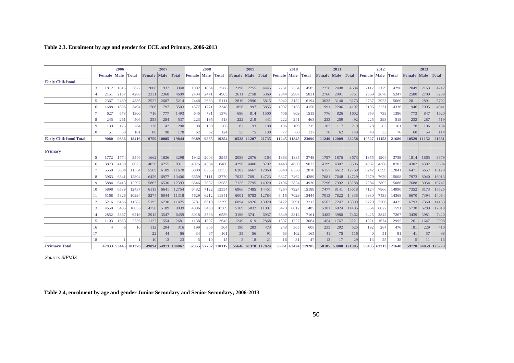#### **Table 2.3. Enrolment by age and gender for ECE and Primary, 2006-2013**

|                              |    |        | 2006 |                    |        | 2007        |                    |        | 2008        |                    |            | 2009  |                    |        | 2010  |                    |        | 2011  |                    |        | 2012  |                    |                | 2013               |       |
|------------------------------|----|--------|------|--------------------|--------|-------------|--------------------|--------|-------------|--------------------|------------|-------|--------------------|--------|-------|--------------------|--------|-------|--------------------|--------|-------|--------------------|----------------|--------------------|-------|
|                              |    | Female | Male | <b>Total</b>       | Female | <b>Male</b> | Total              | Female | <b>Male</b> | Total              | Female     | Male  | Total              | Female | Male  | Total              | Female | Male  | Total              | Female | Male  | <b>Total</b>       | Female         | Male               | Total |
| <b>Early Childhood</b>       |    |        |      |                    |        |             |                    |        |             |                    |            |       |                    |        |       |                    |        |       |                    |        |       |                    |                |                    |       |
|                              |    | 1812   | 1815 | 3627               | 2008   | 1932        | 3940               | 1902   | 1864        | 3766               | 2190       | 2255  | 4445               | 2251   | 2334  | 4585               | 2276   | 2408  | 4684               | 2117   | 2179  | 4296               | 2049           | 2163               | 4212  |
|                              |    | 2151   | 2137 | 4288               | 2331   | 2368        | 4699               | 2434   | 2471        | 4905               | 2611       | 2758  | 5369               | 2844   | 2987  | 5831               | 2760   | 2991  | 5751               | 2569   | 2678  | 5247               | 2580           | 2709               | 5289  |
|                              |    | 2367   | 2469 | 4836               | 2527   | 2687        | 5214               | 2448   | 2663        | 5111               | 2819       | 2996  | 5815               | 3042   | 3152  | 6194               | 3033   | 3140  | 6173               | 2737   | 2923  | 5660               | 2811           | 2891               | 5702  |
|                              |    | 1688   | 1806 | 3494               | 1706   | 1797        | 3503               | 1577   | 1771        | 3348               | 1858       | 1997  | 3855               | 1997   | 2153  | 4150               | 1991   | 2206  | 4197               | 2105   | 2231  | 4336               | 1946           | 2095               | 4041  |
|                              |    | 627    | 673  | 1300               | 716    | 777         | 1493               | 645    | 731         | 1376               | 686        | 814   | 1500               | 706    | 809   | 1515               | 776    | 826   | 1602               | 653    | 733   | 1386               | 773            | 847                | 1620  |
|                              | 8  | 245    | 261  | 506                | 253    | 284         | 537                | 223    | 195         | 418                | 222        | 219   | 441                | 222    | 241   | 463                | 233    | 259   | 492                | 225    | 293   | 518                | 232            | 287                | 519   |
|                              |    | 139    | 125  | 264                | 138    | 142         | 280                | 98     | 108         | 206                | 87         | 93    | 180                | 106    | 109   | 215                | 102    | 117   | 219                | 78     | 83    | 161                | 78             | 106                | 184   |
|                              | 10 | 51     | 50   | 101                | 80     | 98          | 178                | 62     | 62          | 124                | 55         | 75    | 130                | 77     | 60    | 137                | 78     | 62    | 140                | 43     | 33    | 76                 | 60             | 54                 | 114   |
| <b>Early Childhood Total</b> |    | 9080   | 9336 | 18416              | 9759   | 10085       | 19844              | 9389   | 9865        | 19254              | 10528      | 11207 | 21735              | 11245  | 11845 | 23090              | 11249  | 12009 | 23258              | 10527  | 11153 | 21680              |                | 10529 11152        | 21681 |
|                              |    |        |      |                    |        |             |                    |        |             |                    |            |       |                    |        |       |                    |        |       |                    |        |       |                    |                |                    |       |
| Primary                      |    |        |      |                    |        |             |                    |        |             |                    |            |       |                    |        |       |                    |        |       |                    |        |       |                    |                |                    |       |
|                              | 5  | 1772   | 1774 | 3546               | 1662   | 1636        | 3298               | 1942   | 2003        | 3945               | 2088       | 2076  | 4164               | 1863   | 1885  | 3748               | 1797   | 1876  | 3673               | 1855   | 1904  | 3759               | 1814           | 1865               | 3679  |
|                              | -6 | 3873   | 4150 | 8023               | 4056   | 4255        | 8311               | 4076   | 4384        | 8460               | 4296       | 4406  | 8702               | 4443   | 4630  | 9073               | 4199   | 4307  | 8506               | 4337   | 4366  | 8703               | 4302           | 4302               | 8604  |
|                              |    | 5550   | 5804 | 11354              | 5569   | 6109        | 11678              | 6000   | 6355        | 12355              | 6202       | 6667  | 12869              | 6340   | 6530  | 12870              | 6157   | 6612  | 12769              | 6242   | 6599  | 12841              | 6471           | 6657               | 13128 |
|                              | -S | 5963   | 6341 | 12304              | 6429   | 6977        | 13406              | 6659   | 7111        | 13770              | 7032       | 7691  | 14723              | 6827   | 7462  | 14289              | 7081   | 7648  | 14729              | 7379   | 7629  | 15008              | 7973           | 8040               | 16013 |
|                              | C  | 5884   | 6413 | 12297              | 5863   | 6530        | 12393              | 6546   | 7037        | 13583              | 7125       | 7795  | 14920              | 7106   | 7824  | 14930              | 7296   | 7992  | 15288              | 7284   | 7802  | 15086              | 7688           | 8054               | 15742 |
|                              | 10 | 5898   | 6539 | 12437              | 6113   | 6641        | 12754              | 6432   | 7122        | 13554              | 6966       | 7485  | 14451              | 7264   | 7924  | 15188              | 7477   | 8141  | 15618              | 7124   | 7866  | 14990              | 7352           | 8173               | 15525 |
|                              | 11 | 5168   | 5826 | 10994              | 5274   | 6044        | 11318              | 5629   | 6212        | 11841              | 6001       | 6783  | 12784              | 6415   | 7029  | 13444              | 7013   | 7822  | 14835              | 6930   | 7438  | 14368              | 6670           | 7394               | 14064 |
|                              | 12 | 5216   | 6166 | 11382              | 5195   | 6230        | 11425              | 5781   | 6618        | 12399              | 6094       | 6926  | 13020              | 6122   | 709   | 13213              | 6562   | 7247  | 13809              | 6729   | 7706  | 14435              | 6793           | 7360               | 14153 |
|                              | 13 | 4650   | 5405 | 10055              | 4750   | 5189        | 9939               | 4896   | 5493        | 10389              | 5169       | 5832  | 11001              | 5473   | 6012  | 11485              | 5381   | 6024  | 11405              | 5564   | 6027  | 11591              | 5730           | 6289               | 12019 |
|                              | 14 | 2852   | 3367 | 6219               | 2912   | 3547        | 6459               | 3018   | 3538        | 6556               | 3196       | 3741  | 6937               | 3349   | 3812  | 7161               | 3482   | 3980  | 7462               | 3425   | 3842  | 7267               | 3439           | 3981               | 7420  |
|                              | 15 | 1103   | 1653 | 2756               | 1127   | 1554        | 2681               | 1138   | 1507        | 2645               | 1249       | 1619  | 2868               | 1337   | 1727  | 3064               | 1454   | 1767  | 3221               | 1321   | 1674  | 2995               | 1261           | 1647               | 2908  |
|                              | 16 |        |      | 10                 | 112    | 204         | 316                | 199    | 305         | 504                | <b>190</b> | 283   | 473                | 243    | 365   | 608                | 233    | 292   | 525                | 192    | 284   | 476                | 181            | 229                | 410   |
|                              | 17 |        |      |                    | 22     | 44          | 66                 | 34     | 67          | 101                | 35         | 56    | 91                 | 63     | 102   | 165                | 41     | 75    | 116                | 40     | 51    | 91                 | 41             | 57                 | 98    |
|                              | 18 |        |      |                    | 10     | 13          | 23                 |        | 10          | 15                 |            | 18    | 21                 | 16     | 31    | 47                 | 12     | 17    | 29                 | 13     | 25    | 38                 | $\overline{5}$ | 11                 | 16    |
| <b>Primary Total</b>         |    |        |      | 47933 53445 101378 |        |             | 49094 54973 104067 |        |             | 52355 57762 110117 |            |       | 55646 61378 117024 |        |       | 56861 62424 119285 |        |       | 58185 63800 121985 |        |       | 58435 63213 121648 |                | 59720 64059 123779 |       |

<span id="page-49-0"></span>*Source: SIEMIS*

<span id="page-49-1"></span>**Table 2.4, enrolment by age and gender Junior Secondary and Senior Secondary, 2006-2013**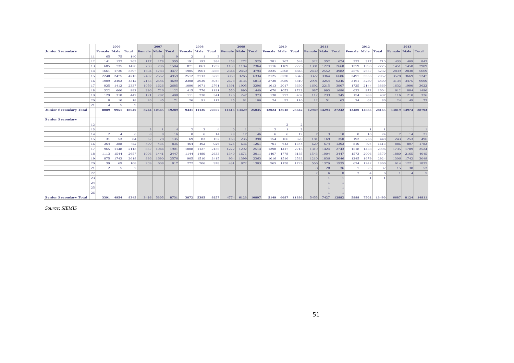|                               |     |                | 2006 |              |        | 2007           |       |        | 2008  |       |                    | 2009 |       |                    | 2010  |       |                    | 2011        |       |        | 2012  |              |                    | 2013        |       |
|-------------------------------|-----|----------------|------|--------------|--------|----------------|-------|--------|-------|-------|--------------------|------|-------|--------------------|-------|-------|--------------------|-------------|-------|--------|-------|--------------|--------------------|-------------|-------|
| <b>Junior Secondary</b>       |     | Female         | Male | <b>Total</b> | Female | Male           | Total | Female | Male  | Total | <b>Female</b> Male |      | Total | <b>Female</b> Male |       | Total | <b>Female</b> Male |             | Total | Female | Male  | <b>Total</b> | <b>Female</b> Male |             | Total |
|                               | 11  | 65             | 75   | 140          |        | 6              |       |        |       |       |                    |      |       |                    |       |       |                    |             |       |        |       |              |                    |             |       |
|                               | 12  | 141            | 122  | 263          | 177    | 178            | 355   | 191    | 193   | 384   | 253                | 272  | 525   | 281                | 267   | 548   | 322                | 352         | 674   | 333    | 377   | 710          | 433                | 409         | 842   |
|                               | 13  | 685            | 735  | 1420         | 708    | 796            | 1504  | 871    | 861   | 1732  | 1180               | 1184 | 2364  | 1116               | 1109  | 2225  | 1381               | 1279        | 2660  | 1379   | 1396  | 2775         | 1451               | 1458        | 2909  |
|                               | 14  | 1661           | 1736 | 3397         | 1694   | 1783           | 3477  | 1905   | 1961  | 3866  | 2344               | 2450 | 4794  | 2335               | 2508  | 4843  | 2430               | 2552        | 4982  | 2575   | 2657  | 5232         | 2839               | 2830        | 5669  |
|                               | 15  | 2240           | 2475 | 4715         | 2407   | 2552           | 4959  | 2512   | 2713  | 5225  | 3069               | 3265 | 6334  | 3125               | 3220  | 6345  | 3322               | 3364        | 6686  | 3497   | 3555  | 7052         | 3578               | 3669        | 7247  |
|                               | 16  | 1909           | 2403 | 4312         | 2153   | 2546           | 4699  | 2308   | 2639  | 4947  | 2678               | 3135 | 5813  | 2730               | 3080  | 5810  | 2991               | 3254        | 6245  | 3161   | 3239  | 6400         | 3134               | 3475        | 6609  |
|                               | 17  | 925            | 1412 | 2337         | 1059   | 1626           | 2685  | 1090   | 1671  | 2761  | 1391               | 1905 | 3296  | 1613               | 2017  | 3630  | 1692               | 2215        | 3907  | 1725   | 2144  | 3869         | 1632               | 1990        | 3622  |
|                               | 18  | 322            | 660  | 982          | 396    | 726            | 1122  | 415    | 776   | 1191  | 550                | 890  | 1440  | 670                | 1053  | 1723  | 687                | 993         | 1680  | 632    | 972   | 1604         | 612                | 884         | 1496  |
|                               | 19  | 129            | 318  | 447          | 121    | 287            | 408   | 111    | 230   | 341   | 126                | 247  | 373   | 130                | 272   | 402   | 112                | 233         | 345   | 154    | 283   | 437          | 116                | 210         | 326   |
|                               | 20  | -8             | 10   | 18           | 26     | 45             | 71    | 26     | 91    | 117   | 25                 | 81   | 106   | 24                 | 92    | 116   | 12                 | 51          | 63    | 24     | 62    | 86           | 24                 | 49          | 73    |
|                               | 2.1 |                |      |              |        |                |       |        |       |       |                    |      |       |                    |       |       |                    |             |       |        |       |              |                    |             |       |
| <b>Junior Secondary Total</b> |     | 8089           | 9951 | 18040        |        | 8744 10545     | 19289 | 9431   | 11136 | 20567 | 11616 13429        |      | 25045 | 12024              | 13618 | 25642 |                    | 12949 14293 | 27242 | 13480  | 14685 | 28165        |                    | 13819 14974 | 28793 |
|                               |     |                |      |              |        |                |       |        |       |       |                    |      |       |                    |       |       |                    |             |       |        |       |              |                    |             |       |
| <b>Senior Secondary</b>       |     |                |      |              |        |                |       |        |       |       |                    |      |       |                    |       |       |                    |             |       |        |       |              |                    |             |       |
|                               | 12  |                |      |              |        |                |       |        |       |       |                    |      |       |                    |       |       |                    |             |       |        |       |              |                    |             |       |
|                               | 13  |                |      |              |        |                |       |        |       |       |                    |      |       |                    |       |       |                    |             |       |        |       |              |                    |             |       |
|                               | 14  | $\overline{c}$ |      |              | -8     | 8 <sup>1</sup> | 16    |        | б     | 14    | 29                 | 17   | 46    |                    |       | 12    |                    | 3           | 10    | 8      | 16    | 24           |                    | 14          | 21    |
|                               | 15  | 31             | 53   | 84           | 57     | 78             | 135   | 69     | 83    | 152   | 163                | 235  | 398   | 154                | 166   | 320   | 181                | 169         | 350   | 192    | 256   | 448          | 243                | 253         | 496   |
|                               | 16  | 364            | 388  | 752          | 400    | 435            | 835   | 464    | 462   | 926   | 625                | 636  | 1261  | 701                | 643   | 1344  | 629                | 674         | 1303  | 819    | 794   | 1613         | 886                | 897         | 1783  |
|                               | 17  | 965            | 1148 | 2113         | 857    | 1044           | 1901  | 1008   | 1127  | 2135  | 1222               | 1292 | 2514  | 1298               | 1417  | 2715  | 1319               | 1424        | 2743  | 1518   | 1478  | 2996         | 1735               | 1789        | 3524  |
|                               | 18  | 1113           | 1544 | 2657         | 1006   | 1441           | 2447  | 1144   | 1489  | 2633  | 1340               | 1671 | 3011  | 1407               | 1778  | 3185  | 1543               | 1904        | 3447  | 1573   | 2006  | 3579         | 1880               | 2165        | 4045  |
|                               | 19  | 875            | 1743 | 2618         | 886    | 1690           | 2576  | 905    | 1510  | 2415  | 964                | 1399 | 2363  | 1016               | 1516  | 2532  | 1210               | 1836        | 3046  | 1245   | 1679  | 2924         | 1306               | 1742        | 3048  |
|                               | 20  | 39             | 69   | 108          | 209    | 608            | 817   | 272    | 706   | 978   | 431                | 872  | 1303  | 565                | 1158  | 1723  | 556                | 1379        | 1935  | 624    | 1242  | 1866         | 614                | 1221        | 1835  |
|                               | 21  | $\mathcal{D}$  |      |              |        |                |       |        |       |       |                    |      |       |                    |       |       | 8                  | 28          | 36    |        | 25    | 32           | 15                 | 38          | 53    |
|                               | 22  |                |      |              |        |                |       |        |       |       |                    |      |       |                    |       |       |                    |             |       |        |       | -6           |                    |             | 5     |
|                               | 23  |                |      |              |        |                |       |        |       |       |                    |      |       |                    |       |       |                    |             |       |        |       |              |                    |             |       |
|                               | 24  |                |      |              |        |                |       |        |       |       |                    |      |       |                    |       |       |                    |             |       |        |       |              |                    |             |       |
|                               | 25  |                |      |              |        |                |       |        |       |       |                    |      |       |                    |       |       |                    |             |       |        |       |              |                    |             |       |
|                               | 26  |                |      |              |        |                |       |        |       |       |                    |      |       |                    |       |       |                    |             |       |        |       |              |                    |             |       |
| <b>Senior Secondary Total</b> |     | 3391           | 4954 | 8345         | 3426   | 5305           | 8731  | 3872   | 5385  | 9257  | 4774               | 6123 | 10897 | 5149               | 6687  | 11836 | 5455               | 7427        | 12882 | 5988   | 7502  | 13490        | 6687               | 8124        | 14811 |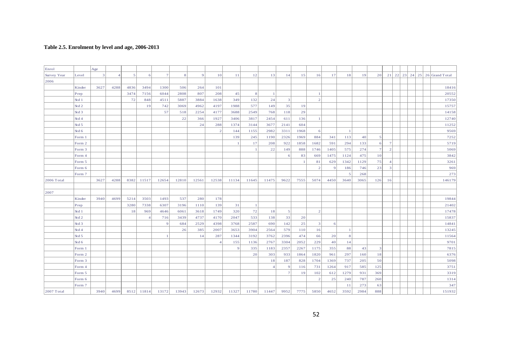#### <span id="page-51-0"></span>**Table 2.5. Enrolment by level and age, 2006-2013**

| Table 2.5. Enrolment by level and age, 2006-2013 |                  |                |                |           |                |                |       |                |                |                |                |                |                |              |                |                |                         |      |                |                         |    |    |    |    |                |
|--------------------------------------------------|------------------|----------------|----------------|-----------|----------------|----------------|-------|----------------|----------------|----------------|----------------|----------------|----------------|--------------|----------------|----------------|-------------------------|------|----------------|-------------------------|----|----|----|----|----------------|
|                                                  |                  |                |                |           |                |                |       |                |                |                |                |                |                |              |                |                |                         |      |                |                         |    |    |    |    |                |
|                                                  |                  |                |                |           |                |                |       |                |                |                |                |                |                |              |                |                |                         |      |                |                         |    |    |    |    |                |
| Enrol                                            |                  | Age            |                |           |                |                |       |                |                |                |                |                |                |              |                |                |                         |      |                |                         |    |    |    |    |                |
| Survey Year                                      | Level            | $\overline{3}$ | $\overline{4}$ | $\vert$ 5 | 6              | $\overline{7}$ | 8     | $\overline{9}$ | 10             | $1\,1$         | 12             | 13             | 14             | 15           | 16             | 17             | 18                      | 19   | 20             | 21                      | 22 | 23 | 24 | 25 | 26 Grand Total |
| 2006                                             |                  |                |                |           |                |                |       |                |                |                |                |                |                |              |                |                |                         |      |                |                         |    |    |    |    |                |
|                                                  | Kinder           | 3627           | 4288           | 4836      | 3494           | 1300           | 506   | 264            | 101            |                |                |                |                |              |                |                |                         |      |                |                         |    |    |    |    | 18416          |
|                                                  | Prep             |                |                | 3474      | 7156           | 6044           | 2808  | 807            | 208            | 45             | 8              | $\overline{1}$ |                |              |                |                |                         |      |                |                         |    |    |    |    | 20552          |
|                                                  | Std 1            |                |                | 72        | 848            | 4511           | 5887  | 3884           | 1638           | 349            | 132            | 24             | $\overline{3}$ |              | $\overline{2}$ |                |                         |      |                |                         |    |    |    |    | 17350          |
|                                                  | Std2             |                |                |           | 19             | 742            | 3069  | 4962           | 4197           | 1988           | 577            | 149            | 35             | 19           |                |                |                         |      |                |                         |    |    |    |    | 15757          |
|                                                  | Std 3            |                |                |           |                | 57             | 518   | 2254           | 4177           | 3688           | 2549           | 768            | 118            | 29           |                |                |                         |      |                |                         |    |    |    |    | 14158          |
|                                                  | Std 4            |                |                |           |                |                | 22    | 366            | 1927           | 3406           | 3817           | 2454           | 611            | 136          | $\mathbf{1}$   |                |                         |      |                |                         |    |    |    |    | 12740          |
|                                                  | Std <sub>5</sub> |                |                |           |                |                |       | 24             | 288            | 1374           | 3144           | 3677           | 2141           | 604          |                |                |                         |      |                |                         |    |    |    |    | 11252          |
|                                                  | Std 6            |                |                |           |                |                |       |                | $\overline{2}$ | 144            | 1155           | 2982           | 3311           | 1968         | 6              |                | $\mathbf{1}$            |      |                |                         |    |    |    |    | 9569           |
|                                                  | Form 1           |                |                |           |                |                |       |                |                | 139            | 245            | 1190           | 2326           | 1969         | 884            | 341            | 113                     | 40   | 5              |                         |    |    |    |    | 7252           |
|                                                  | Form 2           |                |                |           |                |                |       |                |                | $\overline{1}$ | 17             | 208            | 922            | 1858         | 1682           | 591            | 294                     | 133  | 6 <sup>1</sup> | $\overline{7}$          |    |    |    |    | 5719           |
|                                                  | Form 3           |                |                |           |                |                |       |                |                |                | $\overline{1}$ | 22             | 149            | 888          | 1746           | 1405           | 575                     | 274  | 7 <sup>1</sup> | $\overline{2}$          |    |    |    |    | 5069           |
|                                                  | Form 4           |                |                |           |                |                |       |                |                |                |                |                | 6              | 83           | 669            | 1475           | 1124                    | 475  | 10             |                         |    |    |    |    | 3842           |
|                                                  | Form 5           |                |                |           |                |                |       |                |                |                |                |                |                | $\mathbf{1}$ | 81             | 629            | 1342                    | 1129 | 75             | $\overline{4}$          |    |    |    |    | 3261           |
|                                                  | Form 6           |                |                |           |                |                |       |                |                |                |                |                |                |              | $\overline{2}$ | $\overline{9}$ | 186                     | 746  | 23             | $\overline{\mathbf{3}}$ |    |    |    |    | 969            |
|                                                  | Form 7           |                |                |           |                |                |       |                |                |                |                |                |                |              |                |                | $\overline{\mathbf{5}}$ | 268  |                |                         |    |    |    |    | 273            |
| 2006 Total                                       |                  | 3627           | 4288           | 8382      | 11517          | 12654          | 12810 | 12561          | 12538          | 11134          | 11645          | 11475          | 9622           | 7555         | 5074           | 4450           | 3640                    | 3065 | 126            | 16                      |    |    |    |    | 146179         |
| 2007                                             |                  |                |                |           |                |                |       |                |                |                |                |                |                |              |                |                |                         |      |                |                         |    |    |    |    |                |
|                                                  | Kinder           | 3940           | 4699           | 5214      | 3503           | 1493           | 537   | 280            | 178            |                |                |                |                |              |                |                |                         |      |                |                         |    |    |    |    | 19844          |
|                                                  | Prep             |                |                | 3280      | 7338           | 6307           | 3196  | 1110           | 139            | 31             |                |                |                |              |                |                |                         |      |                |                         |    |    |    |    | 21402          |
|                                                  | Std 1            |                |                | 18        | 969            | 4646           | 6061  | 3618           | 1749           | 320            | 72             | 18             | $\mathfrak{S}$ |              | $\overline{2}$ |                |                         |      |                |                         |    |    |    |    | 17478          |
|                                                  | Std 2            |                |                |           | $\overline{4}$ | 716            | 3439  | 4737           | 4170           | 2047           | 533            | 138            | 33             | 20           |                |                |                         |      |                |                         |    |    |    |    | 15837          |
|                                                  | Std <sub>3</sub> |                |                |           |                | $\overline{Q}$ | 684   | 2529           | 4398           | 3768           | 2587           | 690            | 142            | 25           | $\vert$ 3      | 6              |                         |      |                |                         |    |    |    |    | 14841          |
|                                                  | Std4             |                |                |           |                |                | 26    | 385            | 2007           | 3653           | 3904           | 2564           | 579            | 110          | 16             |                | $\mathbf{1}$            |      |                |                         |    |    |    |    | 13245          |
|                                                  | Std <sub>5</sub> |                |                |           |                |                |       | 14             | 287            | 1344           | 3192           | 3762           | 2396           | 474          | 66             | 20             | 8                       |      |                |                         |    |    |    |    | 11564          |
|                                                  | Std 6            |                |                |           |                |                |       |                | $\Delta$       | 155            | 1136           | 2767           | 3304           | 2052         | 229            | 40             | 14                      |      |                |                         |    |    |    |    | 9701           |
|                                                  | Form 1           |                |                |           |                |                |       |                |                | $\overline{9}$ | 335            | 1183           | 2357           | 2267         | 1175           | 355            | 88                      | 43   | $\vert$ 3      |                         |    |    |    |    | 7815           |
|                                                  | Form 2           |                |                |           |                |                |       |                |                |                | 20             | 303            | 933            | 1864         | 1820           | 961            | 297                     | 160  | 18             |                         |    |    |    |    | 6376           |
|                                                  | Form 3           |                |                |           |                |                |       |                |                |                |                | 18             | 187            | 828          | 1704           | 1369           | 737                     | 205  | 50             |                         |    |    |    |    | 5098           |
|                                                  | Form 4           |                |                |           |                |                |       |                |                |                |                | $\overline{4}$ | $\overline{9}$ | 116          | 731            | 1264           | 917                     | 585  | 125            |                         |    |    |    |    | 3751           |
|                                                  | Form 5           |                |                |           |                |                |       |                |                |                |                |                | 7              | 19           | 102            | 612            | 1279                    | 931  | 369            |                         |    |    |    |    | 3319           |
|                                                  | Form 6           |                |                |           |                |                |       |                |                |                |                |                |                |              | $\mathcal{D}$  | 25             | 240                     | 787  | 260            |                         |    |    |    |    | 1314           |
|                                                  | Form 7           |                |                |           |                |                |       |                |                |                |                |                |                |              |                |                | 11                      | 273  | 63             |                         |    |    |    |    | 347            |
| 2007 Total                                       |                  | 3940           | 4699           | 8512      | 11814          | 13172          | 13943 | 12673          | 12932          | 11327          | 11780          | 11447          | 9952           | 7775         | 5850           | 4652           | 3592                    | 2984 | 888            |                         |    |    |    |    | 151932         |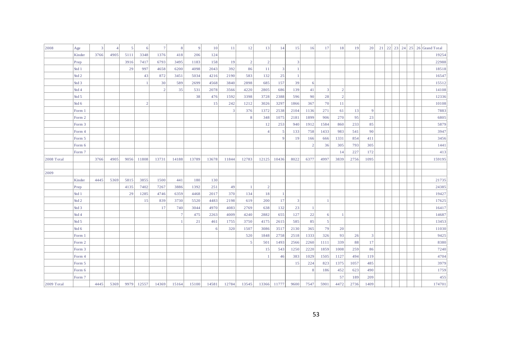| 2008       | Age              | $\overline{\mathbf{3}}$ | $\overline{4}$ | $\vert$ 5 | 6 <sup>1</sup> | $7\overline{ }$ | 8 <sup>1</sup> | $\overline{9}$ | 10    | 11           | 12               | 13                 | 14                      | 15           | 16             | 17             | 18             | 19         | 20                            |  |  | 21 22 23 24 25 26 Grand Total |
|------------|------------------|-------------------------|----------------|-----------|----------------|-----------------|----------------|----------------|-------|--------------|------------------|--------------------|-------------------------|--------------|----------------|----------------|----------------|------------|-------------------------------|--|--|-------------------------------|
|            | Kinder           | 3766                    | 4905           | 5111      | 3348           | 1376            | 418            | 206            | 124   |              |                  |                    |                         |              |                |                |                |            |                               |  |  | 19254                         |
|            | Prep             |                         |                | 3916      | 7417           | 6793            | 3495           | 1183           | 158   | 19           | $\vert$ 2        | $\overline{2}$     |                         | $\mathbf{3}$ |                |                |                |            |                               |  |  | 22988                         |
|            | Std 1            |                         |                | 29        | 997            | 4658            | 6200           | 4098           | 2043  | 392          | 86               | 11                 | $\overline{\mathbf{3}}$ | $\mathbf{1}$ |                |                |                |            |                               |  |  | 18518                         |
|            | Std2             |                         |                |           | 43             | 872             | 3451           | 5034           | 4216  | 2190         | 583              | 132                | 25                      | $\mathbf{1}$ |                |                |                |            |                               |  |  | 16547                         |
|            | Std <sub>3</sub> |                         |                |           |                | 30              | 589            | 2699           | 4568  | 3840         | 2898             | 685                | 157                     | 39           | -6             |                |                |            |                               |  |  | 15512                         |
|            | Std4             |                         |                |           |                | $\mathcal{I}$   | 35             | 531            | 2078  | 3566         | 4220             | 2805               | 686                     | 139          | 41             | $\overline{3}$ | $\overline{2}$ |            |                               |  |  | 14108                         |
|            | Std 5            |                         |                |           |                |                 |                | 38             | 476   | 1592         | 3398             | 3728               | 2388                    | 596          | 90             | 28             | $\overline{2}$ |            |                               |  |  | 12336                         |
|            | Std 6            |                         |                |           | $\overline{2}$ |                 |                |                | 15    | 242          | 1212             | 3026               | 3297                    | 1866         | 367            | 70             | 11             |            |                               |  |  | 10108                         |
|            | Form 1           |                         |                |           |                |                 |                |                |       | $\mathbf{3}$ | 376              | 1372               | 2538                    | 2104         | 1136           | 271            | 61             | 13         | $\overline{9}$                |  |  | 7883                          |
|            | Form 2           |                         |                |           |                |                 |                |                |       |              | 8                | 348                | 1075                    | 2181         | 1899           | 906            | 270            | 95         | 23                            |  |  | 6805                          |
|            | Form 3           |                         |                |           |                |                 |                |                |       |              |                  | 12                 | 253                     | 940          | 1912           | 1584           | 860            | 233        | 85                            |  |  | 5879                          |
|            | Form 4           |                         |                |           |                |                 |                |                |       |              |                  | $\overline{4}$     | 5                       | 133          | 758            | 1433           | 983            | 541        | 90                            |  |  | 3947                          |
|            | Form 5           |                         |                |           |                |                 |                |                |       |              |                  |                    | 9                       | 19           | 166            | 666            | 1331           | 854        | 411                           |  |  | 3456                          |
|            | Form 6           |                         |                |           |                |                 |                |                |       |              |                  |                    |                         |              | $\overline{2}$ | 36             | 305            | 793        | 305                           |  |  | 1441                          |
|            | Form 7           |                         |                |           |                |                 |                |                |       |              |                  |                    |                         |              |                |                | 14             | 227        | 172                           |  |  | 413                           |
| 2008 Total |                  | 3766                    | 4905           | 9056      | 11808          | 13731           | 14188          | 13789          | 13678 | 11844        | 12783            | 12125              | 10436                   | 8022         | 6377           | 4997           | 3839           | 2756       | 1095                          |  |  | 159195                        |
|            |                  |                         |                |           |                |                 |                |                |       |              |                  |                    |                         |              |                |                |                |            |                               |  |  |                               |
| 2009       |                  |                         |                |           |                |                 |                |                |       |              |                  |                    |                         |              |                |                |                |            |                               |  |  |                               |
|            | Kinder           | 4445                    | 5369           | 5815      | 3855           | 1500            | 441            | 180            | 130   |              |                  |                    |                         |              |                |                |                |            |                               |  |  | 21735                         |
|            | Prep             |                         |                | 4135      | 7402           | 7267            | 3886           | 1392           | 251   | 49           |                  | $\overline{2}$     |                         |              |                |                |                |            |                               |  |  | 24385                         |
|            | Std 1            |                         |                | 29        | 1285           | 4746            | 6359           | 4468           | 2017  | 370          | 134              | 18                 | $\overline{1}$          |              |                |                |                |            |                               |  |  | 19427                         |
|            | Std 2            |                         |                |           | 15             | 839             | 3730           | 5520           | 4483  | 2198         | 619              | 200                | 17                      | $\vert$ 3    |                | -1             |                |            |                               |  |  | 17625                         |
|            | Std <sub>3</sub> |                         |                |           |                | 17              | 740            | 3044           | 4970  | 4083         | 2769             | 638                | 132                     | 23           | $\overline{1}$ |                |                |            |                               |  |  | 16417                         |
|            | Std 4            |                         |                |           |                |                 | $\overline{7}$ | 475            | 2263  | 4009         | 4240             | 2882               | 655                     | 127          | 22             | $6 \mid$       |                |            |                               |  |  | 14687                         |
|            | Std <sub>5</sub> |                         |                |           |                |                 |                | 21             | 461   | 1755         | 3750             | 4175               | 2615                    | 585          | 85             | $\sqrt{5}$     |                |            |                               |  |  | 13453                         |
|            | Std 6            |                         |                |           |                |                 |                |                | 6     | 320          | 1507             | 3086               | 3517                    | 2130         | 365            | 79             | 20             |            |                               |  |  | 11030                         |
|            | Form 1           |                         |                |           |                |                 |                |                |       |              | 520<br>$\vert$ 5 | 1848<br>501        | 2758<br>1493            | 2518<br>2566 | 1333<br>2260   | 326            | 93<br>339      | 26         | $\overline{\mathbf{3}}$<br>17 |  |  | 9425                          |
|            | Form 2           |                         |                |           |                |                 |                |                |       |              |                  |                    |                         |              |                | 1111           |                | 88         |                               |  |  | 8380                          |
|            | Form 3<br>Form 4 |                         |                |           |                |                 |                |                |       |              |                  | 15<br>$\mathbf{1}$ | 543<br>46               | 1250         | 2220<br>1029   | 1859           | 1008<br>1127   | 259<br>494 | 86<br>119                     |  |  | 7240<br>4704                  |
|            | Form 5           |                         |                |           |                |                 |                |                |       |              |                  |                    |                         | 383<br>15    | 224            | 1505<br>823    | 1375           | 1057       | 485                           |  |  | 3979                          |
|            | Form 6           |                         |                |           |                |                 |                |                |       |              |                  |                    |                         |              | - 8            | 186            | 452            | 623        | 490                           |  |  | 1759                          |
|            | Form 7           |                         |                |           |                |                 |                |                |       |              |                  |                    |                         |              |                |                | 57             | 189        | 209                           |  |  | 455                           |
| 2009 Total |                  | 4445                    | 5369           | 9979      | 12557          | 14369           | 15164          | 15100          | 14581 | 12784        | 13545            | 13366              | 11777                   | 9600         | 7547           | 5901           | 4472           | 2736       | 1409                          |  |  | 174701                        |
|            |                  |                         |                |           |                |                 |                |                |       |              |                  |                    |                         |              |                |                |                |            |                               |  |  |                               |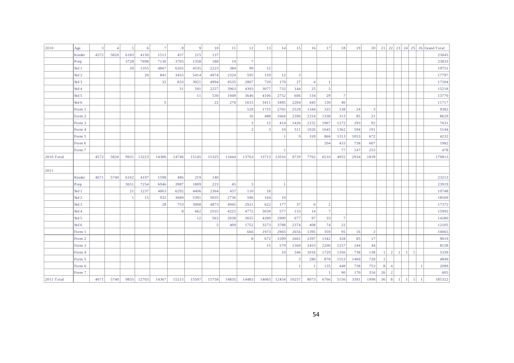| 2010       | Age              | $\overline{\mathbf{3}}$ | $\overline{4}$ | 5 <sup>1</sup> | 6     | $7\overline{ }$ | 8              | $\overline{9}$ | 10                       | 11    | 12             | 13             | 14             | 15             | 16             | 17             | 18              | 19   | 20                      |           |                |                |                |              | 21 22 23 24 25 26 Grand Total |
|------------|------------------|-------------------------|----------------|----------------|-------|-----------------|----------------|----------------|--------------------------|-------|----------------|----------------|----------------|----------------|----------------|----------------|-----------------|------|-------------------------|-----------|----------------|----------------|----------------|--------------|-------------------------------|
|            | Kinder           | 4572                    | 5820           | 6183           | 4150  | 1511            | 457            | 215            | 137                      |       |                |                |                |                |                |                |                 |      |                         |           |                |                |                |              | 23045                         |
|            | Prep             |                         |                | 3728           | 7698  | 7130            | 3705           | 1358           | 188                      | 19    | 7 <sup>1</sup> |                |                |                |                |                |                 |      |                         |           |                |                |                |              | 23833                         |
|            | Std 1            |                         |                | 20             | 1355  | 4867            | 6265           | 4535           | 2223                     | 384   | 90             | 12             |                |                |                |                |                 |      |                         |           |                |                |                |              | 19751                         |
|            | Std <sub>2</sub> |                         |                |                | 20    | 841             | 3455           | 5414           | 4974                     | 2324  | 595            | 159            | 12             | $\overline{3}$ |                |                |                 |      |                         |           |                |                |                |              | 17797                         |
|            | Std 3            |                         |                |                |       | 32              | 833            | 3021           | 4994                     | 4535  | 2867           | 720            | 170            | 27             | $\overline{4}$ | $\overline{1}$ |                 |      |                         |           |                |                |                |              | 17204                         |
|            | Std 4            |                         |                |                |       |                 | 31             | 591            | 2257                     | 3963  | 4393           | 3077           | 732            | 144            | 25             | 5              |                 |      |                         |           |                |                |                |              | 15218                         |
|            | Std <sub>5</sub> |                         |                |                |       |                 |                | 11             | 530                      | 1949  | 3646           | 4106           | 2752           | 606            | 134            | 29             | $\overline{7}$  |      |                         |           |                |                |                |              | 13770                         |
|            | Std 6            |                         |                |                |       | 5               |                |                | 22                       | 270   | 1615           | 3411           | 3495           | 2284           | 445            | 130            | 40              |      |                         |           |                |                |                |              | 11717                         |
|            | Form 1           |                         |                |                |       |                 |                |                |                          |       | 529            | 1725           | 2765           | 2529           | 1344           | 325            | 138             | 24   | $\overline{\mathbf{3}}$ |           |                |                |                |              | 9382                          |
|            | Form 2           |                         |                |                |       |                 |                |                |                          |       | 16             | 488            | 1664           | 2390           | 2314           | 1338           | 313             | 85   | 21                      |           |                |                |                |              | 8629                          |
|            | Form 3           |                         |                |                |       |                 |                |                |                          |       | $\overline{3}$ | 12             | 414            | 1426           | 2152           | 1967           | 1272            | 293  | 92                      |           |                |                |                |              | 7631                          |
|            | Form 4           |                         |                |                |       |                 |                |                |                          |       | $\vert$ 2      | $\overline{3}$ | 10             | 311            | 1026           | 1645           | 1362            | 594  | 191                     |           |                |                |                |              | 5144                          |
|            | Form 5           |                         |                |                |       |                 |                |                |                          |       |                |                | $\overline{1}$ | 9              | 318            | 866            | 1313            | 1053 | 672                     |           |                |                |                |              | 4232                          |
|            | Form 6           |                         |                |                |       |                 |                |                |                          |       |                |                |                |                |                | 204            | 433             | 738  | 607                     |           |                |                |                |              | 1982                          |
|            | Form 7           |                         |                |                |       |                 |                |                |                          |       |                |                | $\overline{1}$ |                |                |                | 77              | 147  | 253                     |           |                |                |                |              | 478                           |
| 2010 Total |                  | 4572                    | 5820           | 9931           | 13223 | 14386           | 14746          | 15145          | 15325                    | 13444 | 13763          | 13713          | 12016          | 9729           | 7762           | 6510           | 4955            | 2934 | 1839                    |           |                |                |                |              | 179813                        |
|            |                  |                         |                |                |       |                 |                |                |                          |       |                |                |                |                |                |                |                 |      |                         |           |                |                |                |              |                               |
| 2011       |                  |                         |                |                |       |                 |                |                |                          |       |                |                |                |                |                |                |                 |      |                         |           |                |                |                |              |                               |
|            | Kinder           | 4671                    | 5740           | 6162           | 4197  | 1598            | 486            | 219            | 140                      |       |                |                |                |                |                |                |                 |      |                         |           |                |                |                |              | 23213                         |
|            | Prep             |                         |                | 3651           | 7254  | 6946            | 3987           | 1809           | 223                      | 45    | $\overline{3}$ |                | $\overline{1}$ |                |                |                |                 |      |                         |           |                |                |                |              | 23919                         |
|            | Std 1            |                         |                | 21             | 1237  | 4863            | 6292           | 4406           | 2364                     | 437   | 110            | 18             |                |                |                |                |                 |      |                         |           |                |                |                |              | 19748                         |
|            | Std 2            |                         |                |                | 15    | 932             | 3689           | 5391           | 5035                     | 2736  | 596            | 164            | 10             |                |                |                |                 |      |                         |           |                |                |                |              | 18569                         |
|            | Std 3            |                         |                |                |       | 28              | 753            | 3008           | 4873                     | 4945  | 2921           | 622            | 177            | 37             | -6             | 2              |                 |      |                         |           |                |                |                |              | 17372                         |
|            | Std 4            |                         |                |                |       |                 | 8 <sup>1</sup> | 662            | 2555                     | 4225  | 4772           | 3039           | 577            | 133            | 14             | 7              |                 |      |                         |           |                |                |                |              | 15992                         |
|            | Std 5            |                         |                |                |       |                 |                | 12             | 563                      | 2038  | 3655           | 4289           | 2909           | 677            | 97             | 33             | $7\phantom{.0}$ |      |                         |           |                |                |                |              | 14280                         |
|            | Std <sub>6</sub> |                         |                |                |       |                 |                |                | $\overline{\phantom{0}}$ | 409   | 1752           | 3273           | 3788           | 2374           | 408            | 74             | 22              |      |                         |           |                |                |                |              | 12105                         |
|            | Form 1           |                         |                |                |       |                 |                |                |                          |       | 666            | 1973           | 2903           | 2656           | 1395           | 359            | 95              | 16   | $\overline{2}$          |           |                |                |                |              | 10065                         |
|            | Form 2           |                         |                |                |       |                 |                |                |                          |       | 8              | 672            | 1509           | 2661           | 2397           | 1342           | 328             | 85   | 17                      |           |                |                |                |              | 9019                          |
|            | Form 3           |                         |                |                |       |                 |                |                |                          |       |                | 15             | 570            | 1369           | 2453           | 2206           | 1257            | 244  | 44                      |           |                |                |                |              | 8158                          |
|            | Form 4           |                         |                |                |       |                 |                |                |                          |       |                |                | 10             | 346            | 1016           | 1729           | 1356            | 738  | 138                     | $\vert$ 1 | 2              | $\lceil$ 1     | $\mathbf{1}$   | $\mathbf{1}$ | 5339                          |
|            | Form 5           |                         |                |                |       |                 |                |                |                          |       |                |                |                | $\mathbf{3}$   | 286            | 878            | 1553            | 1400 | 728                     | -1        |                |                |                |              | 4849                          |
|            | Form 6           |                         |                |                |       |                 |                |                |                          |       |                |                |                | $\mathbf{1}$   |                | 135            | 448             | 738  | 753                     | 8         | $\overline{4}$ |                |                |              | 2089                          |
|            | Form 7           |                         |                |                |       |                 |                |                |                          |       |                |                |                |                |                | $\mathbf{1}$   | 90              | 170  | 316                     | 26        | $\vert$ 2      |                |                |              | 605                           |
| 2011 Total |                  | 4671                    | 5740           | 9835           | 12703 | 14367           | 15215          | 15507          | 15758                    | 14835 | 14483          | 14065          | 12454          | 10257          | 8073           | 6766           | 5156            | 3391 | 1998                    | 36        | 8              | $\overline{1}$ | $\overline{1}$ | -1           | 185322                        |
|            |                  |                         |                |                |       |                 |                |                |                          |       |                |                |                |                |                |                |                 |      |                         |           |                |                |                |              |                               |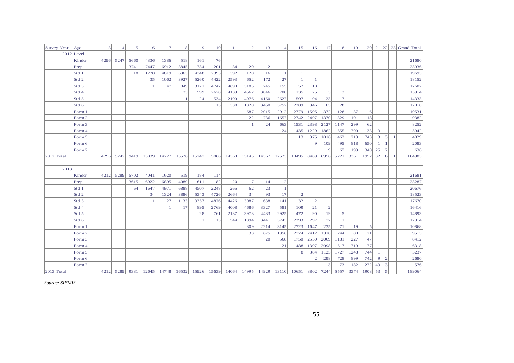| Survey Year | Age              | 3    | 4    | $\mathfrak{S}$ | 6     | $\tau$ | 8           | $\overline{9}$ | 10    | 11        | 12    | 13             | 14           | 15             | 16             | 17             | 18                      | 19   |           |                |                         |                | 20 $21$ 22 $23$ Grand Total |
|-------------|------------------|------|------|----------------|-------|--------|-------------|----------------|-------|-----------|-------|----------------|--------------|----------------|----------------|----------------|-------------------------|------|-----------|----------------|-------------------------|----------------|-----------------------------|
|             | $2012$ Level     |      |      |                |       |        |             |                |       |           |       |                |              |                |                |                |                         |      |           |                |                         |                |                             |
|             | Kinder           | 4296 | 5247 | 5660           | 4336  | 1386   | 518         | 161            | 76    |           |       |                |              |                |                |                |                         |      |           |                |                         |                | 21680                       |
|             | Prep             |      |      | 3741           | 7447  | 6912   | 3845        | 1734           | 201   | 34        | 20    | $\overline{2}$ |              |                |                |                |                         |      |           |                |                         |                | 23936                       |
|             | Std 1            |      |      | 18             | 1220  | 4819   | 6363        | 4348           | 2395  | 392       | 120   | 16             | $\mathbf{1}$ |                |                |                |                         |      |           |                |                         |                | 19693                       |
|             | Std <sub>2</sub> |      |      |                | 35    | 1062   | 3927        | 5260           | 4422  | 2593      | 652   | 172            | 27           | $\overline{1}$ | $\mathbf{1}$   |                |                         |      |           |                |                         |                | 18152                       |
|             | Std <sub>3</sub> |      |      |                |       | 47     | 849         | 3121           | 4747  | 4690      | 3185  | 745            | 155          | 52             | 10             |                |                         |      |           |                |                         |                | 17602                       |
|             | Std 4            |      |      |                |       |        | 23          | 599            | 2678  | 4139      | 4562  | 3046           | 700          | 135            | 25             | $\overline{3}$ | $\overline{\mathbf{3}}$ |      |           |                |                         |                | 15914                       |
|             | Std 5            |      |      |                |       |        |             | 24             | 534   | 2190      | 4076  | 4160           | 2627         | 597            | 94             | 23             | 7 <sup>1</sup>          |      |           |                |                         |                | 14333                       |
|             | Std 6            |      |      |                |       |        |             |                | 13    | 330       | 1820  | 3450           | 3757         | 2209           | 346            | 65             | 28                      |      |           |                |                         |                | 12018                       |
|             | Form 1           |      |      |                |       |        |             |                |       |           | 687   | 2015           | 2912         | 2779           | 1595           | 372            | 128                     | 37   | 6         |                |                         |                | 10531                       |
|             | Form 2           |      |      |                |       |        |             |                |       |           | 22    | 736            | 1657         | 2742           | 2407           | 1370           | 329                     | 101  | 18        |                |                         |                | 9382                        |
|             | Form 3           |      |      |                |       |        |             |                |       |           |       | 24             | 663          | 1531           | 2398           | 2127           | 1147                    | 299  | 62        |                |                         |                | 8252                        |
|             | Form 4           |      |      |                |       |        |             |                |       |           |       |                | 24           | 435            | 1229           | 1862           | 1555                    | 700  | 133       | $\overline{3}$ |                         |                | 5942                        |
|             | Form 5           |      |      |                |       |        |             |                |       |           |       |                |              | 13             | 375            | 1016           | 1462                    | 1213 | 743       | $\vert$ 3      | $\vert$ 3               | $\overline{1}$ | 4829                        |
|             | Form 6           |      |      |                |       |        |             |                |       |           |       |                |              |                | 9              | 109            | 495                     | 818  | 650       |                | $\mathbf{1}$            |                | 2083                        |
|             | Form 7           |      |      |                |       |        |             |                |       |           |       |                |              |                |                | 9              | 67                      | 193  | $340$ 25  |                | $\overline{2}$          |                | 636                         |
| 2012 Total  |                  | 4296 | 5247 | 9419           | 13039 | 14227  | 15526       | 15247          | 15066 | 14368     | 15145 | 14367          | 12523        | 10495          | 8489           | 6956           | 5221                    | 3361 | 1952      | 32             | 6 <sup>1</sup>          | $\overline{1}$ | 184983                      |
|             |                  |      |      |                |       |        |             |                |       |           |       |                |              |                |                |                |                         |      |           |                |                         |                |                             |
| 2013        |                  |      |      |                |       |        |             |                |       |           |       |                |              |                |                |                |                         |      |           |                |                         |                |                             |
|             | Kinder           | 4212 | 5289 | 5702           | 4041  | 1620   | 519         | 184            | 114   |           |       |                |              |                |                |                |                         |      |           |                |                         |                | 21681                       |
|             | Prep             |      |      | 3615           | 6922  | 6805   | 4089        | 1611           | 182   | <b>20</b> | 17    | 14             | 12           |                |                |                |                         |      |           |                |                         |                | 23287                       |
|             | Std 1            |      |      | 64             | 1647  | 4971   | 6888        | 4507           | 2248  | 265       | 62    | 23             | -1           |                |                |                |                         |      |           |                |                         |                | 20676                       |
|             | Std <sub>2</sub> |      |      |                | 34    | 1324   | 3886        | 5343           | 4726  | 2664      | 434   | 93             | 17           | $\overline{2}$ |                |                |                         |      |           |                |                         |                | 18523                       |
|             | Std <sub>3</sub> |      |      |                |       | 27     | 1133        | 3357           | 4826  | 4426      | 3087  | 638            | 141          | 32             | $\overline{c}$ |                |                         |      |           |                |                         |                | 17670                       |
|             | Std 4            |      |      |                |       |        | 17          | 895            | 2769  | 4008      | 4686  | 3327           | 581          | 109            | 21             | 2              |                         |      |           |                |                         |                | 16416                       |
|             | Std 5            |      |      |                |       |        |             | 28             | 761   | 2137      | 3973  | 4483           | 2925         | 472            | 90             | 19             | $\mathfrak{S}$          |      |           |                |                         |                | 14893                       |
|             | Std 6            |      |      |                |       |        |             | 1              | 13    | 544       | 1894  | 3441           | 3743         | 2293           | 297            | 77             | 11                      |      |           |                |                         |                | 12314                       |
|             | Form 1           |      |      |                |       |        |             |                |       |           | 809   | 2214           | 3145         | 2723           | 1647           | 235            | 71                      | 19   | 5         |                |                         |                | 10868                       |
|             | Form 2           |      |      |                |       |        |             |                |       |           | 33    | 675            | 1956         | 2774           | 2412           | 1318           | 244                     | 80   | 21        |                |                         |                | 9513                        |
|             | Form 3           |      |      |                |       |        |             |                |       |           |       | 20             | 568          | 1750           | 2550           | 2069           | 1181                    | 227  | 47        |                |                         |                | 8412                        |
|             | Form 4           |      |      |                |       |        |             |                |       |           |       | $\mathbf{1}$   | 21           | 488            | 1397           | 2098           | 1517                    | 719  | 77        |                |                         |                | 6318                        |
|             | Form 5           |      |      |                |       |        |             |                |       |           |       |                |              | 8              | 384            | 1125           | 1727                    | 1248 | 744       | $\mathbf{1}$   |                         |                | 5237                        |
|             | Form 6           |      |      |                |       |        |             |                |       |           |       |                |              |                | $\overline{2}$ | 298            | 728                     | 899  | 742       | $\overline{9}$ | $\overline{2}$          |                | 2680                        |
|             | Form 7           |      |      |                |       |        |             |                |       |           |       |                |              |                |                | 3              | 73                      | 182  | 272       | 43             | $\overline{\mathbf{3}}$ |                | 576                         |
| 2013 Total  |                  | 4212 | 5289 | 9381           | 12645 |        | 14748 16532 | 15926          | 15639 | 14064     | 14995 | 14929          | 13110        | 10651          | 8802           | 7244           | 5557                    | 3374 | $1908$ 53 |                | 5                       |                | 189064                      |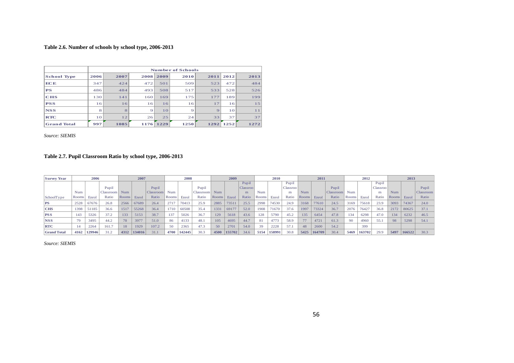#### **Table 2.6. Number of schools by school type, 2006-2013**

|                    |                |      |             |                | <b>Number of Schools</b> |          |                |      |
|--------------------|----------------|------|-------------|----------------|--------------------------|----------|----------------|------|
| <b>School Type</b> | 2006           | 2007 | 2008        | 2009           | 2010                     | 2011     | 2012           | 2013 |
| <b>ECE</b>         | 347            | 424  | 472         | 501            | 509                      | 523      | 472            | 484  |
| <b>PS</b>          | 486            | 484  | 493         | 508            | 517                      | 533      | 528            | 526  |
| <b>CHS</b>         | 130            | 141  | 160         | 169            | 175                      | 177      | 189            | 199  |
| <b>PSS</b>         | 16             | 16   | 16          | 16             | 16                       | 17       | 16             | 15   |
| <b>NSS</b>         | 8              | 8    | $\mathbf Q$ | 1 <sub>O</sub> | $\Theta$                 | $\Theta$ | 1 <sub>O</sub> | 11   |
| <b>RTC</b>         | 1 <sub>O</sub> | 12   | 26          | 25             | 24                       | 33       | 37             | 37   |
| <b>Grand Total</b> | 997            | 1085 | 1176        | 1229           | 1250                     | 1292     | 1252           | 1272 |

*Source: SIEMIS*

#### **Table 2.7. Pupil Classroom Ratio by school type, 2006-2013**

<span id="page-55-1"></span><span id="page-55-0"></span>

| <b>Survey Year</b> |            | 2006   |                  |       | 2007   |                  |       | 2008   |                  |              | 2009   |                 |       | 2010   |          |       | 2011   |           |              | 2012   |                 |              | 2013   |                  |
|--------------------|------------|--------|------------------|-------|--------|------------------|-------|--------|------------------|--------------|--------|-----------------|-------|--------|----------|-------|--------|-----------|--------------|--------|-----------------|--------------|--------|------------------|
|                    |            |        |                  |       |        |                  |       |        |                  |              |        | Pupil           |       |        | Pupil    |       |        |           |              |        | Pupil           |              |        |                  |
|                    |            |        | Pupil            |       |        | Pupil            |       |        | Pupil            |              |        | <b>Classroo</b> |       |        | Classroo |       |        | Pupil     |              |        | <b>Classroo</b> |              |        | Pupil            |
|                    | <b>Num</b> |        | <b>Classroom</b> | Num   |        | <b>Classroom</b> | Num   |        | <b>Classroom</b> | Num          |        | m               | Num   |        | m        | Num   |        | Classroom | Num          |        | m               | Num          |        | <b>Classroom</b> |
| SchoolType         | Rooms      | Enrol  | Ratio            | Rooms | Enrol  | Ratio            | Rooms | Enrol  | Ratio            | <b>Rooms</b> | Enrol  | Ratio           | Rooms | Enro.  | Ratio    | Rooms | Enrol  | Ratio     | <b>Rooms</b> | Enro   | Ratio           | <b>Rooms</b> | Enrol  | Ratio            |
| <b>PS</b>          | 2528       | 67676  | 26.8             | 2566  | 67689  | 26.4             | 2717  | 70413  | 25.9             | 2885         | 73511  | 25.5            | 2998  | 74530  | 24.9     | 3168  | 77610  | 24.5      | 3169         | 75618  | 23.9            | 3093         | 74367  | 24.0             |
| <b>CHS</b>         | 1398       | 51185  | 36.6             | 1517  | 55268  | 36.4             | 1710  | 60508  | 35.4             | 1331         | 69177  | 52.0            | 1908  | 71670  | 37.6     | 1997  | 73324  | 36.7      | 2076         | 76427  | 36.8            | 2172         | 80625  | 37.1             |
| <b>PSS</b>         | 143        | 5326   | 37.2             | 133   | 5153   | 38.7             | 137   | 5026   | 36.7             | 129          | 5618   | 43.6            | 128   | 5790   | 45.2     | 135   | 6454   | 47.8      | 134          | 6298   | 47.0            | 134          | 6232   | 46.5             |
| <b>NSS</b>         | 79         | 3495   | 44.2             | 78    | 3977   | 51.0             | 86    | 4133   | 48.1             | 105          | 4695   | 44.7            | 81    | 4773   | 58.9     | 77    | 4721   | 61.3      | -90          | 4960   | 55.1            | 98           | 5298   | 54.1             |
| <b>RTC</b>         | 14         | 2264   | 161.7            | 18    | 1929   | 107.2            | 50    | 2365   | 47.3             | 50           | 2701   | 54.0            | 39    | 2228   | 57.1     | 48    | 2600   | 54.2      |              | 399    |                 |              |        |                  |
| <b>Grand Total</b> | 4162       | 129946 | 31.2             | 4312  | 134016 | 31.1             | 4700  | 142445 | 30.3             | 4500         | 155702 | 34.6            | 5154  | 158991 | 30.8     | 5425  | 164709 | 30.4      | 5469         | 163702 | 29.9            | 5497         | 166522 | 30.3             |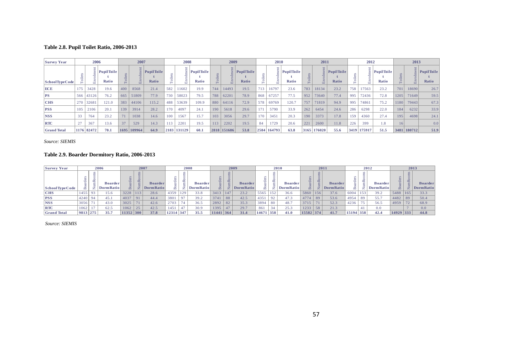#### **Table 2.8. Pupil Toilet Ratio, 2006-2013**

| <b>Survey Year</b> |     | 2006       |                     |     | 2007                          |                     |      | 2008   |                     |      | 2009   |                     |        | 2010   |                                   |      | 2011       |                     |          | 2012   |                            |      | 2013        |                              |
|--------------------|-----|------------|---------------------|-----|-------------------------------|---------------------|------|--------|---------------------|------|--------|---------------------|--------|--------|-----------------------------------|------|------------|---------------------|----------|--------|----------------------------|------|-------------|------------------------------|
| School Type Code   |     |            | PupilToile<br>Ratio |     | $\overline{\phantom{0}}$<br>Ш | PupilToile<br>Ratio | 음    | Ħ      | PupilToile<br>Ratio |      |        | PupilToile<br>Ratio |        | ت      | $\frac{1}{2}$ PupilToile<br>Ratio |      | $\Xi$<br>品 | PupilToile<br>Ratio | ≗<br>$-$ |        | <b>PupilToile</b><br>Ratio |      |             | $\vert$ Pupil Toile<br>Ratio |
| ECE                | 175 | 3428       | 19.6                | 400 | 8568                          | 21.4                | 582  | 1602   | 19.9                | 744  | 14493  | 19.5                | 713    | 16797  | 23.6                              | 783  | 18134      | 23.2                | 758      | 17563  | 23.2                       | 701  | 18690       | 26.7                         |
| <b>PS</b>          | 566 | 43126      | 76.2                | 665 | 51809                         | 77.9                | 730  | 58023  | 79.5                | 788  | 62201  | 78.9                | 868    | 67257  | 77.5                              | 952  | 73640      | 77.4                | 995      | 72436  | 72.8                       | 1205 | 71649       | 59.5                         |
| <b>CHS</b>         | 270 | 3268       | 121.0               | 383 | 44106                         | 115.2               | 488  | 53639  | 109.9               | 880  | 64116  | 72.9                | 578    | 69769  | 120.7                             | 757  | 71819      | 94.9                | 995      | 74861  | 75.2                       | 1180 | 79443       | 67.3                         |
| <b>PSS</b>         | 105 | 2106       | 20.1                | 139 | 3914                          | 28.2                | 170  | 4097   | 24.1                | 190  | 5618   | 29.6                | 171    | 5790   | 33.9                              | 262  | 6454       | 24.6                | 286      | 6298   | 22.0                       | 184  | 6232        | 33.9                         |
| <b>NSS</b>         |     | 764        | 23.2                | 71  | 1038                          | 14.6                | 100  | 1567   | 15.7                | 103  | 3056   | 29.7                | .70    | 3451   | 20.3                              | 190  | 3373       | 17.8                | 159      | 4360   | 27.4                       | 195  | 4698        | 24.1                         |
| <b>RTC</b>         | 27  | 367        | 13.6                | 37  | 529                           | 14.3                |      | 2201   | 19.5                | 113  | 2202   | 19.5                | 84     | 1729   | 20.6                              | 221  | 2600       | 11.8                | 226      | 399    | 1.8                        | 16   |             | 0.0                          |
| <b>Grand Total</b> |     | 1176 82472 | 70.1                |     | 1695 109964                   | 64.9                | 2183 | 131129 | 60.1                | 2818 | 151686 | 53.8                | 2584 1 | 164793 | 63.8                              | 3165 | 176020     | 55.6                | 3419     | 175917 | 51.5                       |      | 3481 180712 | 51.9                         |

*Source: SIEMIS*

#### **Table 2.9. Boarder Dormitory Ratio, 2006-2013**

<span id="page-56-1"></span><span id="page-56-0"></span>

| <b>Survey Year</b> |          |        | 2006                               |                              | 2007                       |                                    |           |         | 2008                         |                |           | 2009                               |                            |               | 2010                                |           |                           | 2011                         |             |        | 2012                                |                          |               | 2013                               |
|--------------------|----------|--------|------------------------------------|------------------------------|----------------------------|------------------------------------|-----------|---------|------------------------------|----------------|-----------|------------------------------------|----------------------------|---------------|-------------------------------------|-----------|---------------------------|------------------------------|-------------|--------|-------------------------------------|--------------------------|---------------|------------------------------------|
| School Type Code   | ω<br>∞   | Ĥ<br>÷ | <b>Boarder</b><br><b>DormRatio</b> | $\ddot{a}$<br>B <sub>o</sub> | ms<br>$\circ$<br>mRo<br>ž. | <b>Boarder</b><br><b>DormRatio</b> | ಕ         | 旨<br>ــ | <b>Boarder</b><br>Dorm Ratio | B <sub>0</sub> | mRo<br>ž. | <b>Boarder</b><br><b>DormRatio</b> | -e<br>$\mathbb{B}^{\circ}$ | s,<br>Ξ<br>Ê. | <b>Boarder</b><br><b>Dorm Ratio</b> | ਵਿ<br>ه   | ms<br>m <sup>2</sup><br>亭 | <b>Boarder</b><br>Dorm Ratio | arde:<br>Bo | Ê<br>ž | <b>Boarder</b><br><b>Dorm Ratio</b> | S.<br>$\omega$<br>ਚ<br>∞ | S<br>fin<br>۳ | <b>Boarder</b><br><b>DormRatio</b> |
| <b>CHS</b>         | 1455'    | 93     | 15.6                               | 3228                         | 113                        | 28.6                               | 4359      | 129     | 33.8                         | 3413           | 147       | 23.2                               | 5565                       | 152           | 36.6                                | 5860      | 156                       | 37.6                         | 6004        | 153    | 39.2                                | 5488                     | 165           | 33.3                               |
| <b>PSS</b>         | 4240     | 94     | 45.1                               | 4037                         | 91                         | 44.4                               | 3801      | 97      | 39.2                         | 3741           | 88        | 42.5                               | 4351                       |               | 47.3                                | 4774      | 89                        | 53.6                         | 4954        | 89     | 55.7                                | 4482                     | 89            | 50.4                               |
| <b>NSS</b>         | 3056     | 71     | 43.0                               | 3025                         | 71                         | 42.6                               | 2703      | 74      | 36.5                         | 2892           | 82        | 35.3                               | 3894                       | 80            | 48.7                                | 3715      | 71                        | 52.3                         | 4236        |        | 56.5                                | 4959                     | 72            | 68.9                               |
| <b>RTC</b>         | 1062     |        | 62.5                               | 1062                         | 25                         | 42.5                               | 1451      | 47      | 30.9                         | 1395           | 47        | 29.7                               | 861                        | 34            | 25.3                                | 1233      | 58                        | 21.3                         |             |        | 0.0                                 |                          |               | 0.0                                |
| <b>Grand Total</b> | 9813 275 |        | 35.7                               | 11352                        | 300                        | 37.8                               | 12314 347 |         | 35.5                         | $11441$ 364    |           | 31.4                               | 14671                      | 358           | 41.0                                | 15582 374 |                           | 41.7                         | 15194 358   |        | 42.4                                | 14929 333                |               | 44.8                               |
|                    |          |        |                                    |                              |                            |                                    |           |         |                              |                |           |                                    |                            |               |                                     |           |                           |                              |             |        |                                     |                          |               |                                    |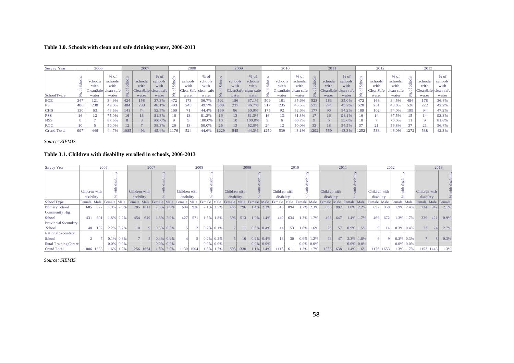#### **Table 3.0. Schools with clean and safe drinking water, 2006-2013**

| Survey Year        |               | 2006    |                      |                | 2007           | $%$ of<br>schools<br>with<br>CleanSafe clean safe<br>⇁<br>water<br>37.3%<br>48.1%<br>52.5% |     | 2008        |            |         | 2009            |                      |      | 2010    |                      |                | 2011    |                      |      | 2012      |            |     | 2013    |                      |
|--------------------|---------------|---------|----------------------|----------------|----------------|--------------------------------------------------------------------------------------------|-----|-------------|------------|---------|-----------------|----------------------|------|---------|----------------------|----------------|---------|----------------------|------|-----------|------------|-----|---------|----------------------|
|                    |               |         | $%$ of               | $\overline{s}$ |                |                                                                                            |     |             | $%$ of     |         |                 | $%$ of               |      |         | $%$ of               | ÷              |         | $%$ of               |      |           | $%$ of     |     |         | $%$ of               |
|                    |               | schools | schools              |                | schools        |                                                                                            |     | schools     | schools    | Schools | schools         | schools              |      | schools | schools              | ਚੋ             | schools | schools              |      | schools   | schools    |     | schools | schools              |
|                    |               | with    | with                 | Sch            | with           |                                                                                            |     | with        | with       |         | with            | with                 |      | with    | with                 | $\overline{a}$ | with    | with                 | Ō    | with      | with       |     | with    | with                 |
|                    |               |         | CleanSafe clean safe |                |                |                                                                                            |     | CleanSafe c | clean safe |         |                 | CleanSafe clean safe |      |         | CleanSafe clean safe |                |         | CleanSafe clean safe |      | CleanSafe | clean safe |     |         | CleanSafe clean safe |
| SchoolType         | $\rightarrow$ | water   | water                | 乞              | water          |                                                                                            |     | water       | water      | 之       | water           | water                | Ż.   | water   | water                | Z              | water   | water                | z    | water     | water      | ż   | water   | water                |
| ECE                | 347           | 121     | 34.9%                | 424            | 158            |                                                                                            | 472 | 173         | 36.7%      | 501     | 186             | 37.1%                | 509  | 181     | 35.6%                | 523            | 183     | 35.0%                | 472  | 163       | 34.5%      | 484 | 178     | 36.8%                |
| PS                 | 486           | 238     | 49.0%                | 484            | 233            |                                                                                            | 493 | 245         | 49.7%      | 508     | 237             | 46.7%                |      | 235     | 45.5%                | 533            | 241     | 45.2%                | 528  | 231       | 43.8%      | 526 | 222     | 42.2%                |
| <b>CHS</b>         | 130           | 63      | 48.5%                | 141            | 74             |                                                                                            | 160 | 71          | 44.4%      | 169     | 86              | 50.9%                | 175  | 92      | 52.6%                | 177            | 96      | 54.2%                | 189  | 102       | 54.0%      | 199 | 94      | 47.2%                |
| <b>PSS</b>         | 16            | 12      | 75.0%                | 16             | $\overline{3}$ | 81.3%                                                                                      |     | 13          | 81.3%      | 16      | $\overline{13}$ | 81.3%                |      |         | 81.3%                |                | 16      | 94.1%                | 16   |           | 87.5%      |     | 14      | 93.3%                |
| <b>NSS</b>         | 8             |         | 87.5%                | 8              |                | 100.0%                                                                                     |     | $\Omega$    | 100.0%     | 10      | 10              | 100.0%               |      |         | 66.7%                |                |         | 55.6%                | 10   |           | 70.0%      |     |         | 81.8%                |
| <b>RTC</b>         | 10            |         | 50.0%                | 12             |                | 58.3%                                                                                      | 26  | 13          | 50.0%      | 25      | 13              | 52.0%                | 24   |         | 50.0%                | 33             | 18      | 54.5%                | 37   |           | 56.8%      | 37  | 21      | 56.8%                |
| <b>Grand Total</b> | 997           | 446     | 44.7%                | 1085           | 493            | 45.4%                                                                                      |     | 524         | 44.6%      | 1229    | 545             | 44.3%                | 1250 | 539     | 43.1%                | 1292           | 559     | 43.3%                | 1252 | 538       | 43.0%      |     | 538     | 42.3%                |

*Source: SIEMIS*

#### **Table 3.1. Children with disability enrolled in schools, 2006-2013**

<span id="page-57-1"></span><span id="page-57-0"></span>

| Survey Year           |               |      | 2006                 |              |                 | 2007       |              |              |      | 2008<br>Children with<br>disability<br>Female Male  Female Male  Female Male  Female Male  Female Male  Female Male  Female Male  Female  Male  Female  Male  Female  Male  Female  Male  Female  Male  Female  Male  Female  Male  Female  Male  Female  Male  Femal<br>694<br>926<br>427<br>571 |                |              |                                    | 2009            |                |              |                 |                 | 2010 |      |                 | 2011            |              |                |               | 2012 |                |           |                    | 2013           |            |
|-----------------------|---------------|------|----------------------|--------------|-----------------|------------|--------------|--------------|------|---------------------------------------------------------------------------------------------------------------------------------------------------------------------------------------------------------------------------------------------------------------------------------------------------|----------------|--------------|------------------------------------|-----------------|----------------|--------------|-----------------|-----------------|------|------|-----------------|-----------------|--------------|----------------|---------------|------|----------------|-----------|--------------------|----------------|------------|
|                       |               |      |                      |              |                 |            | ⊵            |              |      |                                                                                                                                                                                                                                                                                                   | ⊵              |              |                                    |                 |                |              |                 |                 | D    |      |                 |                 | ⊵            |                |               |      | ⊵              |           |                    |                |            |
|                       | Children with |      |                      |              | Children with   |            |              |              |      |                                                                                                                                                                                                                                                                                                   |                |              | Children with<br>disability<br>485 |                 |                |              | Children with   |                 | τ    |      | Children with   |                 |              |                | Children with |      |                |           | Children with      |                |            |
|                       | disability    |      | æ                    |              | disability      |            |              |              |      |                                                                                                                                                                                                                                                                                                   | ⋇              |              |                                    |                 |                |              | disability      |                 | ℅    |      | disability      |                 |              |                | disability    |      |                |           | disability         |                |            |
| SchoolType            |               |      |                      |              |                 |            |              |              |      |                                                                                                                                                                                                                                                                                                   |                |              |                                    |                 |                |              |                 |                 |      |      |                 |                 |              |                |               |      |                |           | Female Male Female |                |            |
| <b>Primary School</b> | 605           | 827  | 1.9% 2.3%            |              |                 | 785   1011 |              | $2.5\%$ 2.8% |      |                                                                                                                                                                                                                                                                                                   | $2.1\%$ 2.5%   |              |                                    | 796             |                | $1.4\%$ 2.1% | 616             | 894             | 1.7% | 2.3% | 665             | 887             |              | 1.8% 2.2%      | 692           | 958  | $1.9\%$ 2.4%   |           | 734                |                | $942$ 2.1% |
| Community High        |               |      |                      |              |                 |            |              |              |      |                                                                                                                                                                                                                                                                                                   |                |              |                                    |                 |                |              |                 |                 |      |      |                 |                 |              |                |               |      |                |           |                    |                |            |
| School                | 431           | 601  |                      | 1.8% 2.2%    | 454             | 649        |              | 1.8% 2.2%    |      |                                                                                                                                                                                                                                                                                                   | 1.5%           | 1.8%         | 396                                | 513             | $1.2\%$   1.4% |              | 442             | 634             | 1.3% | 1.7% | 496             | 647             |              | $1.4\%$ 1.7%   | 469           | 672  | 1.3% 1.7%      |           | 339                | 421            | 0.9%       |
| Provincial Secondary  |               |      |                      |              |                 |            |              |              |      |                                                                                                                                                                                                                                                                                                   |                |              |                                    |                 |                |              |                 |                 |      |      |                 |                 |              |                |               |      |                |           |                    |                |            |
| School                | 48            | 102  | 2.2%                 | 3.2%         | 10 <sup>1</sup> |            |              | $0.5\%$ 0.3% |      |                                                                                                                                                                                                                                                                                                   | $0.2\%$ 0.1%   |              |                                    |                 | $0.3\%$ 0.4%   |              | 44              | 53              | 1.8% | 1.6% | 26 <sup>1</sup> | 57 <sup>1</sup> |              | $0.9\%$   1.5% |               |      | $0.3\%$ 0.4%   |           | 73                 | 74             | 2.7%       |
| National Secondary    |               |      |                      |              |                 |            |              |              |      |                                                                                                                                                                                                                                                                                                   |                |              |                                    |                 |                |              |                 |                 |      |      |                 |                 |              |                |               |      |                |           |                    |                |            |
| School                |               |      |                      | $0.1\%$ 0.3% |                 |            |              | $0.4\%$ 0.2% |      |                                                                                                                                                                                                                                                                                                   |                | $0.2\%$ 0.2% |                                    | 10 <sup>1</sup> | $0.2\%$ 0.4%   |              | 13 <sup>1</sup> | 30 <sup>1</sup> | 0.6% | 1.2% | 48              | 47              | $2.3\%$ 1.8% |                |               |      | $0.3\%$ 0.3%   |           |                    | 8 <sup>1</sup> | 0.3%       |
| Rural Training Centre |               |      | $0.0\%$ 0.0%         |              |                 |            | $0.0\%$ 0.0% |              |      |                                                                                                                                                                                                                                                                                                   | $0.0\%$   0.0% |              |                                    |                 |                | $0.0\%$ 0.0% |                 |                 | 0.0% | 0.0% |                 |                 |              | $0.0\%$ 0.0%   |               |      | $0.0\%$   0.0% |           |                    |                |            |
| Grand Total           | 1086          | 1538 | $1.6\%$ <sup>1</sup> | 1.9%         |                 | 1256 1674  |              | 1.8% 2.0%    | 1130 | 1504                                                                                                                                                                                                                                                                                              | 1.5%           | 1.7%         |                                    | 893 1330        |                | $1.1\%$ 1.4% | 1115 1611       |                 | 1.3% | .7%  | $1235$   1638   |                 |              | $1.4\%$ 1.6%   | 1176          | 1653 |                | 1.3% 1.7% |                    | 1153   1445    | 1.3%       |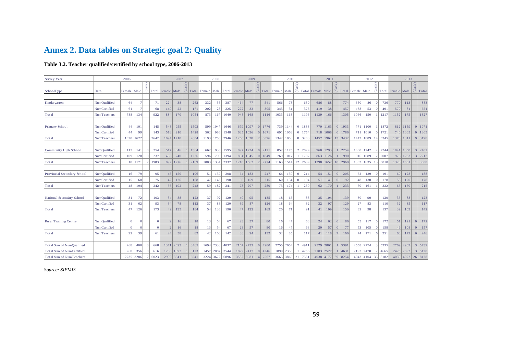# **Annex 2. Data tables on Strategic goal 2: Quality**

#### **Table 3.2. Teacher qualified/certified by school type, 2006-2013**

<span id="page-58-1"></span><span id="page-58-0"></span>

| Survey Year                  |                     | 2006           |          |                |              |                   | 2007        |                |      |           | 2008      |      |                                     | 2009        |                         |                                 |      | 2010      |                |         |                                                                                                                                     | 2011       |                |            |                                                                                                    | 2012      |                          |         |                                                   | 2013        |                 |                |
|------------------------------|---------------------|----------------|----------|----------------|--------------|-------------------|-------------|----------------|------|-----------|-----------|------|-------------------------------------|-------------|-------------------------|---------------------------------|------|-----------|----------------|---------|-------------------------------------------------------------------------------------------------------------------------------------|------------|----------------|------------|----------------------------------------------------------------------------------------------------|-----------|--------------------------|---------|---------------------------------------------------|-------------|-----------------|----------------|
|                              |                     |                |          | (blank)        |              |                   |             | (blank)        |      |           |           |      |                                     |             | $\mathbf{n} \mathbf{k}$ |                                 |      |           |                |         | $\begin{array}{c c}\n\widehat{\mathbf{E}} & \mathbf{F} \\ \hline\n\mathbf{E} & \mathbf{F} \\ \hline\n\end{array}$ Total Female Male |            |                |            | $\begin{array}{c c}\n\widetilde{\Xi} \\ \hline\n\Xi \\ \hline\n\Xi\n\end{array}$ Total Female Male |           | $\mathbf{u}(\mathbf{u})$ |         |                                                   |             | $\mathsf{ank})$ |                |
| SchoolType                   | Data                | Female Male    |          |                |              | Total Female Male |             |                |      |           |           |      | Total Female Male Total Female Male |             |                         | $\frac{3}{5}$ Total Female Male |      |           |                |         |                                                                                                                                     |            |                |            |                                                                                                    |           |                          |         | $\ddot{\Xi}$ Total Female Male $\ddot{\Xi}$ Total |             |                 |                |
|                              |                     |                |          |                |              |                   |             |                |      |           |           |      |                                     |             |                         |                                 |      |           |                |         |                                                                                                                                     |            |                |            |                                                                                                    |           |                          |         |                                                   |             |                 |                |
| Kindergarten                 | <b>NumQualified</b> | 64             |          |                | 71           | 224               | 38          |                | 262  | 332       | 55        | 387  | 464                                 | 77          |                         | 541                             | 566  | 73        |                | 639     | 686                                                                                                                                 | 88         |                | 774        | 650                                                                                                | 86        | $\overline{0}$           | 736     | 770                                               | 113         |                 | 883            |
|                              | NumCertified        | 61             |          |                | 68           | 149               | 22          |                | 171  | 202       | 23        | 225  | 272                                 | 33          |                         | 305                             | 345  | 31        |                | 376     | 419                                                                                                                                 | 38         |                | 457        | 438                                                                                                | 53        | $\vert$ 0                | 491     | 570                                               | 81          |                 | 651            |
| Total                        | NumTeachers         | 788            | 134      |                | 922          | 884               | 170         |                | 1054 | 873       | 167       | 1040 | 948                                 | 168         |                         | 1116                            | 1033 | 163       |                | 1196    | 1139                                                                                                                                | 166        |                | 1305       | 1066                                                                                               | 150       |                          | 1217    | 1152                                              | 175         |                 | 1327           |
| Primary School               | NumQualified        | 44             | 101      |                | 145          | 548               | 955         |                | 1503 | 599       | 1047      | 1646 |                                     | 679 1097    |                         | $0$   1776                      |      | 739 1144  |                | 0 1883  |                                                                                                                                     | 770   1163 |                | $0$   1933 |                                                                                                    | 771 1100  |                          | 1 1872  |                                                   | 812 1159    |                 | $0$   1971     |
|                              | NumCertified        | 44             | 99       |                | 143          | 518               | 910         |                | 1428 | 562       | 986       | 1548 |                                     | 635   1036  |                         | $0 \mid 1671$                   | 691  | 1063      | $\Omega$       | 1754    |                                                                                                                                     | 718 1068   | 0              | 1786       |                                                                                                    | 711 1010  | $\Omega$                 | 1721    |                                                   | 740 1065    |                 | $0$   1805     |
| Total                        | NumTeachers         | 1020           | 1622     |                | 2642         | 1094              | 1710        |                | 2804 | 1193      | 1753      | 2946 |                                     | 1266 1828   | $\vert$ 2               | 3096                            | 1342 | 1858      |                | 3208    | 1457                                                                                                                                | 1962       |                | 13 3432    |                                                                                                    | 1442 1889 |                          | 14 3345 |                                                   | 1378 1811   |                 | 9 3198         |
| Community High School        | <b>NumOualified</b> | 113            | 141      | $\overline{0}$ | 254          | 517               | 846         |                | 1364 | 662       | 933       | 1595 |                                     | 897 1224    |                         | 0 2121                          |      | 852 1175  |                | 2 2029  | 960                                                                                                                                 | 1293       | $\overline{1}$ | 2254       |                                                                                                    | 1000 1242 |                          | 2 2244  |                                                   | 1041   1358 |                 | 3 2402         |
|                              | NumCertified        | 109            | 128      | $\overline{0}$ | 237          | 485               | 740         | $\overline{1}$ | 1226 | 596       | 798       | 1394 |                                     | 804   1045  |                         | 0 1849                          | 769  | 1017      | -1 L           | 1787    | 863                                                                                                                                 | 1126       | 1 <sup>1</sup> | 1990       |                                                                                                    | 916 1089  |                          | 2 2007  |                                                   | 976 1233    |                 | 3 2212         |
| Total                        | NumTeachers         |                | 810 1171 | $\overline{2}$ | 1983         | 892               | 1276        |                | 2169 | 1003      | 1334      | 2337 |                                     | 1210   1562 |                         | 2 2774                          |      | 1163 1514 |                | 12 2689 | 1298                                                                                                                                | 1652       |                | 18 2968    |                                                                                                    | 1362 1635 |                          | 13 3010 |                                                   | 1328 1661   |                 | $11 \mid 3000$ |
|                              |                     |                |          |                |              |                   |             |                |      |           |           |      |                                     |             |                         |                                 |      |           |                |         |                                                                                                                                     |            |                |            |                                                                                                    |           |                          |         |                                                   |             |                 |                |
| Provincial Secondary School  | NumQualified        | 16             | 79       |                | 95           | 46                | 150         |                | 196  | 51        | 157       | 208  | 64                                  | 183         |                         | 247                             | 64   | 150       | $\overline{0}$ | 214     | 54                                                                                                                                  | 151        | 0              | 205        | 52                                                                                                 | 139       | $\vert$ 0                | 191     | 60 <sup>1</sup>                                   | 128         |                 | 188            |
|                              | NumCertified        | 15             | 60       |                | 75           | 42                | 126         |                | 168  | 47        | 143       | 190  | 56                                  | 159         |                         | 215                             | 60   | 134       | $\overline{0}$ | 194     | 51                                                                                                                                  | 141        | 0              | 192        | 48                                                                                                 | 130       | 0                        | 178     | 58                                                | 120         |                 | 178            |
| Total                        | NumTeachers         | 48             | 194      |                | 242          | 56                | 192         |                | 248  | 59        | 182       | 241  | 73                                  | 207         |                         | 280                             | 75   | 174       |                | 250     | 62                                                                                                                                  | 170        |                | 233        | 60                                                                                                 | 161       |                          | 222     | 65                                                | 150         |                 | 215            |
| National Secondary School    | NumQualified        | 31             | 72       |                | 103          | 34                | 88          |                | 122  | 37        | 92        | 129  | 40                                  | 95          |                         | 135                             | 18   | 65        |                | 83      | 35                                                                                                                                  | 104        |                | 139        | 30                                                                                                 | 90        |                          | 120     | 35                                                | 88          |                 | 123            |
|                              | NumCertified        | 31             | 62       |                | 93           | 34                | 78          |                | 112  | 37        | 83        | 120  | 39                                  | 87          |                         | 126                             | 18   | 64        |                | 82      | 32                                                                                                                                  | 97         |                | 129        | 27                                                                                                 | 83        |                          | 110     | 32                                                | 85          |                 | 117            |
| Total                        | NumTeachers         | 47             | 126      |                | 173          | 49                | 135         |                | 184  | 54        | 136       | 190  | 47                                  | 122         |                         | 169                             | 20   | 71        |                | 91      | 41                                                                                                                                  | 109        |                | 150        | 39                                                                                                 | 98        |                          | 137     | 39                                                | 103         |                 | 142            |
| <b>Rural Training Centre</b> | NumQualified        | $\overline{0}$ |          |                | $\vert$ 0    | 2                 | 16          |                | 18   | 13        | 54        | 67   | 23                                  | 57          |                         | 80                              | 16   | 47        |                | 63      | 24                                                                                                                                  | 62         | 0              | 86         | 55                                                                                                 | 117       | $\overline{0}$           | 172     | 51                                                | 121         | 0               | 172            |
|                              | NumCertified        | $\vert$ 0      |          |                | $\mathbf{0}$ | 2                 | 16          |                | 18   | 13        | 54        | 67   | 23                                  | 57          |                         | 80                              | 16   | 47        |                | 63      | 20                                                                                                                                  | 57         | 0              | 77         | 53                                                                                                 | 105       | $\overline{0}$           | 158     | 49                                                | 108         | 0               | 157            |
| Total                        | NumTeachers         | 22             | 39       |                | 61           | 24                | 58          |                | 82   | 42        | 100       | 142  | 38                                  | 94          |                         | 132                             | 32   | 85        |                | 117     | 41                                                                                                                                  | 118        | $\overline{7}$ | 166        | 74                                                                                                 | 171       | 6                        | 251     | 68                                                | 172         | $6 \mid$        | 246            |
|                              |                     |                |          |                |              |                   |             |                |      |           |           |      |                                     |             |                         |                                 |      |           |                |         |                                                                                                                                     |            |                |            |                                                                                                    |           |                          |         |                                                   |             |                 |                |
| Total Sum of NumQualified    |                     | 268            | 400      | $\overline{0}$ | 668          |                   | 1371 2093   |                | 3465 |           | 1694 2338 | 4032 |                                     | 2167 2733   | $\Omega$                | 4900                            |      | 2255 2654 | $\overline{2}$ | 4911    | 2529                                                                                                                                | 2861       |                | 5391       | 2558 2774                                                                                          |           |                          | 3 5335  |                                                   | 2769 2967   |                 | 3 5739         |
| Total Sum of NumCertified    |                     | 260            | 356      | $\overline{0}$ | 616          |                   | 1230   1892 | $1 \mid 3123$  |      | 1457 2087 |           | 3544 |                                     | 1829 2417   |                         | $0 \mid 4246$                   | 1899 | 2356      |                | 4256    | 2103 2527                                                                                                                           |            |                | 1 4631     | 2193 2470                                                                                          |           |                          | 2 4665  |                                                   | 2425 2692   |                 | $3 \mid 5120$  |
| Total Sum of NumTeachers     |                     | 2735           | 3286     | $\mathcal{D}$  | 6023         | 2999 3541         |             |                | 6541 |           | 3224 3672 | 6896 |                                     | 3582 3981   |                         | 7567                            | 3665 | 3865      | 21             | 7551    | 4038                                                                                                                                | 4177       | 39             | 8254       | 4043                                                                                               | 4104      | 35                       | 8182    |                                                   | 4030 4072   |                 | 26 8128        |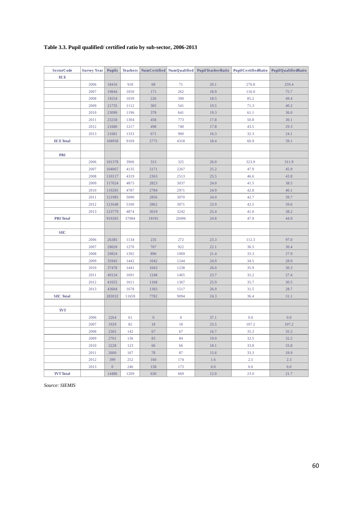#### <span id="page-59-0"></span>**Table 3.3. Pupil qualified/ certified ratio by sub-sector, 2006-2013**

| <b>SectorCode</b> | <b>Survey Year</b> | <b>Pupils</b>    | <b>Teachers</b> |                  | NumCertified   NumQualified | PupilTeacherRatio | PupilCertifiedRatio | PupilQualifiedRatio |
|-------------------|--------------------|------------------|-----------------|------------------|-----------------------------|-------------------|---------------------|---------------------|
| ECE               |                    |                  |                 |                  |                             |                   |                     |                     |
|                   | 2006               | 18416            | 918             | 68               | 71                          | 20.1              | 270.8               | 259.4               |
|                   | 2007               | 19844            | 1050            | 171              | 262                         | 18.9              | 116.0               | 75.7                |
|                   | 2008               | 19254            | 1039            | 226              | 390                         | 18.5              | 85.2                | 49.4                |
|                   | 2009               | 21735            | 1112            | 305              | 541                         | 19.5              | 71.3                | 40.2                |
|                   | 2010               | 23090            | 1196            | 378              | 641                         | 19.3              | 61.1                | 36.0                |
|                   | 2011               | 23258            | 1304            | 458              | 773                         | 17.8              | 50.8                | 30.1                |
|                   | 2012               | 21680            | 1217            | 498              | 740                         | 17.8              | 43.5                | 29.3                |
|                   | 2013               | 21681            | 1333            | 671              | 900                         | 16.3              | 32.3                | 24.1                |
| <b>ECE</b> Total  |                    | 168958           | 9169            | 2775             | 4318                        | 18.4              | 60.9                | 39.1                |
|                   |                    |                  |                 |                  |                             |                   |                     |                     |
| PRI               |                    |                  |                 |                  |                             |                   |                     |                     |
|                   | 2006               | 101378           | 3906            | 313              | 325                         | 26.0              | 323.9               | 311.9               |
|                   | 2007               | 104067           | 4135            | 2171             | 2267                        | 25.2              | 47.9                | 45.9                |
|                   | 2008               | 110117           | 4319            | 2363             | 2513                        | 25.5              | 46.6                | 43.8                |
|                   | 2009               | 117024           | 4873            | 2823             | 3037                        | 24.0              | 41.5                | 38.5                |
|                   | 2010               | 119285           | 4787            | 2784             | 2971                        | 24.9              | 42.8                | 40.1                |
|                   | 2011               | 121985           | 5090            | 2856             | 3070                        | 24.0              | 42.7                | 39.7                |
|                   | 2012               | 121648           | 5100            | 2862             | 3071                        | 23.9              | 42.5                | 39.6                |
|                   | 2013               | 123779           | 4874            | 3019             | 3242                        | 25.4              | 41.0                | 38.2                |
| <b>PRI</b> Total  |                    | 919283           | 37084           | 19191            | 20496                       | 24.8              | 47.9                | 44.9                |
|                   |                    |                  |                 |                  |                             |                   |                     |                     |
| SEC               |                    |                  |                 |                  |                             |                   |                     |                     |
|                   | 2006               | 26385            | 1134            | 235              | 272                         | 23.3              | 112.3               | 97.0                |
|                   | 2007               | 28020            | 1270            | 767              | 922                         | 22.1              | 36.5                | 30.4                |
|                   | 2008               | 29824            | 1392            | 896              | 1069                        | 21.4              | 33.3                | 27.9                |
|                   | 2009               | 35942            | 1442            | 1042             | 1244                        | 24.9              | 34.5                | 28.9                |
|                   | 2010               | 37478            | 1441            | 1043             | 1238                        | 26.0              | 35.9                | 30.3                |
|                   | 2011               | 40124            | 1691            | 1248             | 1465                        | 23.7              | 32.2                | 27.4                |
|                   | 2012               | 41655            | 1611            | 1168             | 1367                        | 25.9              | 35.7                | 30.5                |
|                   | 2013               | 43604            | 1678            | 1383             | 1517                        | 26.0              | 31.5                | 28.7                |
| <b>SEC</b> Total  |                    | 283032           | 11659           | 7782             | 9094                        | 24.3              | 36.4                | 31.1                |
|                   |                    |                  |                 |                  |                             |                   |                     |                     |
| <b>TVT</b>        |                    |                  |                 |                  |                             |                   |                     |                     |
|                   | 2006               | 2264             | 61              | $\boldsymbol{0}$ | $\mathbf{0}$                | 37.1              | 0.0                 | 0.0                 |
|                   | 2007               | 1929             | 82              | 18               | 18                          | 23.5              | 107.2               | 107.2               |
|                   | 2008               | 2365             | 142             | 67               | 67                          | 16.7              | 35.3                | 35.3                |
|                   | 2009               | 2701             | 136             | 83               | 84                          | 19.9              | 32.5                | 32.2                |
|                   | 2010               | 2228             | 123             | 66               | 66                          | 18.1              | 33.8                | 33.8                |
|                   | 2011               | 2600             | 167             | 78               | 87                          | 15.6              | 33.3                | 29.9                |
|                   | 2012               | 399              | 252             | 160              | 174                         | 1.6               | 2.5                 | 2.3                 |
|                   | 2013               | $\boldsymbol{0}$ | 246             | 158              | 173                         | 0.0               | 0.0                 | 0.0                 |
| <b>TVT</b> Total  |                    | 14486            | 1209            | 630              | 669                         | 12.0              | 23.0                | 21.7                |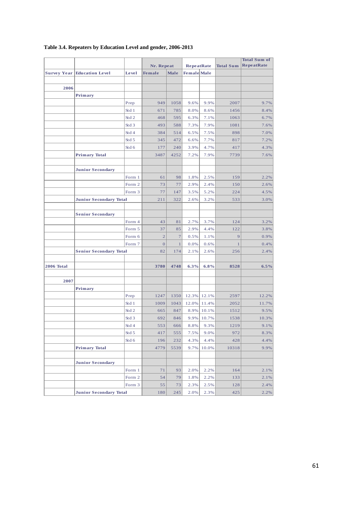|                   |                                      |        |                |              |                    |       |                  | <b>Total Sum of</b> |  |
|-------------------|--------------------------------------|--------|----------------|--------------|--------------------|-------|------------------|---------------------|--|
|                   |                                      |        | Nr. Repeat     |              | <b>RepeatRate</b>  |       | <b>Total Sum</b> | <b>RepeatRate</b>   |  |
|                   | <b>Survey Year   Education Level</b> | Level  | <b>Female</b>  | Male         | <b>Female</b> Male |       |                  |                     |  |
|                   |                                      |        |                |              |                    |       |                  |                     |  |
| 2006              |                                      |        |                |              |                    |       |                  |                     |  |
|                   | Primary                              |        |                |              |                    |       |                  |                     |  |
|                   |                                      | Prep   | 949            | 1058         | 9.6%               | 9.9%  | 2007             | 9.7%                |  |
|                   |                                      | Std 1  | 671            | 785          | 8.0%               | 8.6%  | 1456             | 8.4%                |  |
|                   |                                      | Std 2  | 468            | 595          | 6.3%               | 7.1%  | 1063             | 6.7%                |  |
|                   |                                      | Std 3  | 493            | 588          | 7.3%               | 7.9%  | 1081             | 7.6%                |  |
|                   |                                      | Std 4  | 384            | 514          | 6.5%               | 7.5%  | 898              | 7.0%                |  |
|                   |                                      | Std 5  | 345            | 472          | 6.6%               | 7.7%  | 817              | 7.2%                |  |
|                   |                                      | Std 6  | 177            | 240          | 3.9%               | 4.7%  | 417              | 4.3%                |  |
|                   | <b>Primary Total</b>                 |        | 3487           | 4252         | 7.2%               | 7.9%  | 7739             | 7.6%                |  |
|                   |                                      |        |                |              |                    |       |                  |                     |  |
|                   | <b>Junior Secondary</b>              |        |                |              |                    |       |                  |                     |  |
|                   |                                      | Form 1 | 61             | 98           | 1.8%               | 2.5%  | 159              | 2.2%                |  |
|                   |                                      | Form 2 | 73             | 77           | 2.9%               | 2.4%  | 150              | 2.6%                |  |
|                   |                                      | Form 3 | 77             | 147          | 3.5%               | 5.2%  | 224              | 4.5%                |  |
|                   | <b>Junior Secondary Total</b>        |        | 211            | 322          | 2.6%               | 3.2%  | 533              | 3.0%                |  |
|                   |                                      |        |                |              |                    |       |                  |                     |  |
|                   | <b>Senior Secondary</b>              |        |                |              |                    |       |                  |                     |  |
|                   |                                      | Form 4 | 43             | 81           | 2.7%               | 3.7%  | 124              | 3.2%                |  |
|                   |                                      | Form 5 | 37             | 85           | 2.9%               | 4.4%  | 122              | 3.8%                |  |
|                   |                                      | Form 6 | $\overline{c}$ | $\tau$       | 0.5%               | 1.1%  | 9                | 0.9%                |  |
|                   |                                      | Form 7 | $\overline{0}$ | $\mathbf{1}$ | 0.0%               | 0.6%  | $\mathbf{1}$     | 0.4%                |  |
|                   | <b>Senior Secondary Total</b>        |        | 82             | 174          | 2.1%               | 2.6%  | 256              | 2.4%                |  |
|                   |                                      |        |                |              |                    |       |                  |                     |  |
| <b>2006 Total</b> |                                      |        | 3780           | 4748         | $6.3\%$            | 6.8%  | 8528             | 6.5%                |  |
|                   |                                      |        |                |              |                    |       |                  |                     |  |
| 2007              |                                      |        |                |              |                    |       |                  |                     |  |
|                   | Primary                              |        |                |              |                    |       |                  |                     |  |
|                   |                                      | Prep   | 1247           | 1350         | 12.3%              | 12.1% | 2597             | 12.2%               |  |
|                   |                                      | Std 1  | 1009           | 1043         | 12.0%              | 11.4% | 2052             | 11.7%               |  |
|                   |                                      | Std2   | 665            | 847          | 8.9%               | 10.1% | 1512             | 9.5%                |  |
|                   |                                      | Std 3  | 692            | 846          | 9.9%               | 10.7% | 1538             | 10.3%               |  |
|                   |                                      | Std 4  | 553            | 666          | 8.8%               | 9.3%  | 1219             | 9.1%                |  |
|                   |                                      | Std 5  | 417            | 555          | 7.5%               | 9.0%  | 972              | 8.3%                |  |
|                   |                                      | Std 6  | 196            | 232          | 4.3%               | 4.4%  | 428              | 4.4%                |  |
|                   | <b>Primary Total</b>                 |        | 4779           | 5539         | 9.7%               | 10.0% | 10318            | 9.9%                |  |
|                   |                                      |        |                |              |                    |       |                  |                     |  |
|                   | <b>Junior Secondary</b>              |        |                |              |                    |       |                  |                     |  |
|                   |                                      | Form 1 | 71             | 93           | 2.0%               | 2.2%  | 164              | 2.1%                |  |
|                   |                                      | Form 2 | 54             | 79           | 1.8%               | 2.2%  | 133              | 2.1%                |  |
|                   |                                      | Form 3 | 55             | 73           | 2.3%               | 2.5%  | 128              | 2.4%                |  |
|                   | <b>Junior Secondary Total</b>        |        | 180            | 245          | 2.0%               | 2.3%  | 425              | 2.2%                |  |

#### <span id="page-60-0"></span>**Table 3.4. Repeaters by Education Level and gender, 2006-2013**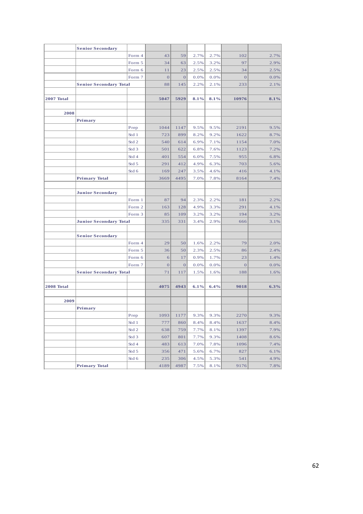|                   | <b>Senior Secondary</b>       |                  |                  |                |      |      |                |      |
|-------------------|-------------------------------|------------------|------------------|----------------|------|------|----------------|------|
|                   |                               | Form 4           | 43               | 59             | 2.7% | 2.7% | 102            | 2.7% |
|                   |                               | Form 5           | 34               | 63             | 2.5% | 3.2% | 97             | 2.9% |
|                   |                               | Form 6           | 11               | 23             | 2.5% | 2.5% | 34             | 2.5% |
|                   |                               | Form 7           | $\boldsymbol{0}$ | $\overline{0}$ | 0.0% | 0.0% | $\mathbf{O}$   | 0.0% |
|                   | <b>Senior Secondary Total</b> |                  | 88               | 145            | 2.2% | 2.1% | 233            | 2.1% |
|                   |                               |                  |                  |                |      |      |                |      |
| <b>2007 Total</b> |                               |                  | 5047             | 5929           | 8.1% | 8.1% | 10976          | 8.1% |
|                   |                               |                  |                  |                |      |      |                |      |
| 2008              |                               |                  |                  |                |      |      |                |      |
|                   | Primary                       |                  |                  |                |      |      |                |      |
|                   |                               | Prep             | 1044             | 1147           | 9.5% | 9.5% | 2191           | 9.5% |
|                   |                               | Std 1            | 723              | 899            | 8.2% | 9.2% | 1622           | 8.7% |
|                   |                               | Std <sub>2</sub> | 540              | 614            | 6.9% | 7.1% | 1154           | 7.0% |
|                   |                               | Std 3            | 501              | 622            | 6.8% | 7.6% | 1123           | 7.2% |
|                   |                               | Std 4            | 401              | 554            | 6.0% | 7.5% | 955            | 6.8% |
|                   |                               | Std 5            | 291              | 412            | 4.9% | 6.3% | 703            | 5.6% |
|                   |                               | Std 6            | 169              | 247            | 3.5% | 4.6% | 416            | 4.1% |
|                   | <b>Primary Total</b>          |                  | 3669             | 4495           | 7.0% | 7.8% | 8164           | 7.4% |
|                   |                               |                  |                  |                |      |      |                |      |
|                   | <b>Junior Secondary</b>       |                  |                  |                |      |      |                |      |
|                   |                               | Form 1           | 87               | 94             | 2.3% | 2.2% | 181            | 2.2% |
|                   |                               | Form 2           | 163              | 128            | 4.9% | 3.3% | 291            | 4.1% |
|                   |                               | Form 3           | 85               | 109            | 3.2% | 3.2% | 194            | 3.2% |
|                   | <b>Junior Secondary Total</b> |                  | 335              | 331            | 3.4% | 2.9% | 666            | 3.1% |
|                   |                               |                  |                  |                |      |      |                |      |
|                   | <b>Senior Secondary</b>       |                  |                  |                |      |      |                |      |
|                   |                               | Form 4           | 29               | 50             | 1.6% | 2.2% | 79             | 2.0% |
|                   |                               | Form 5           | 36               | 50             | 2.3% | 2.5% | 86             | 2.4% |
|                   |                               | Form 6           | 6                | 17             | 0.9% | 1.7% | 23             | 1.4% |
|                   |                               | Form 7           | $\boldsymbol{0}$ | $\mathbf{O}$   | 0.0% | 0.0% | $\overline{0}$ | 0.0% |
|                   | <b>Senior Secondary Total</b> |                  | 71               | 117            | 1.5% | 1.6% | 188            | 1.6% |
| 2008 Total        |                               |                  | 4075             | 4943           | 6.1% | 6.4% | 9018           | 6.3% |
|                   |                               |                  |                  |                |      |      |                |      |
| 2009              |                               |                  |                  |                |      |      |                |      |
|                   | Primary                       |                  |                  |                |      |      |                |      |
|                   |                               | Prep             | 1093             | 1177           | 9.3% | 9.3% | 2270           | 9.3% |
|                   |                               | Std 1            | 777              | 860            | 8.4% | 8.4% | 1637           | 8.4% |
|                   |                               | St d 2           | 638              | 759            | 7.7% | 8.1% | 1397           | 7.9% |
|                   |                               | St d 3           | 607              | 801            | 7.7% | 9.3% | 1408           | 8.6% |
|                   |                               | Std4             | 483              | 613            | 7.0% | 7.8% | 1096           | 7.4% |
|                   |                               | St d 5           | 356              | 471            | 5.6% | 6.7% | 827            | 6.1% |
|                   |                               | St d 6           | 235              | 306            | 4.5% | 5.3% | 541            | 4.9% |
|                   | <b>Primary Total</b>          |                  | 4189             | 4987           | 7.5% | 8.1% | 9176           | 7.8% |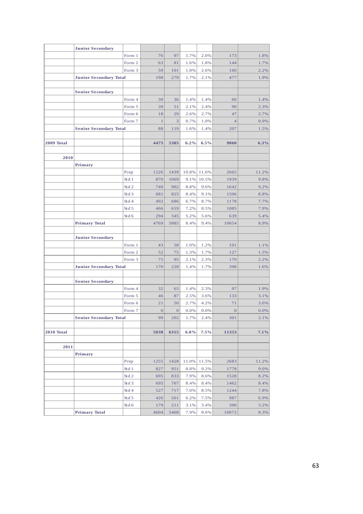|            | <b>Junior Secondary</b>       |                                  |              |                |         |         |                |         |
|------------|-------------------------------|----------------------------------|--------------|----------------|---------|---------|----------------|---------|
|            |                               | Form 1                           | 76           | 97             | 1.7%    | 2.0%    | 173            | 1.8%    |
|            |                               | Form 2                           | 63           | 81             | 1.6%    | 1.8%    | 144            | 1.7%    |
|            |                               | Form 3                           | 59           | 101            | 1.8%    | 2.6%    | 160            | 2.2%    |
|            | <b>Junior Secondary Total</b> |                                  | 198          | 279            | 1.7%    | 2.1%    | 477            | 1.9%    |
|            |                               |                                  |              |                |         |         |                |         |
|            | <b>Senior Secondary</b>       |                                  |              |                |         |         |                |         |
|            |                               | Form 4                           | 30           | 36             | 1.4%    | 1.4%    | 66             | 1.4%    |
|            |                               | Form 5                           | 39           | 51             | 2.1%    | 2.4%    | 90             | 2.3%    |
|            |                               | Form 6                           | 18           | 29             | 2.6%    | 2.7%    | 47             | 2.7%    |
|            |                               | Form 7                           | $\mathbf{1}$ | 3              | 0.7%    | 1.0%    | $\overline{4}$ | 0.9%    |
|            | <b>Senior Secondary Total</b> |                                  | 88           | 119            | 1.6%    | 1.4%    | 207            | 1.5%    |
|            |                               |                                  |              |                |         |         |                |         |
| 2009 Total |                               |                                  | 4475         | 5385           | 6.2%    | 6.5%    | 9860           | 6.3%    |
|            |                               |                                  |              |                |         |         |                |         |
| 2010       |                               |                                  |              |                |         |         |                |         |
|            | Primary                       |                                  |              |                |         |         |                |         |
|            |                               | Prep                             | 1226         | 1439           | 10.8%   | 11.6%   | 2665           | 11.2%   |
|            |                               | Std 1                            | 870          | 1069           | 9.1%    | 10.5%   | 1939           | 9.8%    |
|            |                               | Std <sub>2</sub>                 | 740          | 902            | 8.8%    | 9.6%    | 1642           | 9.2%    |
|            |                               | Std <sub>3</sub>                 | 681          | 825            | 8.4%    | 9.1%    | 1506           | 8.8%    |
|            |                               | Std 4                            | 492          | 686            | 6.7%    | 8.7%    | 1178           | 7.7%    |
|            |                               | Std 5                            | 466          | 619            | 7.2%    | 8.5%    | 1085           | 7.9%    |
|            |                               | Std 6                            | 294          | 345            | 5.2%    | 5.6%    | 639            | 5.4%    |
|            | <b>Primary Total</b>          |                                  | 4769         | 5885           | 8.4%    | 9.4%    | 10654          | 8.9%    |
|            |                               |                                  |              |                |         |         |                |         |
|            | <b>Junior Secondary</b>       |                                  |              |                |         |         |                |         |
|            |                               | Form 1                           | 43           | 58             | 1.0%    | 1.2%    | 101            | 1.1%    |
|            |                               | Form 2                           | 52           | 75             | 1.3%    | 1.7%    | 127            | 1.5%    |
|            |                               | Form 3                           | 75           | 95             | 2.1%    | 2.3%    | 170            | 2.2%    |
|            | <b>Junior Secondary Total</b> |                                  | 170          | 228            | 1.4%    | 1.7%    | 398            | 1.6%    |
|            |                               |                                  |              |                |         |         |                |         |
|            | <b>Senior Secondary</b>       |                                  |              |                |         |         |                |         |
|            |                               | Form 4                           | 32           | 65             | 1.4%    | 2.3%    | 97             | 1.9%    |
|            |                               | Form 5                           | 46           | 87             | 2.5%    | 3.6%    | 133            | 3.1%    |
|            |                               | Form 6                           | 21           | 50             | 2.7%    | 4.2%    | 71             | 3.6%    |
|            |                               | Form 7                           | $\,$ 0       | $\overline{0}$ | $0.0\%$ | 0.0%    | $\overline{0}$ | $0.0\%$ |
|            | <b>Senior Secondary Total</b> |                                  | 99           | 202            | 1.7%    | 2.4%    | 301            | 2.1%    |
| 2010 Total |                               |                                  | 5038         | 6315           | 6.8%    | $7.5\%$ | 11353          | 7.1%    |
|            |                               |                                  |              |                |         |         |                |         |
| 2011       |                               |                                  |              |                |         |         |                |         |
|            | Primary                       |                                  |              |                |         |         |                |         |
|            |                               | Prep                             | 1255         | 1428           | 11.0%   | 11.5%   | 2683           | 11.2%   |
|            |                               | Std 1                            | 827          | 951            | 8.8%    | 9.2%    | 1778           | 9.0%    |
|            |                               | ${\rm St} \, {\rm d} \, 2$       | 695          | 833            | 7.9%    | 8.6%    | 1528           | 8.2%    |
|            |                               | Std 3                            | 695          | 767            | 8.4%    | 8.4%    | 1462           | 8.4%    |
|            |                               | ${\rm St} \, {\rm d} \, {\rm 4}$ | 527          | 717            | 7.0%    | 8.5%    | 1244           | 7.8%    |
|            |                               | Std 5                            | 426          | 561            | 6.2%    | 7.5%    | 987            | 6.9%    |
|            |                               | Std 6                            | 179          | 211            | 3.1%    | 3.4%    | 390            | 3.2%    |
|            | <b>Primary Total</b>          |                                  | 4604         | 5468           | 7.9%    | 8.6%    | 10072          | 8.3%    |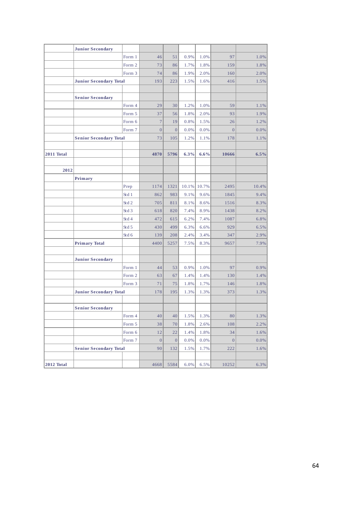|                   | <b>Junior Secondary</b>       |                  |                  |                  |       |       |                  |       |
|-------------------|-------------------------------|------------------|------------------|------------------|-------|-------|------------------|-------|
|                   |                               | Form 1           | 46               | 51               | 0.9%  | 1.0%  | 97               | 1.0%  |
|                   |                               | Form 2           | 73               | 86               | 1.7%  | 1.8%  | 159              | 1.8%  |
|                   |                               | Form 3           | 74               | 86               | 1.9%  | 2.0%  | 160              | 2.0%  |
|                   | <b>Junior Secondary Total</b> |                  | 193              | 223              | 1.5%  | 1.6%  | 416              | 1.5%  |
|                   |                               |                  |                  |                  |       |       |                  |       |
|                   | <b>Senior Secondary</b>       |                  |                  |                  |       |       |                  |       |
|                   |                               | Form 4           | 29               | 30               | 1.2%  | 1.0%  | 59               | 1.1%  |
|                   |                               | Form 5           | 37               | 56               | 1.8%  | 2.0%  | 93               | 1.9%  |
|                   |                               | Form 6           | $\overline{7}$   | 19               | 0.8%  | 1.5%  | 26               | 1.2%  |
|                   |                               | Form 7           | $\overline{0}$   | $\overline{0}$   | 0.0%  | 0.0%  | $\overline{0}$   | 0.0%  |
|                   | <b>Senior Secondary Total</b> |                  | 73               | 105              | 1.2%  | 1.1%  | 178              | 1.1%  |
|                   |                               |                  |                  |                  |       |       |                  |       |
| 2011 Total        |                               |                  | 4870             | 5796             | 6.3%  | 6.6%  | 10666            | 6.5%  |
|                   |                               |                  |                  |                  |       |       |                  |       |
| 2012              |                               |                  |                  |                  |       |       |                  |       |
|                   | Primary                       |                  |                  |                  |       |       |                  |       |
|                   |                               | Prep             | 1174             | 1321             | 10.1% | 10.7% | 2495             | 10.4% |
|                   |                               | Std 1            | 862              | 983              | 9.1%  | 9.6%  | 1845             | 9.4%  |
|                   |                               | Std <sub>2</sub> | 705              | 811              | 8.1%  | 8.6%  | 1516             | 8.3%  |
|                   |                               | Std <sub>3</sub> | 618              | 820              | 7.4%  | 8.9%  | 1438             | 8.2%  |
|                   |                               | Std 4            | 472              | 615              | 6.2%  | 7.4%  | 1087             | 6.8%  |
|                   |                               | Std 5            | 430              | 499              | 6.3%  | 6.6%  | 929              | 6.5%  |
|                   |                               | Std 6            | 139              | 208              | 2.4%  | 3.4%  | 347              | 2.9%  |
|                   | <b>Primary Total</b>          |                  | 4400             | 5257             | 7.5%  | 8.3%  | 9657             | 7.9%  |
|                   |                               |                  |                  |                  |       |       |                  |       |
|                   | <b>Junior Secondary</b>       |                  |                  |                  |       |       |                  |       |
|                   |                               | Form 1           | 44               | 53               | 0.9%  | 1.0%  | 97               | 0.9%  |
|                   |                               | Form 2           | 63               | 67               | 1.4%  | 1.4%  | 130              | 1.4%  |
|                   |                               | Form 3           | 71               | 75               | 1.8%  | 1.7%  | 146              | 1.8%  |
|                   | <b>Junior Secondary Total</b> |                  | 178              | 195              | 1.3%  | 1.3%  | 373              | 1.3%  |
|                   |                               |                  |                  |                  |       |       |                  |       |
|                   | <b>Senior Secondary</b>       |                  |                  |                  |       |       |                  |       |
|                   |                               | Form 4           | 40               | 40               | 1.5%  | 1.3%  | 80               | 1.3%  |
|                   |                               | Form 5           | 38               | 70               | 1.8%  | 2.6%  | 108              | 2.2%  |
|                   |                               | Form 6           | 12               | 22               | 1.4%  | 1.8%  | 34               | 1.6%  |
|                   |                               | Form 7           | $\boldsymbol{0}$ | $\boldsymbol{0}$ | 0.0%  | 0.0%  | $\boldsymbol{0}$ | 0.0%  |
|                   | <b>Senior Secondary Total</b> |                  | 90               | 132              | 1.5%  | 1.7%  | 222              | 1.6%  |
|                   |                               |                  |                  |                  |       |       |                  |       |
| <b>2012 Total</b> |                               |                  | 4668             | 5584             | 6.0%  | 6.5%  | 10252            | 6.3%  |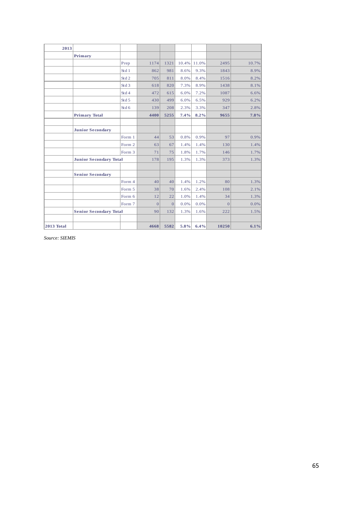| 2013       |                               |                  |                |                |       |         |                |       |
|------------|-------------------------------|------------------|----------------|----------------|-------|---------|----------------|-------|
|            | Primary                       |                  |                |                |       |         |                |       |
|            |                               | Prep             | 1174           | 1321           | 10.4% | 11.0%   | 2495           | 10.7% |
|            |                               | Std 1            | 862            | 981            | 8.6%  | 9.3%    | 1843           | 8.9%  |
|            |                               | Std 2            | 705            | 811            | 8.0%  | 8.4%    | 1516           | 8.2%  |
|            |                               | Std <sub>3</sub> | 618            | 820            | 7.3%  | 8.9%    | 1438           | 8.1%  |
|            |                               | Std <sub>4</sub> | 472            | 615            | 6.0%  | 7.2%    | 1087           | 6.6%  |
|            |                               | Std <sub>5</sub> | 430            | 499            | 6.0%  | 6.5%    | 929            | 6.2%  |
|            |                               | Std 6            | 139            | 208            | 2.3%  | 3.3%    | 347            | 2.8%  |
|            | <b>Primary Total</b>          |                  | 4400           | 5255           | 7.4%  | $8.2\%$ | 9655           | 7.8%  |
|            |                               |                  |                |                |       |         |                |       |
|            | <b>Junior Secondary</b>       |                  |                |                |       |         |                |       |
|            |                               | Form 1           | 44             | 53             | 0.8%  | 0.9%    | 97             | 0.9%  |
|            |                               | Form 2           | 63             | 67             | 1.4%  | 1.4%    | 130            | 1.4%  |
|            |                               | Form 3           | 71             | 75             | 1.8%  | 1.7%    | 146            | 1.7%  |
|            | <b>Junior Secondary Total</b> |                  | 178            | 195            | 1.3%  | 1.3%    | 373            | 1.3%  |
|            |                               |                  |                |                |       |         |                |       |
|            | <b>Senior Secondary</b>       |                  |                |                |       |         |                |       |
|            |                               | Form 4           | 40             | 40             | 1.4%  | 1.2%    | 80             | 1.3%  |
|            |                               | Form 5           | 38             | 70             | 1.6%  | 2.4%    | 108            | 2.1%  |
|            |                               | Form 6           | 12             | 22             | 1.0%  | 1.4%    | 34             | 1.3%  |
|            |                               | Form 7           | $\overline{0}$ | $\overline{0}$ | 0.0%  | 0.0%    | $\overline{0}$ | 0.0%  |
|            | <b>Senior Secondary Total</b> |                  | 90             | 132            | 1.3%  | 1.6%    | 222            | 1.5%  |
|            |                               |                  |                |                |       |         |                |       |
| 2013 Total |                               |                  | 4668           | 5582           | 5.8%  | 6.4%    | 10250          | 6.1%  |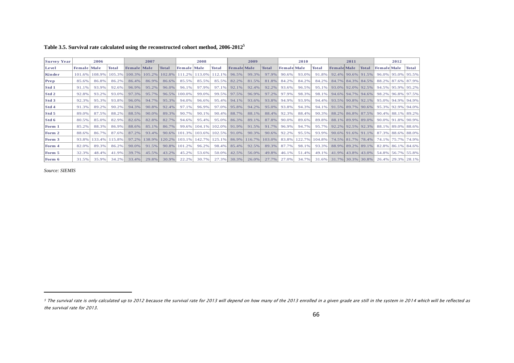| Table 3.5. Survival rate calculated using the reconstructed cohort method, $2006-2012^5$ |  |
|------------------------------------------------------------------------------------------|--|
|------------------------------------------------------------------------------------------|--|

| <b>Survey Year</b> |                    | 2006   |        |               | 2007   |              |                    | 2008      |        |                    | 2009      |        |                    | 2010   |          |                    | 2011                     |              |                       | 2012              |              |
|--------------------|--------------------|--------|--------|---------------|--------|--------------|--------------------|-----------|--------|--------------------|-----------|--------|--------------------|--------|----------|--------------------|--------------------------|--------------|-----------------------|-------------------|--------------|
| Level              | <b>Female Male</b> |        | Total  | Female   Male |        | <b>Total</b> | <b>Female</b> Male |           | Total  | <b>Female Male</b> |           | Total  | <b>Female Male</b> |        | Total    | <b>Female Male</b> |                          | <b>Total</b> | <b>Female</b> Male    |                   | <b>Total</b> |
| Kinder             | 101.6%             | 108.9% | 105.3% | 100.3%        | 105.2% | 102.8%       | 111.2%             | $13.0\%$  | 12.1%  | 96.5%              | 99.3%     | 97.9%  | 90.6%              | 93.0%  | 91.8%    |                    | 92.4% 90.6% 91.5%        |              | $96.0\%$              | $95.0\%$ 95.5%    |              |
| Prep               | 85.6%              | 86.8%  | 86.2%  | 86.4%         | 86.9%  | 86.6%        | 85.5%              | 85.5%     | 85.5%  | 82.2%              | 81.5%     | 81.8%  | 84.2%              | 84.2%  | 84.2%    |                    | 84.7% 84.3% 84.5%        |              |                       | 88.2% 87.6% 87.9% |              |
| $\vert$ Std 1      | 91.1%              | 93.9%  | 92.6%  | 96.9%         | 95.2%  | 96.0%        | 96.1%              | 97.9%     | 97.1%  | 92.1%              | $92.4\%$  | 92.2%  | 93.6%              | 96.5%  | 95.1%    |                    | 93.0% 92.0% 92.5%        |              | 94.5% 95.9% 95.2%     |                   |              |
| $\vert$ Std 2      | 92.8%              | 93.2%  | 93.0%  | 97.3%         | 95.7%  | 96.5%        | 100.0%             | 99.0%     | 99.5%  | 97.5%              | 96.9%     | 97.2%  | 97.9%              | 98.3%  | 98.1%    |                    | 94.6% 94.7% 94.6%        |              | 98.2%                 | 96.8% 97.5%       |              |
| Std3               | 92.3%              | 95.3%  | 93.8%  | 96.0%         | 94.7%  | 95.3%        | 94.0%              | 96.6%     | 95.4%  | 94.1%              | 93.6%     | 93.8%  | 94.9%              | 93.9%  | 94.4%    |                    | 93.5% 90.8% 92.1%        |              | 95.0%   94.9%   94.9% |                   |              |
| Std 4              | 91.3%              | 89.2%  | 90.2%  | 94.3%         | 90.8%  | 92.4%        | 97.1%              | 96.9%     | 97.0%  | 95.8%              | 94.2%     | 95.0%  | 93.8%              | 94.3%  | $94.1\%$ |                    | $91.5\%$   89.7%   90.6% |              | 95.3%                 | 92.9% 94.0%       |              |
| Std 5              | 89.0%              | 87.5%  | 88.2%  | 88.5%         | 90.0%  | 89.3%        | 90.7%              | 90.1%     | 90.4%  | 88.7%              | 88.1%     | 88.4%  | 92.3%              | 88.4%  | 90.3%    |                    | 88.2% 86.8% 87.5%        |              | 90.4% 88.1% 89.2%     |                   |              |
| Std 6              | 80.5%              | 85.0%  | 82.9%  | 82.6%         | 82.8%  | 82.7%        | 94.6%              | 95.4%     | 95.0%  | 86.3%              | 89.1%     | 87.8%  | 90.0%              | 89.6%  | 89.8%    |                    | 88.1% 89.9% 89.0%        |              | 90.0%   91.8%   90.9% |                   |              |
| Form 1             | 85.2%              | 88.3%  | 86.9%  | 88.6%         | 85.1%  | 86.7%        | 99.6%              | $104.1\%$ | 102.0% | 91.9%              | 91.5%     | 91.7%  | 96.9%              | 94.7%  | 95.7%    |                    | $92.2\%$   92.5%   92.3% |              | 88.1%                 | 89.0% 88.6%       |              |
| Form 2             | 88.6%              | 86.7%  | 87.6%  | 87.2%         | 93.4%  | 90.6%        | 101.3%             | 103.6%    | 102.5% | 91.0%              | 90.3%     | 90.6%  | 92.2%              | 95.5%  | 93.9%    |                    | $90.6\%$ 91.6% 91.1%     |              | 87.3%                 | 88.6% 88.0%       |              |
| Form 3             | 93.8%              | 133.4% | 115.8% | 97.2%         | 138.9% | 120.2%       | $103.1\%$          | 142.7%    | 125.1% | 86.9%              | $116.7\%$ | 103.0% | 83.8%              | 122.7% | 104.8%   |                    | 74.5% 81.7% 78.4%        |              | 74.1%                 | 75.7% 74.9%       |              |
| Form 4             | 82.0%              | 89.3%  | 86.2%  | 90.0%         | 91.5%  | 90.8%        | 101.2%             | 96.2%     | 98.4%  | 85.4%              | 92.5%     | 89.3%  | 87.7%              | 98.1%  | 93.3%    |                    | 88.9% 89.2% 89.1%        |              |                       | 82.8% 86.1% 84.6% |              |
| Form 5             | 32.3%              | 48.4%  | 41.9%  | 39.7%         | 45.5%  | 43.2%        | 45.2%              | 53.6%     | 50.0%  | 42.5%              | 56.0%     | 49.8%  | 46.1%              | 51.4%  | 49.1%    |                    | 41.9% 43.8% 43.0%        |              | 54.8%                 | 56.7% 55.8%       |              |
| Form 6             | 31.5%              | 35.9%  | 34.2%  | 33.4%         | 29.8%  | 30.9%        | 22.2%              | 30.7%     | 27.3%  | 30.3%              | $26.0\%$  | 27.7%  | 27.0%              | 34.7%  | $31.6\%$ |                    | $31.7\%$   30.3%   30.8% |              | 26.4%   29.3%   28.1% |                   |              |

<span id="page-65-0"></span>*Source: SIEMIS*

 $\overline{a}$ 

<sup>5</sup> The survival rate is only calculated up to 2012 because the survival rate for 2013 will depend on how many of the 2013 enrolled in a given grade are still in the system in 2014 which will be reflected as the survival rate for 2013.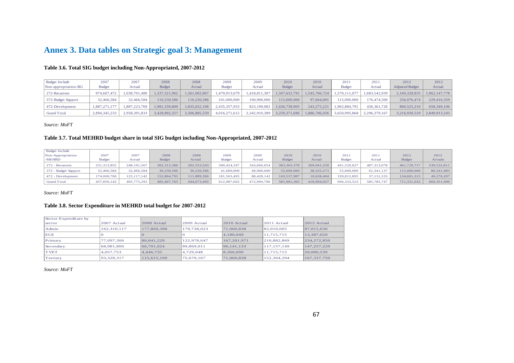# **Annex 3. Data tables on Strategic goal 3: Management**

#### **Table 3.6. Total SIG budget including Non-Appropriated, 2007-2012**

| <b>Budget Include</b> | 2007          | 2007          | 2008          | 2008          | 2009          | 2009          | 2010          | 2010          | 201           | 2011          | 2012                   | 2012          |
|-----------------------|---------------|---------------|---------------|---------------|---------------|---------------|---------------|---------------|---------------|---------------|------------------------|---------------|
| Non-appropriation-SIG | <b>Budget</b> | Actual        | <b>Budget</b> | Actual        | <b>Budget</b> | Actual        | <b>Budget</b> | Actual        | <b>Budget</b> | Actual        | <b>Adjusted Budget</b> | Actual        |
| 272-Recurrent         | 974,607,472   | 1.038.701.480 | .337.321.962  | 1.361.002.867 | 1.479.913.679 | .418.811.307  | 1.507.632.791 | 1.545.766.724 | .570.111.077  | 1.683.542.939 | 2.160.328.835          | 1.962.147.778 |
| 372-Budget Support    | 32,466,584    | 32.466.584    | 110.230.586   | 110.230.586   | 101,000,000   | 100.900.000   | 115,000,000   | 97.664.091    | 115,000,000   | 176.474.500   | 256,076,474            | 229,416,359   |
| 472-Development       | 1.887.271.177 | .887.223.769  | 1.981.339.809 | 1,835,652,106 | 2.435.357.933 | 823.199.082   | 1.636.738.905 | 243.275.221   | .965.884.791  | 436,361,728   | 800.525.210            | 658.349.106   |
| <b>Grand Total</b>    | 2,894,345,233 | 2.958.391.833 | 3.428.892.357 | 3,306,885,559 | 4,016,271,612 | 2,342,910,389 | 3,259,371,696 | 1,886,706,036 | 3.650.995.868 | 2,296,379,167 | 3,216,930,519          | 2,849,913,243 |

*Source: MoFT*

#### **Table 3.7. Total MEHRD budget share in total SIG budget including Non-Appropriated, 2007-2012**

| <b>Budget Include</b> |               |               |               |             |               |             |               |              |               |               |               |                |
|-----------------------|---------------|---------------|---------------|-------------|---------------|-------------|---------------|--------------|---------------|---------------|---------------|----------------|
| Non-Appropriation     | 2007          | 2007          | 2008          | 2008        | 2009          | 2009        | 2010          | 2010         | 2011          | 2011          | 2012          | 2012           |
| -MEHRD                | <b>Budget</b> | Actual        | <b>Budget</b> | Actual      | <b>Budget</b> | Actual      | <b>Budget</b> | Actual       | <b>Budget</b> | Actual        | <b>Budget</b> | <b>Actuals</b> |
| 272 - Recurrent       | 231,313,852   | 248,191,567   | 302.312.386   | 302,553,543 | 390.424.107   | 343.666.654 | 383.363.378   | 369,041,250  | 441.520.627   | 487.313.078   | 461.729.717   | 539, 532, 811  |
| 372 - Budget Support  | 32,466,584    | 32.466.584    | 30.230.586    | 30.230.586  | 41,000,000    | 40,900,000  | 55,000,000    | 38, 325, 273 | 55,000,000    | 61.341.137    | 115,000,000   | 80.541.983     |
| 472 - Development     | 174,069,706   | 125, 117, 142 | 152.864.793   | 111.889.366 | 181,563,495   | 88,428,142  | 143.537.987   | 10,638,404   | 199,812,895   | 37.131.533    | 134,601,315   | 49,276,207     |
| <b>Grand Total</b>    | 437,850,142   | 405,775,293   | 485, 407, 765 | 444,673,495 | 612,987,602   | 472,994,796 | 581,901,365   | 418,004,927  | 696, 333, 523 | 585, 785, 747 | 711,331,032   | 669,351,000    |

<span id="page-66-0"></span>*Source: MoFT*

#### **Table 3.8. Sector Expenditure in MEHRD total budget for 2007-2012**

<span id="page-66-1"></span>

| Sector Expenditure by |             |             |             |               |             |               |
|-----------------------|-------------|-------------|-------------|---------------|-------------|---------------|
| sector                | 2007 Actual | 2008 Actual | 2009 Actual | $2010$ Actual | 2011 Actual | $2012$ Actual |
| Admin                 | 162.310.117 | 177,869,398 | 179.738.023 | 71,060,838    | 82,010,005  | 87,015,630    |
| ECE                   |             |             |             | 4.180.049     | 11.715.715  | 13.387.020    |
| Primary               | 77,097,306  | 80.041.229  | 122.978.647 | 167.201.971   | 210.882.869 | 234,272,850   |
| Secondary             | 68.981.800  | 66.701.024  | 89.869.011  | 96.141.133    | 117.157.149 | 147,257,220   |
| <b>TVET</b>           | 4.057.753   | 4.446.735   | 4.729.948   | 8.360.099     | 11,715,715  | 20,080,530    |
| Tertiary              | 93.328.317  | 115,615,109 | 75,679,167  | 71,060,838    | 152.304.294 | 167,337,750   |

<span id="page-66-3"></span><span id="page-66-2"></span>*Source: MoFT*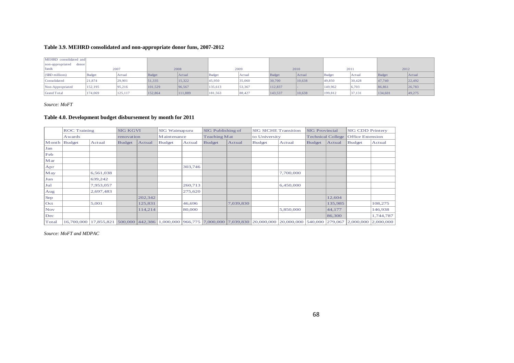#### **Table 3.9. MEHRD consolidated and non-appropriate donor funs, 2007-2012**

| MEHRD consolidated and    |         |         |         |         |               |        |         |        |         |        |         |        |  |
|---------------------------|---------|---------|---------|---------|---------------|--------|---------|--------|---------|--------|---------|--------|--|
| non-appropriated<br>donor |         |         |         |         |               |        |         |        |         |        |         |        |  |
| funds<br>2007             |         |         | 2008    |         |               | 2009   |         | 2010   |         | 2011   |         | 2012   |  |
| $(SBD$ millions)          | Budget  | Actual  | Budget  | Actual  | <b>Budget</b> | Actual | Budget  | Actual | Budget  | Actual | Budget  | Actual |  |
| Consolidated              | 21,874  | 29,901  | 51,335  | 15,322  | 45,950        | 35,060 | 30,700  | 10,638 | 49,850  | 30,428 | 47,740  | 22,492 |  |
| Non-Appropriated          | 152,195 | 95.216  | 101,529 | 96.567  | 135,613       | 53,367 | 112,837 |        | 149,962 | 6,703  | 86,861  | 26,783 |  |
| <b>Grand Total</b>        | 174,069 | 125,117 | 152,864 | 111,889 | 181,563       | 88,427 | 143,537 | 10,638 | 199,812 | 37,131 | 134,601 | 49,275 |  |

#### *Source: MoFT*

#### **Table 4.0. Development budget disbursement by month for 2011**

|              | <b>ROC</b> Training |           | <b>SIG KGVI</b> |         | SIG Waimapuru |         | <b>SIG</b> Publishing of |           | <b>SIG SICHE Transition</b> |                                                                                                        | <b>SIG Provincial</b> |                          | <b>SIG CDD Printery</b><br><b>Office Extension</b> |                                         |  |
|--------------|---------------------|-----------|-----------------|---------|---------------|---------|--------------------------|-----------|-----------------------------|--------------------------------------------------------------------------------------------------------|-----------------------|--------------------------|----------------------------------------------------|-----------------------------------------|--|
|              | Awards              |           | renovation      |         | Maintenance   |         | Teaching Mat             |           | to University               |                                                                                                        |                       | <b>Technical College</b> |                                                    |                                         |  |
| Month Budget |                     | Actual    |                 | Actual  | <b>Budget</b> | Actual  | <b>Budget</b>            | Actual    | <b>Budget</b>               | Actual                                                                                                 | <b>Budget</b>         | Actual                   | <b>Budget</b>                                      | Actual                                  |  |
| Jan          |                     |           |                 |         |               |         |                          |           |                             |                                                                                                        |                       |                          |                                                    |                                         |  |
| Feb          |                     |           |                 |         |               |         |                          |           |                             |                                                                                                        |                       |                          |                                                    |                                         |  |
| M ar         |                     |           |                 |         |               |         |                          |           |                             |                                                                                                        |                       |                          |                                                    |                                         |  |
| Apr          |                     |           |                 |         |               | 303,746 |                          |           |                             |                                                                                                        |                       |                          |                                                    |                                         |  |
| May          |                     | 6,561,038 |                 |         |               |         |                          |           |                             | 7,700,000                                                                                              |                       |                          |                                                    |                                         |  |
| Jun          |                     | 639,242   |                 |         |               |         |                          |           |                             |                                                                                                        |                       |                          |                                                    |                                         |  |
| Jul          |                     | 7,953,057 |                 |         |               | 260,713 |                          |           |                             | 6,450,000                                                                                              |                       |                          |                                                    |                                         |  |
| Aug          |                     | 2,697,483 |                 |         |               | 275,620 |                          |           |                             |                                                                                                        |                       |                          |                                                    |                                         |  |
| Sep          |                     |           |                 | 202,342 |               |         |                          |           |                             |                                                                                                        |                       | 12,604                   |                                                    |                                         |  |
| $ $ Oct      |                     | 5,001     |                 | 125,831 |               | 46,696  |                          | 7,039,830 |                             |                                                                                                        |                       | 135,985                  |                                                    | 108,275                                 |  |
| <b>Nov</b>   |                     |           |                 | 114,214 |               | 80,000  |                          |           |                             | 5,850,000                                                                                              |                       | 44,177                   |                                                    | 146,938                                 |  |
| Dec          |                     |           |                 |         |               |         |                          |           |                             |                                                                                                        |                       | 86,300                   |                                                    | 1,744,787                               |  |
| Total        | 16,700,000          |           |                 |         |               |         |                          |           |                             | 17,855,821 500,000 442,386 1,000,000 966,775 7,000,000 7,039,830 20,000,000 20,000,000 540,000 279,067 |                       |                          |                                                    | $\vert 2,000,000 \vert 2,000,000 \vert$ |  |

<span id="page-67-1"></span><span id="page-67-0"></span>*Source: MoFT and MDPAC*